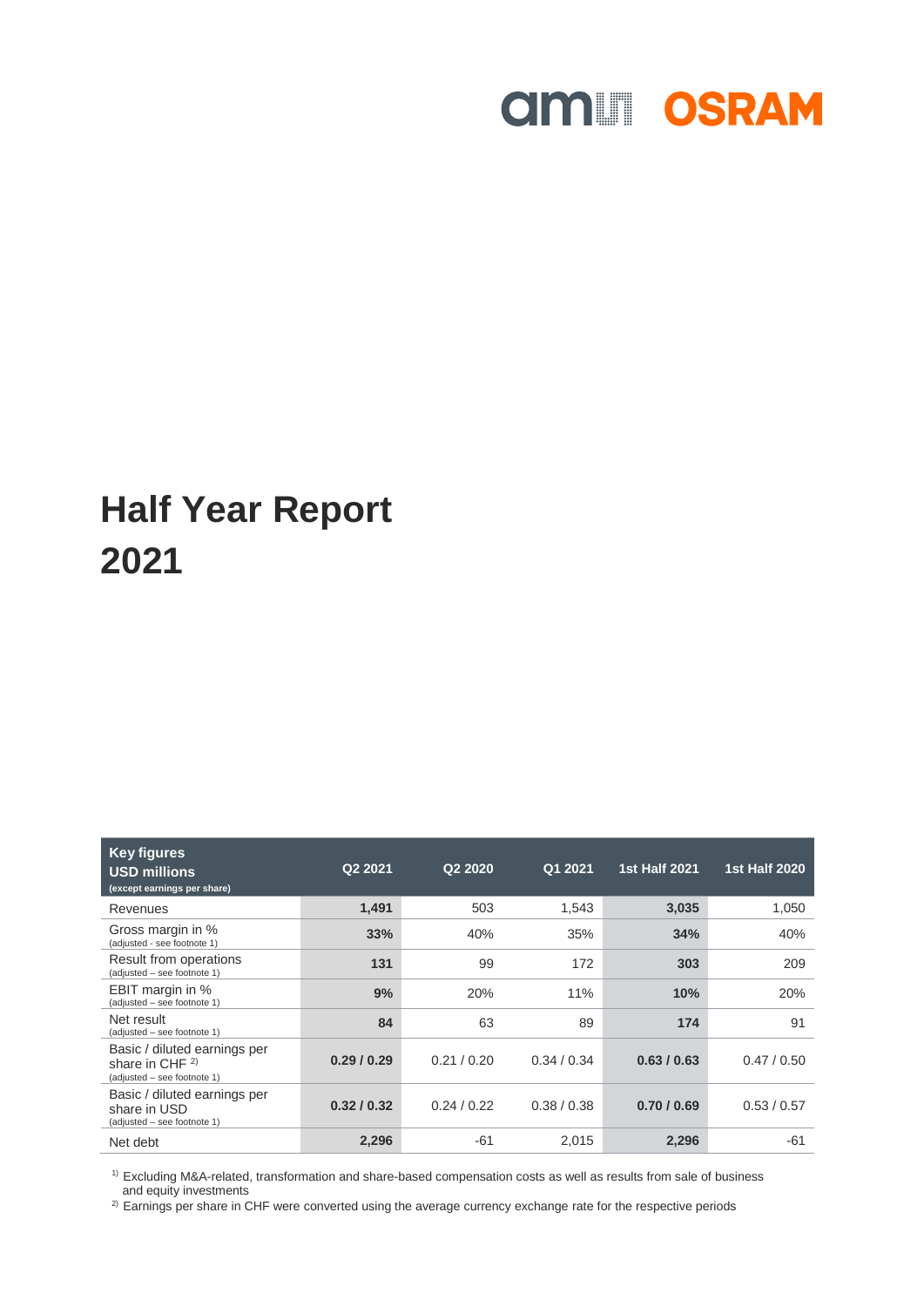# **AND SRAM**

## **Half Year Report 2021**

| <b>Key figures</b><br><b>USD millions</b><br>(except earnings per share)         | Q2 2021   | Q <sub>2</sub> 20 <sub>20</sub> | Q1 2021   | <b>1st Half 2021</b> | <b>1st Half 2020</b> |
|----------------------------------------------------------------------------------|-----------|---------------------------------|-----------|----------------------|----------------------|
| Revenues                                                                         | 1,491     | 503                             | 1,543     | 3,035                | 1,050                |
| Gross margin in %<br>(adjusted - see footnote 1)                                 | 33%       | 40%                             | 35%       | 34%                  | 40%                  |
| Result from operations<br>(adjusted - see footnote 1)                            | 131       | 99                              | 172       | 303                  | 209                  |
| EBIT margin in %<br>(adjusted - see footnote 1)                                  | 9%        | 20%                             | 11%       | 10%                  | 20%                  |
| Net result<br>(adjusted - see footnote 1)                                        | 84        | 63                              | 89        | 174                  | 91                   |
| Basic / diluted earnings per<br>share in CHF $2)$<br>(adjusted – see footnote 1) | 0.29/0.29 | 0.21/0.20                       | 0.34/0.34 | 0.63/0.63            | 0.47/0.50            |
| Basic / diluted earnings per<br>share in USD<br>(adjusted - see footnote 1)      | 0.32/0.32 | 0.24/0.22                       | 0.38/0.38 | 0.70/0.69            | 0.53/0.57            |
| Net debt                                                                         | 2,296     | $-61$                           | 2.015     | 2,296                | -61                  |

 $1)$  Excluding M&A-related, transformation and share-based compensation costs as well as results from sale of business and equity investments

<sup>2)</sup> Earnings per share in CHF were converted using the average currency exchange rate for the respective periods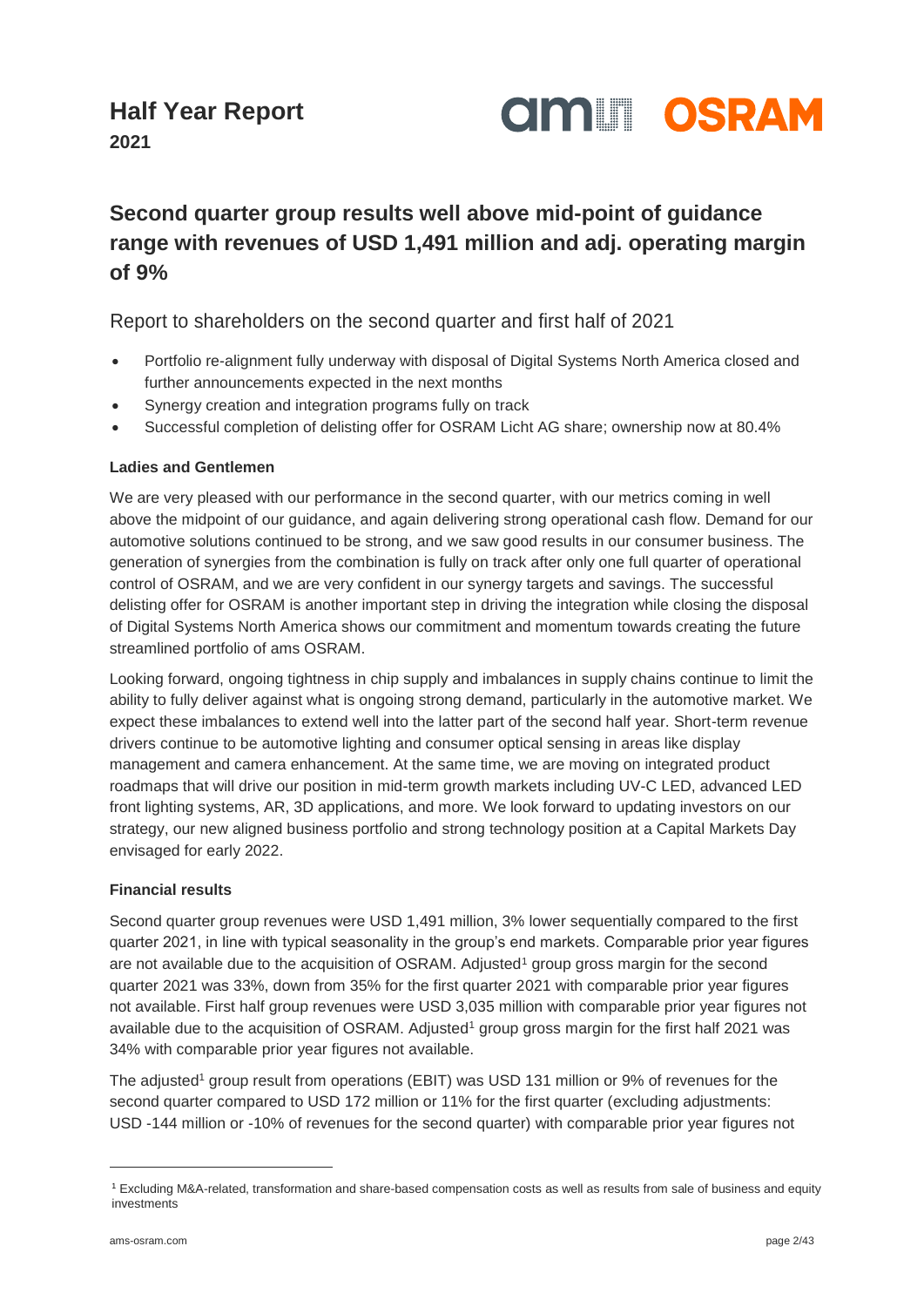

**2021**

### **Second quarter group results well above mid-point of guidance range with revenues of USD 1,491 million and adj. operating margin of 9%**

### Report to shareholders on the second quarter and first half of 2021

- Portfolio re-alignment fully underway with disposal of Digital Systems North America closed and further announcements expected in the next months
- Synergy creation and integration programs fully on track
- Successful completion of delisting offer for OSRAM Licht AG share; ownership now at 80.4%

### **Ladies and Gentlemen**

We are very pleased with our performance in the second quarter, with our metrics coming in well above the midpoint of our guidance, and again delivering strong operational cash flow. Demand for our automotive solutions continued to be strong, and we saw good results in our consumer business. The generation of synergies from the combination is fully on track after only one full quarter of operational control of OSRAM, and we are very confident in our synergy targets and savings. The successful delisting offer for OSRAM is another important step in driving the integration while closing the disposal of Digital Systems North America shows our commitment and momentum towards creating the future streamlined portfolio of ams OSRAM.

Looking forward, ongoing tightness in chip supply and imbalances in supply chains continue to limit the ability to fully deliver against what is ongoing strong demand, particularly in the automotive market. We expect these imbalances to extend well into the latter part of the second half year. Short-term revenue drivers continue to be automotive lighting and consumer optical sensing in areas like display management and camera enhancement. At the same time, we are moving on integrated product roadmaps that will drive our position in mid-term growth markets including UV-C LED, advanced LED front lighting systems, AR, 3D applications, and more. We look forward to updating investors on our strategy, our new aligned business portfolio and strong technology position at a Capital Markets Day envisaged for early 2022.

#### **Financial results**

<span id="page-1-0"></span>Second quarter group revenues were USD 1,491 million, 3% lower sequentially compared to the first quarter 2021, in line with typical seasonality in the group's end markets. Comparable prior year figures are not available due to the acquisition of OSRAM. Adjusted<sup>1</sup> group gross margin for the second quarter 2021 was 33%, down from 35% for the first quarter 2021 with comparable prior year figures not available. First half group revenues were USD 3,035 million with comparable prior year figures not available due to the acquisition of OSRAM. Adjusted<sup>[1](#page-1-0)</sup> group gross margin for the first half 2021 was 34% with comparable prior year figures not available.

The adjusted<sup>[1](#page-1-0)</sup> group result from operations (EBIT) was USD 131 million or 9% of revenues for the second quarter compared to USD 172 million or 11% for the first quarter (excluding adjustments: USD -144 million or -10% of revenues for the second quarter) with comparable prior year figures not

l

<sup>1</sup> Excluding M&A-related, transformation and share-based compensation costs as well as results from sale of business and equity investments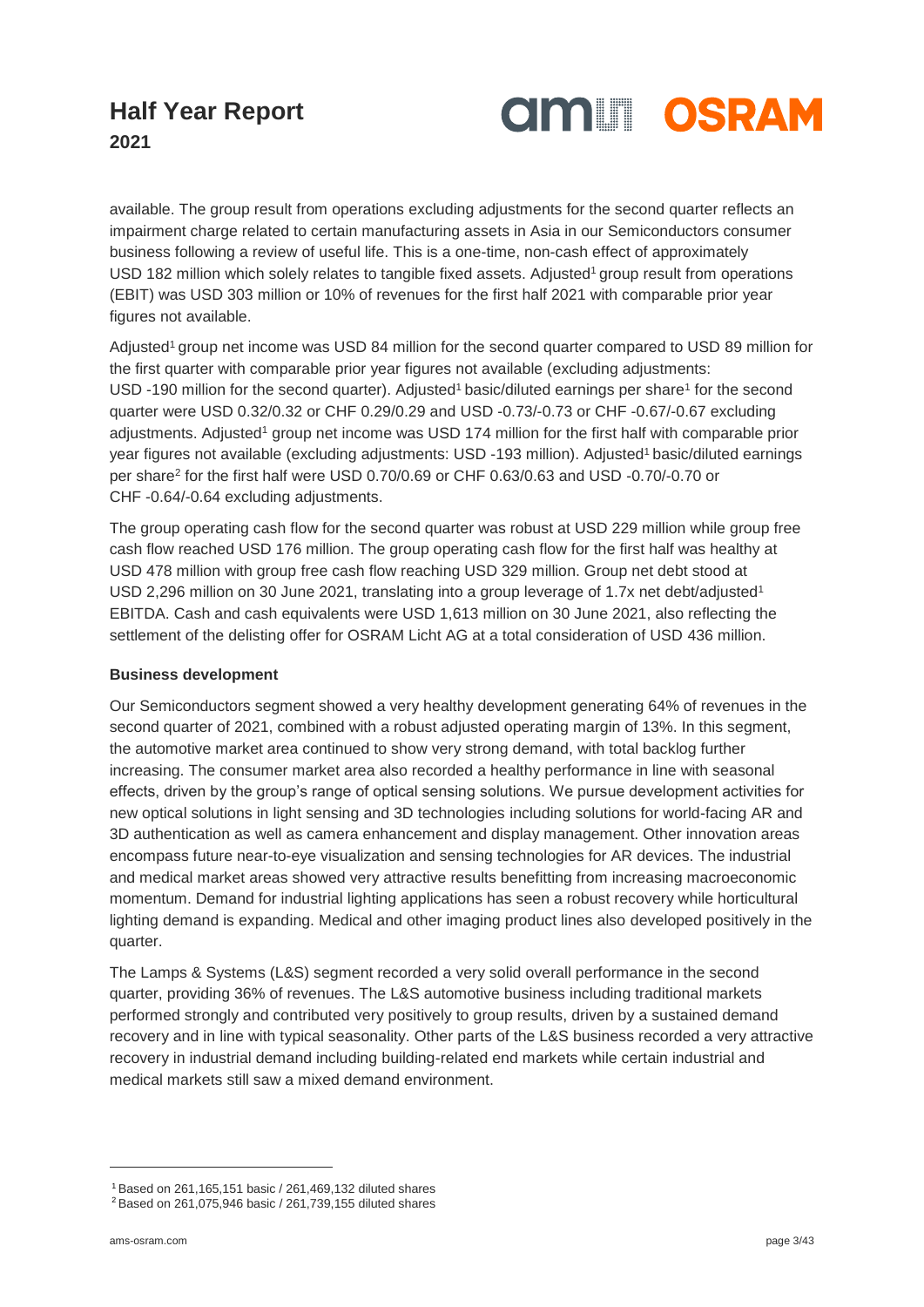

**2021**

available. The group result from operations excluding adjustments for the second quarter reflects an impairment charge related to certain manufacturing assets in Asia in our Semiconductors consumer business following a review of useful life. This is a one-time, non-cash effect of approximately USD 182 million which solely relates to tangible fixe[d](#page-1-0) assets. Adjusted<sup>1</sup> group result from operations (EBIT) was USD 303 million or 10% of revenues for the first half 2021 with comparable prior year figures not available.

A[d](#page-1-0)justed<sup>1</sup> group net income was USD 84 million for the second quarter compared to USD 89 million for the first quarter with comparable prior year figures not available (excluding adjustments: USD -[1](#page-1-0)90 million for the second quarter). Adjusted<sup>1</sup> basic/diluted earnings per share<sup>1</sup> for the second quarter were USD 0.32/0.32 or CHF 0.29/0.29 and USD -0.73/-0.73 or CHF -0.67/-0.67 excluding adjustments. Adjusted<sup>[1](#page-1-0)</sup> group net income was USD 174 million for the first half with comparable prior year figures not available (excluding adjustments: USD -[1](#page-1-0)93 million). Adjusted<sup>1</sup> basic/diluted earnings per share<sup>2</sup> for the first half were USD 0.70/0.69 or CHF 0.63/0.63 and USD -0.70/-0.70 or CHF -0.64/-0.64 excluding adjustments.

The group operating cash flow for the second quarter was robust at USD 229 million while group free cash flow reached USD 176 million. The group operating cash flow for the first half was healthy at USD 478 million with group free cash flow reaching USD 329 million. Group net debt stood at USD 2.296 million on 30 June 2021, translating into a group leverage of 1.7x net [d](#page-1-0)ebt/adjusted<sup>1</sup> EBITDA. Cash and cash equivalents were USD 1,613 million on 30 June 2021, also reflecting the settlement of the delisting offer for OSRAM Licht AG at a total consideration of USD 436 million.

#### **Business development**

Our Semiconductors segment showed a very healthy development generating 64% of revenues in the second quarter of 2021, combined with a robust adjusted operating margin of 13%. In this segment, the automotive market area continued to show very strong demand, with total backlog further increasing. The consumer market area also recorded a healthy performance in line with seasonal effects, driven by the group's range of optical sensing solutions. We pursue development activities for new optical solutions in light sensing and 3D technologies including solutions for world-facing AR and 3D authentication as well as camera enhancement and display management. Other innovation areas encompass future near-to-eye visualization and sensing technologies for AR devices. The industrial and medical market areas showed very attractive results benefitting from increasing macroeconomic momentum. Demand for industrial lighting applications has seen a robust recovery while horticultural lighting demand is expanding. Medical and other imaging product lines also developed positively in the quarter.

The Lamps & Systems (L&S) segment recorded a very solid overall performance in the second quarter, providing 36% of revenues. The L&S automotive business including traditional markets performed strongly and contributed very positively to group results, driven by a sustained demand recovery and in line with typical seasonality. Other parts of the L&S business recorded a very attractive recovery in industrial demand including building-related end markets while certain industrial and medical markets still saw a mixed demand environment.

l

<sup>1</sup> Based on 261,165,151 basic / 261,469,132 diluted shares

<sup>2</sup> Based on 261,075,946 basic / 261,739,155 diluted shares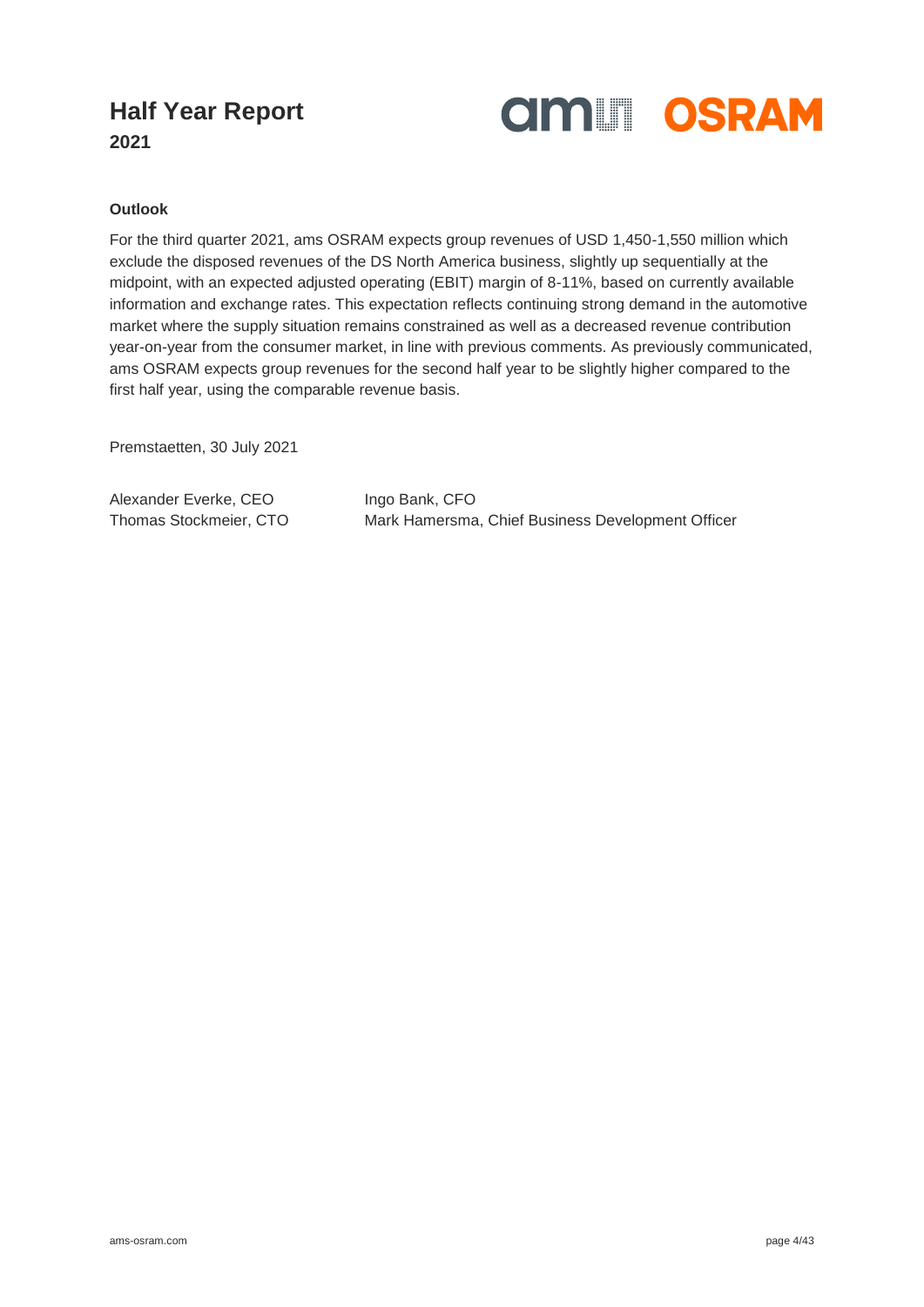

**2021**

### **Outlook**

For the third quarter 2021, ams OSRAM expects group revenues of USD 1,450-1,550 million which exclude the disposed revenues of the DS North America business, slightly up sequentially at the midpoint, with an expected adjusted operating (EBIT) margin of 8-11%, based on currently available information and exchange rates. This expectation reflects continuing strong demand in the automotive market where the supply situation remains constrained as well as a decreased revenue contribution year-on-year from the consumer market, in line with previous comments. As previously communicated, ams OSRAM expects group revenues for the second half year to be slightly higher compared to the first half year, using the comparable revenue basis.

Premstaetten, 30 July 2021

Alexander Everke, CEO Ingo Bank, CFO

Thomas Stockmeier, CTO Mark Hamersma, Chief Business Development Officer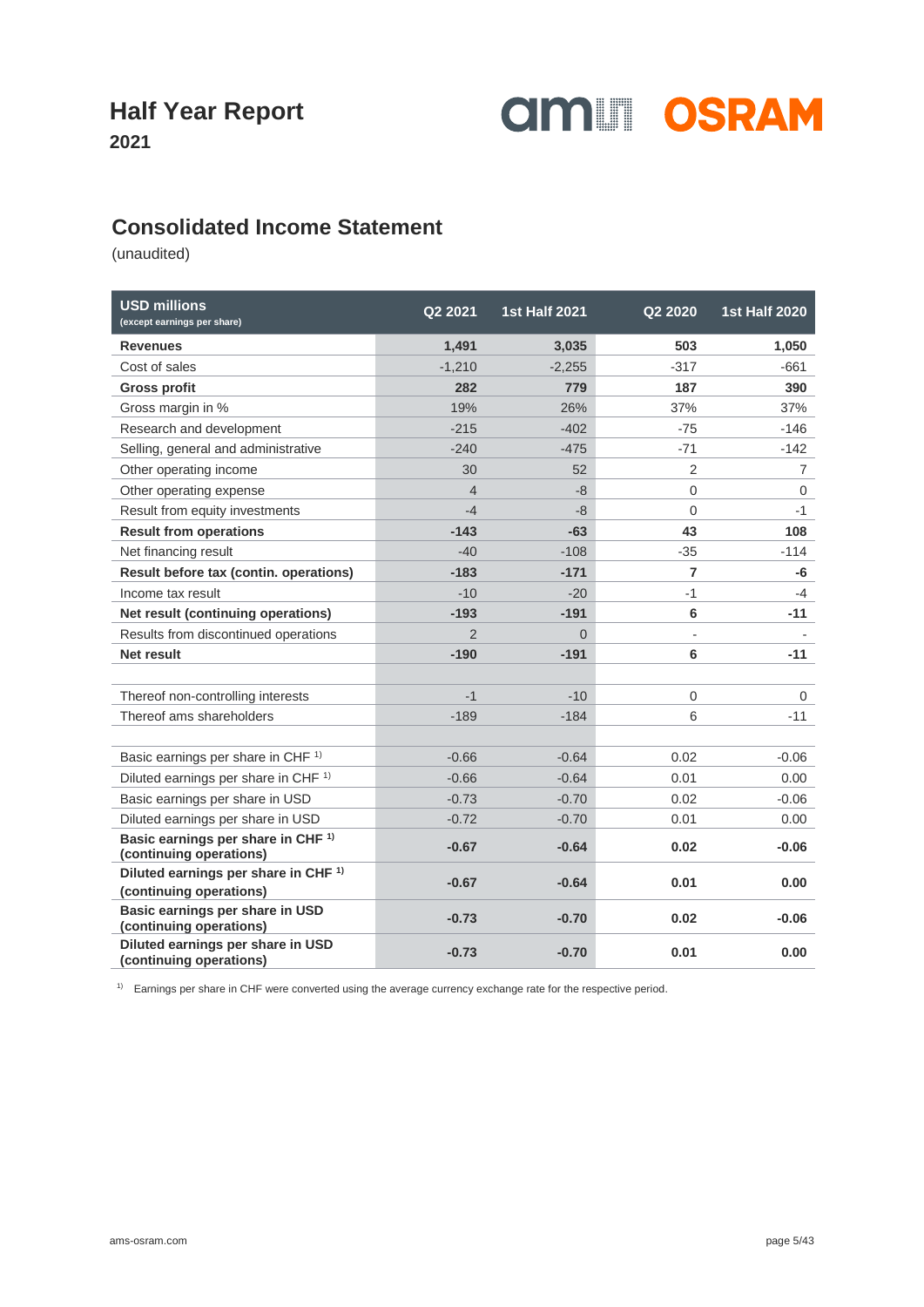

**2021**

### **Consolidated Income Statement**

(unaudited)

| <b>USD millions</b><br>(except earnings per share)                         | Q2 2021        | <b>1st Half 2021</b> | Q2 2020        | <b>1st Half 2020</b> |
|----------------------------------------------------------------------------|----------------|----------------------|----------------|----------------------|
| <b>Revenues</b>                                                            | 1,491          | 3,035                | 503            | 1,050                |
| Cost of sales                                                              | $-1,210$       | $-2,255$             | $-317$         | $-661$               |
| <b>Gross profit</b>                                                        | 282            | 779                  | 187            | 390                  |
| Gross margin in %                                                          | 19%            | 26%                  | 37%            | 37%                  |
| Research and development                                                   | $-215$         | $-402$               | $-75$          | $-146$               |
| Selling, general and administrative                                        | $-240$         | $-475$               | $-71$          | $-142$               |
| Other operating income                                                     | 30             | 52                   | $\overline{2}$ | $\overline{7}$       |
| Other operating expense                                                    | $\overline{4}$ | $-8$                 | $\mathbf 0$    | $\mathbf 0$          |
| Result from equity investments                                             | $-4$           | -8                   | $\overline{0}$ | $-1$                 |
| <b>Result from operations</b>                                              | $-143$         | $-63$                | 43             | 108                  |
| Net financing result                                                       | $-40$          | $-108$               | $-35$          | $-114$               |
| Result before tax (contin. operations)                                     | $-183$         | $-171$               | 7              | -6                   |
| Income tax result                                                          | $-10$          | $-20$                | $-1$           | $-4$                 |
| Net result (continuing operations)                                         | $-193$         | $-191$               | 6              | $-11$                |
| Results from discontinued operations                                       | $\overline{2}$ | $\Omega$             |                |                      |
| <b>Net result</b>                                                          | $-190$         | $-191$               | 6              | $-11$                |
|                                                                            |                |                      |                |                      |
| Thereof non-controlling interests                                          | $-1$           | $-10$                | $\mathbf 0$    | $\mathbf{0}$         |
| Thereof ams shareholders                                                   | $-189$         | $-184$               | 6              | $-11$                |
|                                                                            |                |                      |                |                      |
| Basic earnings per share in CHF <sup>1)</sup>                              | $-0.66$        | $-0.64$              | 0.02           | $-0.06$              |
| Diluted earnings per share in CHF <sup>1)</sup>                            | $-0.66$        | $-0.64$              | 0.01           | 0.00                 |
| Basic earnings per share in USD                                            | $-0.73$        | $-0.70$              | 0.02           | $-0.06$              |
| Diluted earnings per share in USD                                          | $-0.72$        | $-0.70$              | 0.01           | 0.00                 |
| Basic earnings per share in CHF <sup>1)</sup><br>(continuing operations)   | $-0.67$        | $-0.64$              | 0.02           | $-0.06$              |
| Diluted earnings per share in CHF <sup>1)</sup><br>(continuing operations) | $-0.67$        | $-0.64$              | 0.01           | 0.00                 |
| Basic earnings per share in USD<br>(continuing operations)                 | $-0.73$        | $-0.70$              | 0.02           | $-0.06$              |
| Diluted earnings per share in USD<br>(continuing operations)               | $-0.73$        | $-0.70$              | 0.01           | 0.00                 |

1) Earnings per share in CHF were converted using the average currency exchange rate for the respective period.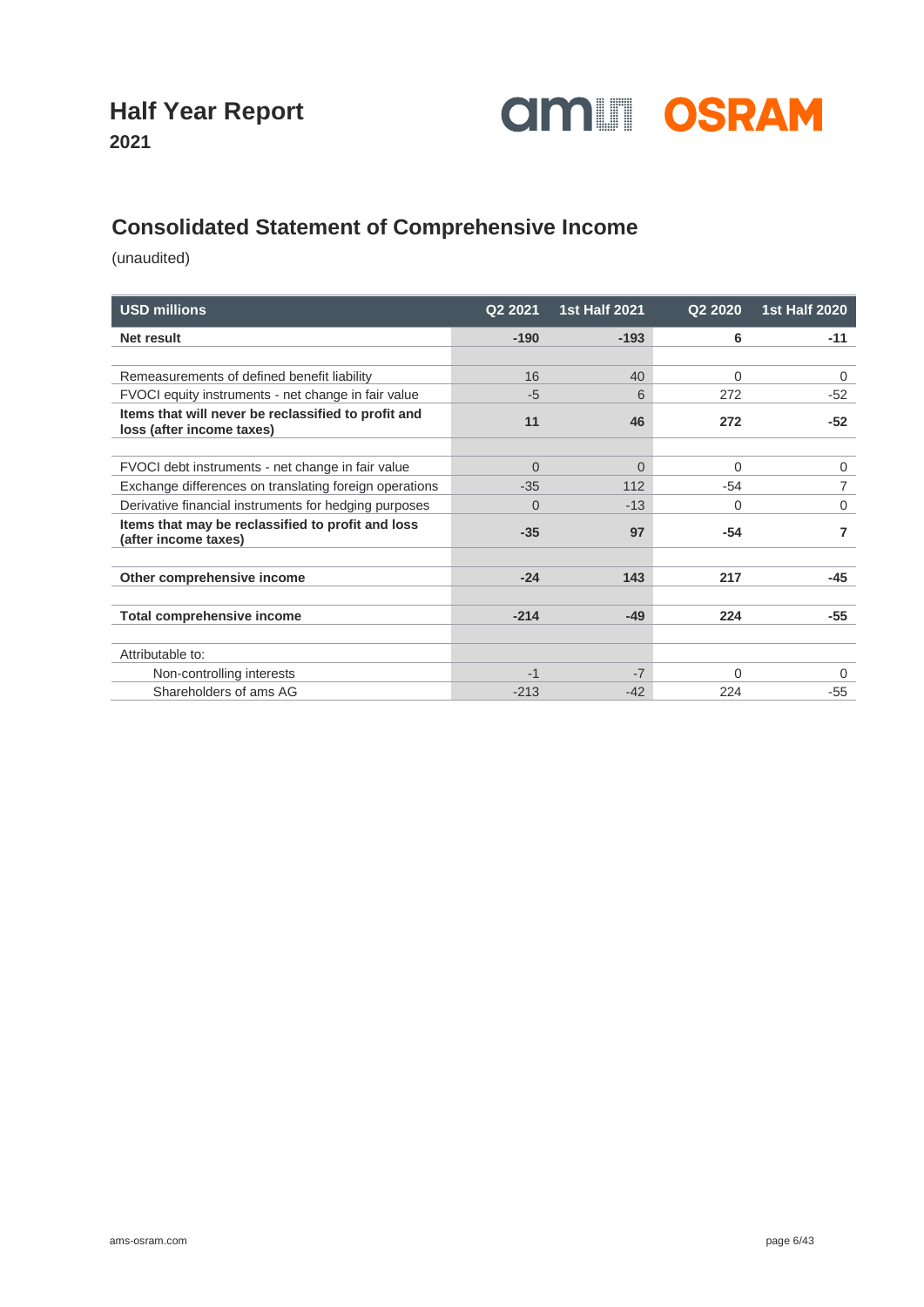

**2021**

### **Consolidated Statement of Comprehensive Income**

| <b>USD millions</b>                                                              | Q2 2021  | <b>1st Half 2021</b> | Q2 2020 | <b>1st Half 2020</b> |
|----------------------------------------------------------------------------------|----------|----------------------|---------|----------------------|
| Net result                                                                       | $-190$   | $-193$               | 6       | $-11$                |
|                                                                                  |          |                      |         |                      |
| Remeasurements of defined benefit liability                                      | 16       | 40                   | 0       | 0                    |
| FVOCI equity instruments - net change in fair value                              | $-5$     | 6                    | 272     | $-52$                |
| Items that will never be reclassified to profit and<br>loss (after income taxes) | 11       | 46                   | 272     | $-52$                |
|                                                                                  |          |                      |         |                      |
| FVOCI debt instruments - net change in fair value                                | $\Omega$ | $\Omega$             | 0       | 0                    |
| Exchange differences on translating foreign operations                           | $-35$    | 112                  | $-54$   |                      |
| Derivative financial instruments for hedging purposes                            | $\Omega$ | $-13$                | 0       | 0                    |
| Items that may be reclassified to profit and loss<br>(after income taxes)        | $-35$    | 97                   | $-54$   | 7                    |
|                                                                                  |          |                      |         |                      |
| Other comprehensive income                                                       | $-24$    | 143                  | 217     | $-45$                |
|                                                                                  |          |                      |         |                      |
| <b>Total comprehensive income</b>                                                | $-214$   | $-49$                | 224     | $-55$                |
|                                                                                  |          |                      |         |                      |
| Attributable to:                                                                 |          |                      |         |                      |
| Non-controlling interests                                                        | $-1$     | $-7$                 | 0       | 0                    |
| Shareholders of ams AG                                                           | $-213$   | $-42$                | 224     | $-55$                |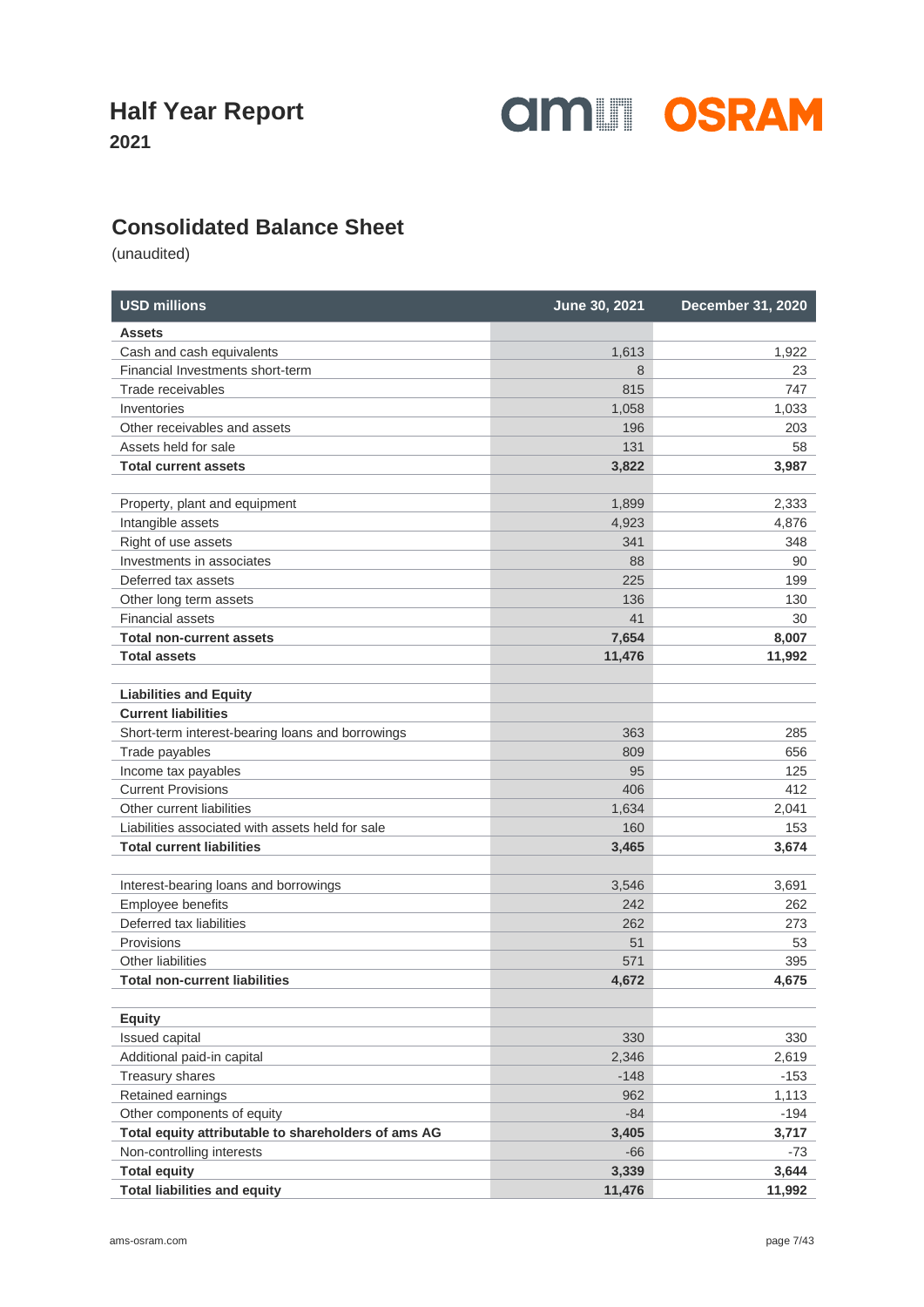**2021**



### **Consolidated Balance Sheet**

| <b>USD millions</b>                                 | June 30, 2021 | <b>December 31, 2020</b> |
|-----------------------------------------------------|---------------|--------------------------|
| <b>Assets</b>                                       |               |                          |
| Cash and cash equivalents                           | 1,613         | 1,922                    |
| Financial Investments short-term                    | 8             | 23                       |
| Trade receivables                                   | 815           | 747                      |
| Inventories                                         | 1,058         | 1,033                    |
| Other receivables and assets                        | 196           | 203                      |
| Assets held for sale                                | 131           | 58                       |
| <b>Total current assets</b>                         | 3,822         | 3,987                    |
| Property, plant and equipment                       | 1,899         | 2,333                    |
| Intangible assets                                   | 4,923         | 4,876                    |
| Right of use assets                                 | 341           | 348                      |
| Investments in associates                           | 88            | 90                       |
| Deferred tax assets                                 | 225           | 199                      |
| Other long term assets                              | 136           | 130                      |
| <b>Financial assets</b>                             | 41            | 30                       |
| <b>Total non-current assets</b>                     | 7,654         | 8,007                    |
| <b>Total assets</b>                                 | 11,476        | 11,992                   |
| <b>Liabilities and Equity</b>                       |               |                          |
| <b>Current liabilities</b>                          |               |                          |
| Short-term interest-bearing loans and borrowings    | 363           | 285                      |
| Trade payables                                      | 809           | 656                      |
| Income tax payables                                 | 95            | 125                      |
| <b>Current Provisions</b>                           | 406           | 412                      |
| Other current liabilities                           | 1,634         | 2,041                    |
| Liabilities associated with assets held for sale    | 160           | 153                      |
| <b>Total current liabilities</b>                    | 3,465         | 3,674                    |
| Interest-bearing loans and borrowings               | 3,546         | 3,691                    |
| Employee benefits                                   | 242           | 262                      |
| Deferred tax liabilities                            | 262           | 273                      |
| Provisions                                          | 51            | 53                       |
| Other liabilities                                   | 571           | 395                      |
| <b>Total non-current liabilities</b>                | 4,672         | 4,675                    |
| <b>Equity</b>                                       |               |                          |
| Issued capital                                      | 330           | 330                      |
| Additional paid-in capital                          | 2,346         | 2,619                    |
| Treasury shares                                     | $-148$        | $-153$                   |
| Retained earnings                                   | 962           | 1,113                    |
| Other components of equity                          | $-84$         | $-194$                   |
| Total equity attributable to shareholders of ams AG | 3,405         | 3,717                    |
| Non-controlling interests                           | $-66$         | -73                      |
| <b>Total equity</b>                                 | 3,339         | 3,644                    |
| <b>Total liabilities and equity</b>                 | 11,476        | 11,992                   |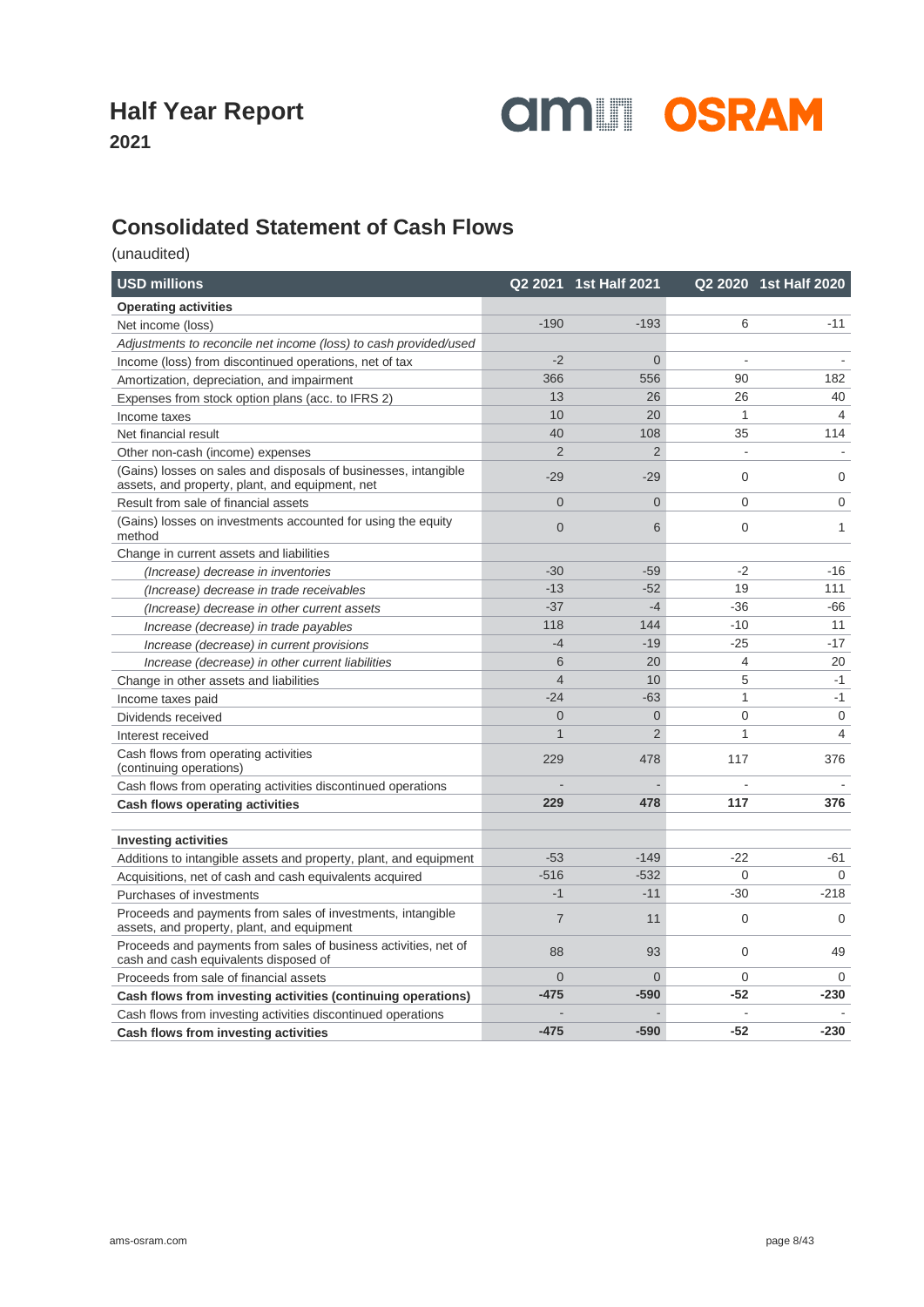

**2021**

### **Consolidated Statement of Cash Flows**

| <b>USD millions</b>                                                                                                |                | Q2 2021 1st Half 2021 |                | Q2 2020 1st Half 2020 |
|--------------------------------------------------------------------------------------------------------------------|----------------|-----------------------|----------------|-----------------------|
| <b>Operating activities</b>                                                                                        |                |                       |                |                       |
| Net income (loss)                                                                                                  | $-190$         | $-193$                | 6              | $-11$                 |
| Adjustments to reconcile net income (loss) to cash provided/used                                                   |                |                       |                |                       |
| Income (loss) from discontinued operations, net of tax                                                             | $-2$           | $\mathbf 0$           |                |                       |
| Amortization, depreciation, and impairment                                                                         | 366            | 556                   | 90             | 182                   |
| Expenses from stock option plans (acc. to IFRS 2)                                                                  | 13             | 26                    | 26             | 40                    |
| Income taxes                                                                                                       | 10             | 20                    | 1              | $\overline{4}$        |
| Net financial result                                                                                               | 40             | 108                   | 35             | 114                   |
| Other non-cash (income) expenses                                                                                   | $\overline{2}$ | $\overline{2}$        |                |                       |
| (Gains) losses on sales and disposals of businesses, intangible<br>assets, and property, plant, and equipment, net | $-29$          | $-29$                 | $\overline{0}$ | 0                     |
| Result from sale of financial assets                                                                               | $\overline{0}$ | $\overline{0}$        | $\mathbf 0$    | 0                     |
| (Gains) losses on investments accounted for using the equity<br>method                                             | $\overline{0}$ | 6                     | $\mathbf 0$    | 1                     |
| Change in current assets and liabilities                                                                           |                |                       |                |                       |
| (Increase) decrease in inventories                                                                                 | $-30$          | $-59$                 | $-2$           | $-16$                 |
| (Increase) decrease in trade receivables                                                                           | $-13$          | $-52$                 | 19             | 111                   |
| (Increase) decrease in other current assets                                                                        | $-37$          | $-4$                  | $-36$          | $-66$                 |
| Increase (decrease) in trade payables                                                                              | 118            | 144                   | $-10$          | 11                    |
| Increase (decrease) in current provisions                                                                          | $-4$           | $-19$                 | $-25$          | $-17$                 |
| Increase (decrease) in other current liabilities                                                                   | 6              | 20                    | 4              | 20                    |
| Change in other assets and liabilities                                                                             | $\overline{4}$ | 10                    | 5              | $-1$                  |
| Income taxes paid                                                                                                  | $-24$          | $-63$                 | $\mathbf{1}$   | $-1$                  |
| Dividends received                                                                                                 | $\overline{0}$ | $\overline{0}$        | $\overline{0}$ | $\mathbf{0}$          |
| Interest received                                                                                                  | $\mathbf{1}$   | $\overline{2}$        | 1              | $\overline{4}$        |
| Cash flows from operating activities<br>(continuing operations)                                                    | 229            | 478                   | 117            | 376                   |
| Cash flows from operating activities discontinued operations                                                       |                |                       |                |                       |
| <b>Cash flows operating activities</b>                                                                             | 229            | 478                   | 117            | 376                   |
|                                                                                                                    |                |                       |                |                       |
| <b>Investing activities</b>                                                                                        | $-53$          | $-149$                | $-22$          | -61                   |
| Additions to intangible assets and property, plant, and equipment                                                  | $-516$         | $-532$                | $\Omega$       | $\Omega$              |
| Acquisitions, net of cash and cash equivalents acquired                                                            | $-1$           | $-11$                 | $-30$          | $-218$                |
| Purchases of investments                                                                                           |                |                       |                |                       |
| Proceeds and payments from sales of investments, intangible<br>assets, and property, plant, and equipment          | $\overline{7}$ | 11                    | $\overline{0}$ | $\Omega$              |
| Proceeds and payments from sales of business activities, net of<br>cash and cash equivalents disposed of           | 88             | 93                    | $\mathbf{0}$   | 49                    |
| Proceeds from sale of financial assets                                                                             | $\overline{0}$ | $\overline{0}$        | 0              | $\mathbf 0$           |
| Cash flows from investing activities (continuing operations)                                                       | $-475$         | $-590$                | $-52$          | $-230$                |
| Cash flows from investing activities discontinued operations                                                       |                |                       |                |                       |
| Cash flows from investing activities                                                                               | $-475$         | $-590$                | $-52$          | $-230$                |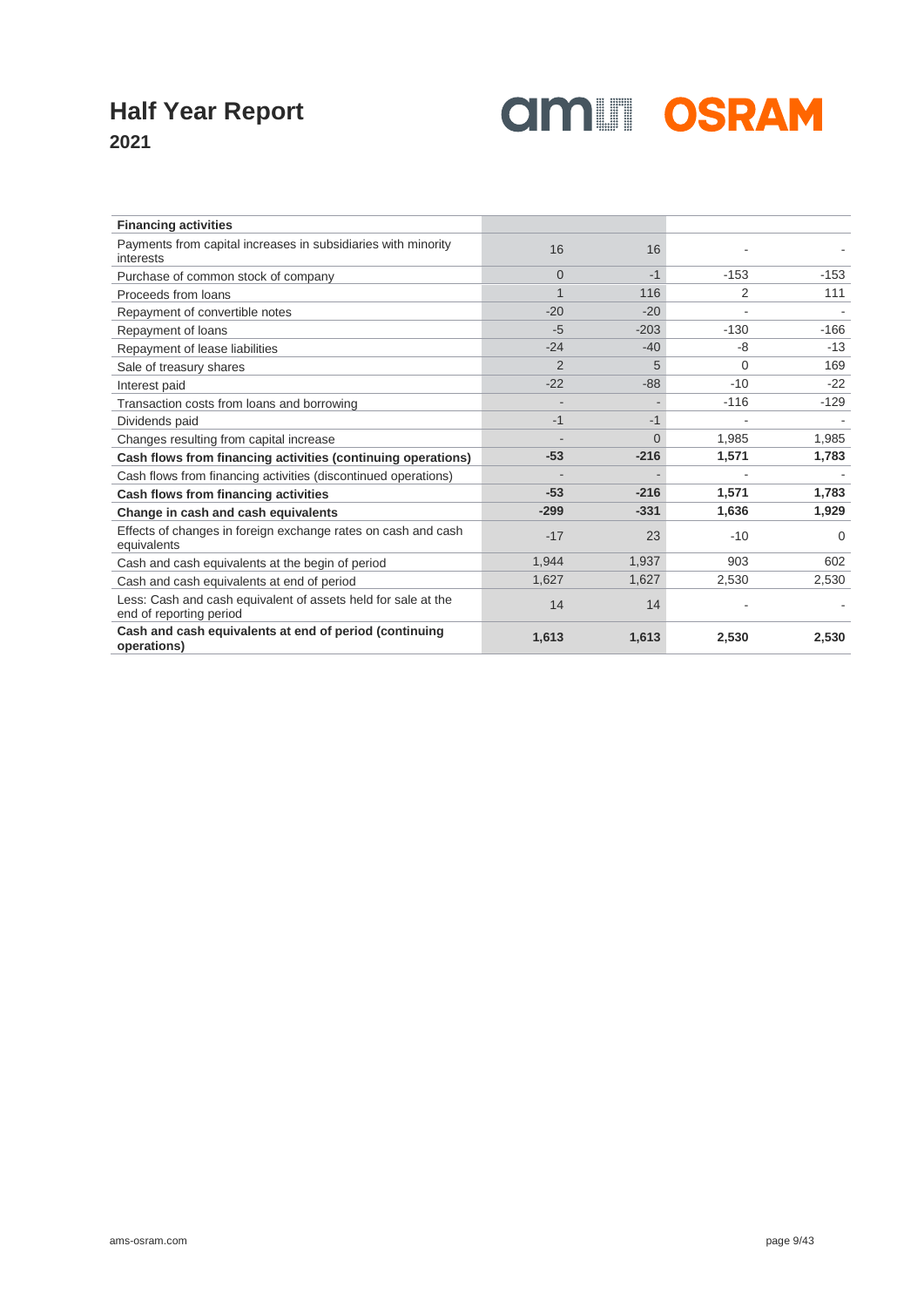

| <b>Financing activities</b>                                                              |                |          |        |          |
|------------------------------------------------------------------------------------------|----------------|----------|--------|----------|
| Payments from capital increases in subsidiaries with minority<br>interests               | 16             | 16       |        |          |
| Purchase of common stock of company                                                      | $\Omega$       | $-1$     | $-153$ | $-153$   |
| Proceeds from loans                                                                      |                | 116      | 2      | 111      |
| Repayment of convertible notes                                                           | $-20$          | $-20$    |        |          |
| Repayment of loans                                                                       | $-5$           | $-203$   | $-130$ | $-166$   |
| Repayment of lease liabilities                                                           | $-24$          | $-40$    | -8     | $-13$    |
| Sale of treasury shares                                                                  | $\overline{2}$ | 5        | 0      | 169      |
| Interest paid                                                                            | $-22$          | $-88$    | $-10$  | $-22$    |
| Transaction costs from loans and borrowing                                               |                |          | $-116$ | $-129$   |
| Dividends paid                                                                           | $-1$           | $-1$     |        |          |
| Changes resulting from capital increase                                                  |                | $\Omega$ | 1,985  | 1,985    |
| Cash flows from financing activities (continuing operations)                             | $-53$          | $-216$   | 1,571  | 1,783    |
| Cash flows from financing activities (discontinued operations)                           |                |          |        |          |
| Cash flows from financing activities                                                     | $-53$          | $-216$   | 1,571  | 1,783    |
| Change in cash and cash equivalents                                                      | $-299$         | $-331$   | 1,636  | 1,929    |
| Effects of changes in foreign exchange rates on cash and cash<br>equivalents             | $-17$          | 23       | $-10$  | $\Omega$ |
| Cash and cash equivalents at the begin of period                                         | 1.944          | 1,937    | 903    | 602      |
| Cash and cash equivalents at end of period                                               | 1,627          | 1,627    | 2,530  | 2,530    |
| Less: Cash and cash equivalent of assets held for sale at the<br>end of reporting period | 14             | 14       |        |          |
| Cash and cash equivalents at end of period (continuing<br>operations)                    | 1,613          | 1,613    | 2,530  | 2,530    |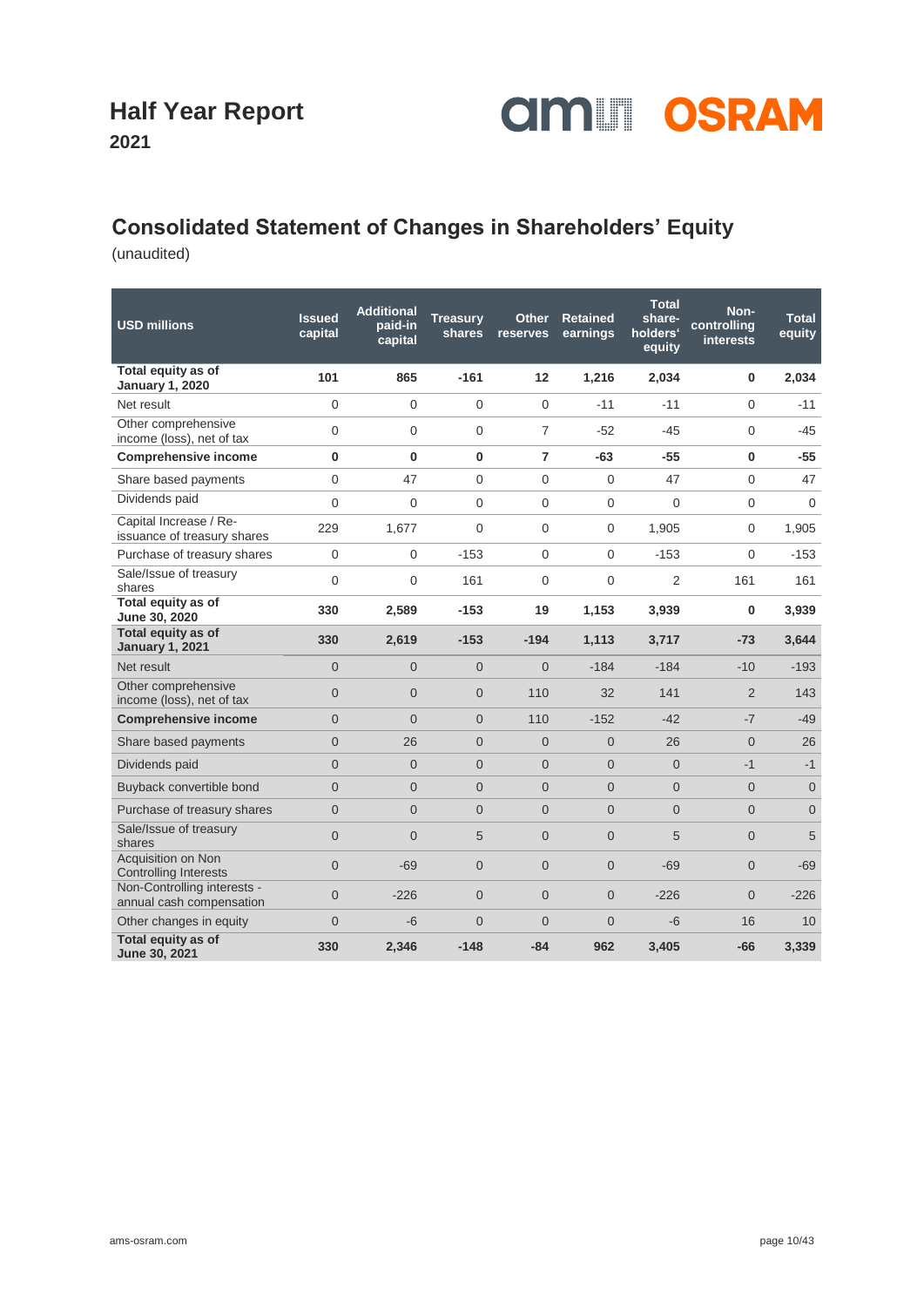

### **2021**

### **Consolidated Statement of Changes in Shareholders' Equity**

| <b>USD millions</b>                                     | <b>Issued</b><br>capital | <b>Additional</b><br>paid-in<br>capital | <b>Treasury</b><br>shares | <b>Other</b><br>reserves | Retained<br>earnings | <b>Total</b><br>share-<br>holders'<br>equity | Non-<br>controlling<br>interests | <b>Total</b><br>equity |
|---------------------------------------------------------|--------------------------|-----------------------------------------|---------------------------|--------------------------|----------------------|----------------------------------------------|----------------------------------|------------------------|
| Total equity as of<br><b>January 1, 2020</b>            | 101                      | 865                                     | $-161$                    | 12                       | 1,216                | 2,034                                        | 0                                | 2,034                  |
| Net result                                              | $\Omega$                 | $\Omega$                                | $\overline{0}$            | $\Omega$                 | $-11$                | $-11$                                        | $\Omega$                         | $-11$                  |
| Other comprehensive<br>income (loss), net of tax        | $\overline{0}$           | $\Omega$                                | $\Omega$                  | $\overline{7}$           | $-52$                | $-45$                                        | $\Omega$                         | $-45$                  |
| <b>Comprehensive income</b>                             | 0                        | $\bf{0}$                                | $\bf{0}$                  | $\overline{7}$           | $-63$                | $-55$                                        | $\bf{0}$                         | $-55$                  |
| Share based payments                                    | $\Omega$                 | 47                                      | $\Omega$                  | $\Omega$                 | $\Omega$             | 47                                           | $\Omega$                         | 47                     |
| Dividends paid                                          | $\overline{0}$           | $\mathbf 0$                             | 0                         | 0                        | $\mathbf 0$          | $\mathbf 0$                                  | 0                                | $\mathbf{0}$           |
| Capital Increase / Re-<br>issuance of treasury shares   | 229                      | 1,677                                   | $\Omega$                  | $\Omega$                 | 0                    | 1,905                                        | 0                                | 1,905                  |
| Purchase of treasury shares                             | $\Omega$                 | $\Omega$                                | $-153$                    | $\Omega$                 | $\Omega$             | $-153$                                       | $\Omega$                         | $-153$                 |
| Sale/Issue of treasury<br>shares                        | 0                        | 0                                       | 161                       | 0                        | 0                    | $\overline{2}$                               | 161                              | 161                    |
| Total equity as of<br>June 30, 2020                     | 330                      | 2,589                                   | $-153$                    | 19                       | 1,153                | 3,939                                        | 0                                | 3,939                  |
| Total equity as of<br><b>January 1, 2021</b>            | 330                      | 2,619                                   | $-153$                    | $-194$                   | 1,113                | 3,717                                        | $-73$                            | 3,644                  |
| Net result                                              | $\overline{0}$           | $\Omega$                                | $\overline{0}$            | $\Omega$                 | $-184$               | $-184$                                       | $-10$                            | $-193$                 |
| Other comprehensive<br>income (loss), net of tax        | $\overline{0}$           | $\Omega$                                |                           |                          | 32                   | 141                                          |                                  |                        |
|                                                         |                          |                                         | $\Omega$                  | 110                      |                      |                                              | $\overline{2}$                   | 143                    |
| <b>Comprehensive income</b>                             | $\overline{0}$           | $\overline{0}$                          | $\overline{0}$            | 110                      | $-152$               | $-42$                                        | $-7$                             | $-49$                  |
| Share based payments                                    | $\overline{0}$           | 26                                      | $\overline{0}$            | $\Omega$                 | $\overline{0}$       | 26                                           | $\Omega$                         | 26                     |
| Dividends paid                                          | $\Omega$                 | $\overline{0}$                          | $\overline{0}$            | $\overline{0}$           | $\overline{0}$       | $\Omega$                                     | $-1$                             | $-1$                   |
| Buyback convertible bond                                | $\Omega$                 | $\overline{0}$                          | $\overline{0}$            | $\Omega$                 | $\Omega$             | $\Omega$                                     | $\Omega$                         | $\Omega$               |
| Purchase of treasury shares                             | $\overline{0}$           | $\overline{0}$                          | $\overline{0}$            | $\overline{0}$           | $\overline{0}$       | $\overline{0}$                               | $\overline{0}$                   | $\overline{0}$         |
| Sale/Issue of treasury<br>shares                        | $\Omega$                 | $\Omega$                                | 5                         | $\Omega$                 | $\Omega$             | 5                                            | $\Omega$                         | 5                      |
| Acquisition on Non<br><b>Controlling Interests</b>      | $\Omega$                 | $-69$                                   | $\overline{0}$            | $\Omega$                 | $\Omega$             | $-69$                                        | $\Omega$                         | $-69$                  |
| Non-Controlling interests -<br>annual cash compensation | $\overline{0}$           | $-226$                                  | $\overline{0}$            | $\Omega$                 | $\overline{0}$       | $-226$                                       | $\overline{0}$                   | $-226$                 |
| Other changes in equity<br>Total equity as of           | $\Omega$                 | $-6$                                    | $\overline{0}$            | $\Omega$                 | $\overline{0}$       | -6                                           | 16                               | 10                     |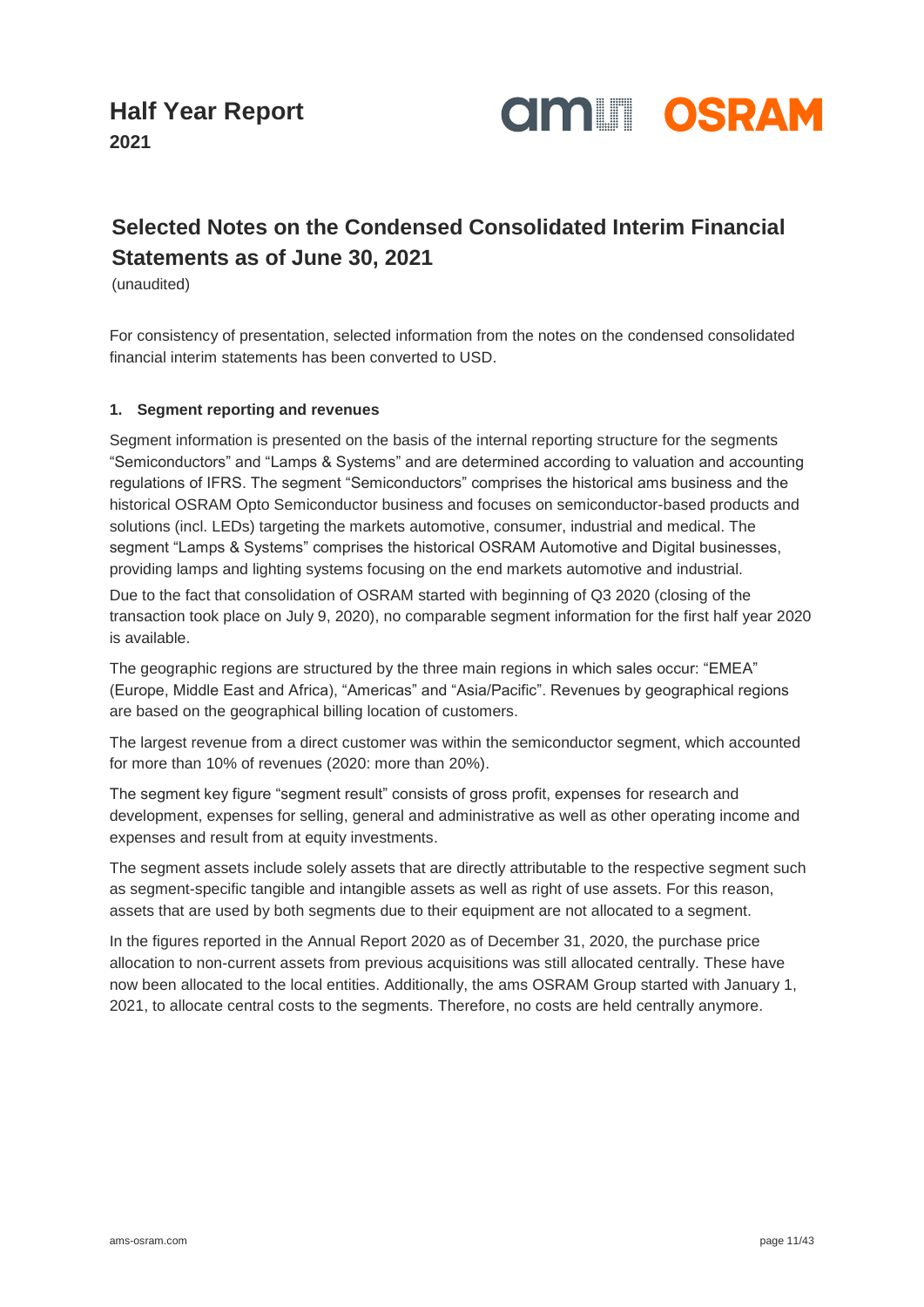

### **Selected Notes on the Condensed Consolidated Interim Financial Statements as of June 30, 2021**

(unaudited)

For consistency of presentation, selected information from the notes on the condensed consolidated financial interim statements has been converted to USD.

### **1. Segment reporting and revenues**

Segment information is presented on the basis of the internal reporting structure for the segments "Semiconductors" and "Lamps & Systems" and are determined according to valuation and accounting regulations of IFRS. The segment "Semiconductors" comprises the historical ams business and the historical OSRAM Opto Semiconductor business and focuses on semiconductor-based products and solutions (incl. LEDs) targeting the markets automotive, consumer, industrial and medical. The segment "Lamps & Systems" comprises the historical OSRAM Automotive and Digital businesses, providing lamps and lighting systems focusing on the end markets automotive and industrial.

Due to the fact that consolidation of OSRAM started with beginning of Q3 2020 (closing of the transaction took place on July 9, 2020), no comparable segment information for the first half year 2020 is available.

The geographic regions are structured by the three main regions in which sales occur: "EMEA" (Europe, Middle East and Africa), "Americas" and "Asia/Pacific". Revenues by geographical regions are based on the geographical billing location of customers.

The largest revenue from a direct customer was within the semiconductor segment, which accounted for more than 10% of revenues (2020: more than 20%).

The segment key figure "segment result" consists of gross profit, expenses for research and development, expenses for selling, general and administrative as well as other operating income and expenses and result from at equity investments.

The segment assets include solely assets that are directly attributable to the respective segment such as segment-specific tangible and intangible assets as well as right of use assets. For this reason, assets that are used by both segments due to their equipment are not allocated to a segment.

In the figures reported in the Annual Report 2020 as of December 31, 2020, the purchase price allocation to non-current assets from previous acquisitions was still allocated centrally. These have now been allocated to the local entities. Additionally, the ams OSRAM Group started with January 1, 2021, to allocate central costs to the segments. Therefore, no costs are held centrally anymore.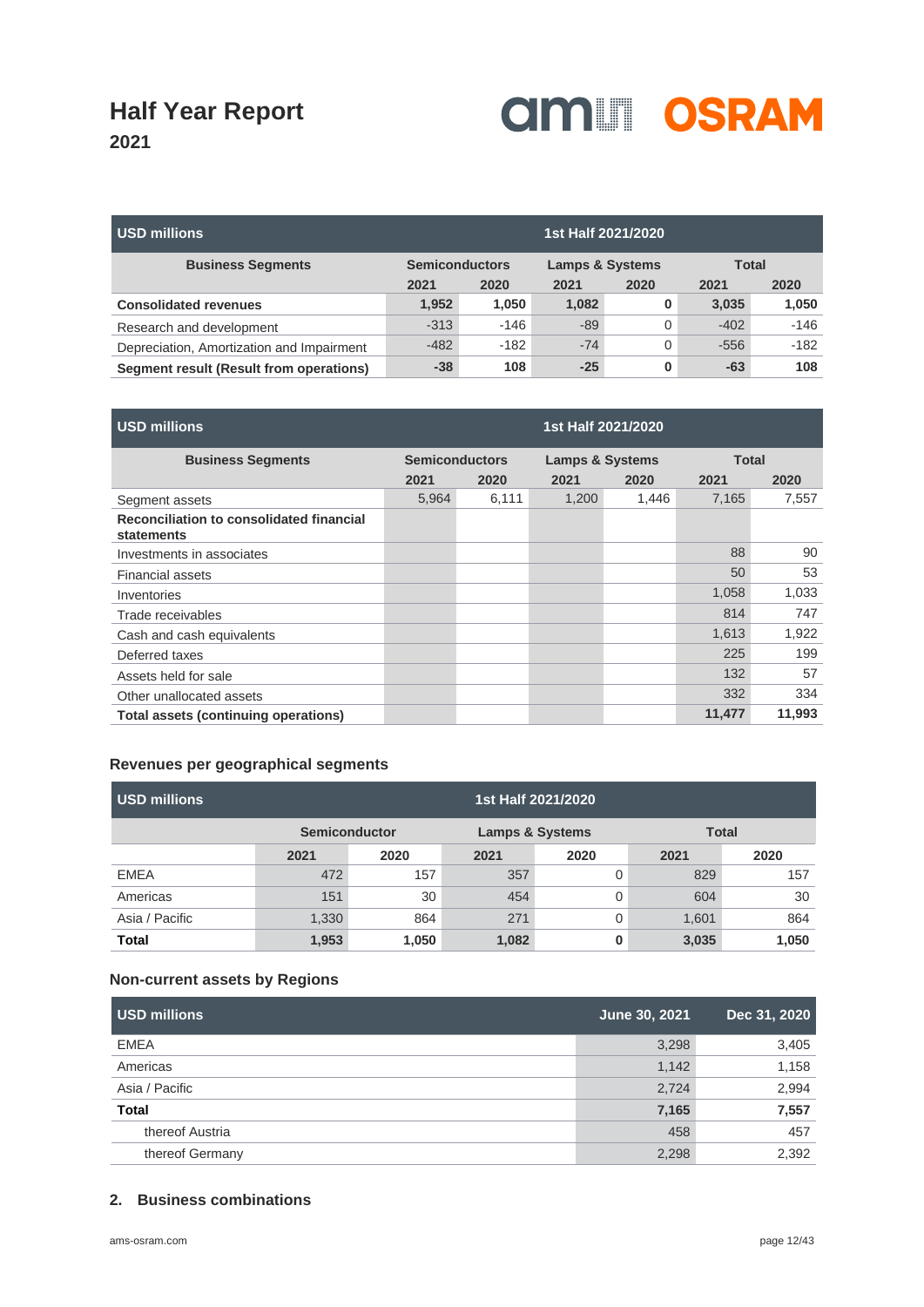

| USD millions                              |        |                       |       | 1st Half 2021/2020         |        |              |  |
|-------------------------------------------|--------|-----------------------|-------|----------------------------|--------|--------------|--|
| <b>Business Segments</b>                  |        | <b>Semiconductors</b> |       | <b>Lamps &amp; Systems</b> |        | <b>Total</b> |  |
|                                           | 2021   | 2020                  | 2021  | 2020                       | 2021   | 2020         |  |
| <b>Consolidated revenues</b>              | 1,952  | 1,050                 | 1,082 | 0                          | 3,035  | 1,050        |  |
| Research and development                  | $-313$ | $-146$                | $-89$ | 0                          | $-402$ | $-146$       |  |
| Depreciation, Amortization and Impairment | $-482$ | $-182$                | $-74$ | 0                          | $-556$ | $-182$       |  |
| Segment result (Result from operations)   | $-38$  | 108                   | $-25$ | 0                          | $-63$  | 108          |  |

| <b>USD millions</b>                                    |                       |       | 1st Half 2021/2020         |       |              |        |
|--------------------------------------------------------|-----------------------|-------|----------------------------|-------|--------------|--------|
| <b>Business Segments</b>                               | <b>Semiconductors</b> |       | <b>Lamps &amp; Systems</b> |       | <b>Total</b> |        |
|                                                        | 2021                  | 2020  | 2021                       | 2020  | 2021         | 2020   |
| Segment assets                                         | 5,964                 | 6,111 | 1,200                      | 1,446 | 7,165        | 7,557  |
| Reconciliation to consolidated financial<br>statements |                       |       |                            |       |              |        |
| Investments in associates                              |                       |       |                            |       | 88           | 90     |
| <b>Financial assets</b>                                |                       |       |                            |       | 50           | 53     |
| Inventories                                            |                       |       |                            |       | 1,058        | 1,033  |
| Trade receivables                                      |                       |       |                            |       | 814          | 747    |
| Cash and cash equivalents                              |                       |       |                            |       | 1,613        | 1,922  |
| Deferred taxes                                         |                       |       |                            |       | 225          | 199    |
| Assets held for sale                                   |                       |       |                            |       | 132          | 57     |
| Other unallocated assets                               |                       |       |                            |       | 332          | 334    |
| Total assets (continuing operations)                   |                       |       |                            |       | 11,477       | 11,993 |

### **Revenues per geographical segments**

| USD millions   | 1st Half 2021/2020                                 |       |       |      |       |              |
|----------------|----------------------------------------------------|-------|-------|------|-------|--------------|
|                | <b>Semiconductor</b><br><b>Lamps &amp; Systems</b> |       |       |      |       | <b>Total</b> |
|                | 2021                                               | 2020  | 2021  | 2020 | 2021  | 2020         |
| <b>EMEA</b>    | 472                                                | 157   | 357   |      | 829   | 157          |
| Americas       | 151                                                | 30    | 454   |      | 604   | 30           |
| Asia / Pacific | 1,330                                              | 864   | 271   |      | 1,601 | 864          |
| <b>Total</b>   | 1,953                                              | 1,050 | 1,082 |      | 3,035 | 1,050        |

### **Non-current assets by Regions**

| <b>USD millions</b> | June 30, 2021 | Dec 31, 2020 |
|---------------------|---------------|--------------|
| <b>EMEA</b>         | 3,298         | 3,405        |
| Americas            | 1,142         | 1,158        |
| Asia / Pacific      | 2,724         | 2,994        |
| <b>Total</b>        | 7,165         | 7,557        |
| thereof Austria     | 458           | 457          |
| thereof Germany     | 2,298         | 2,392        |

### **2. Business combinations**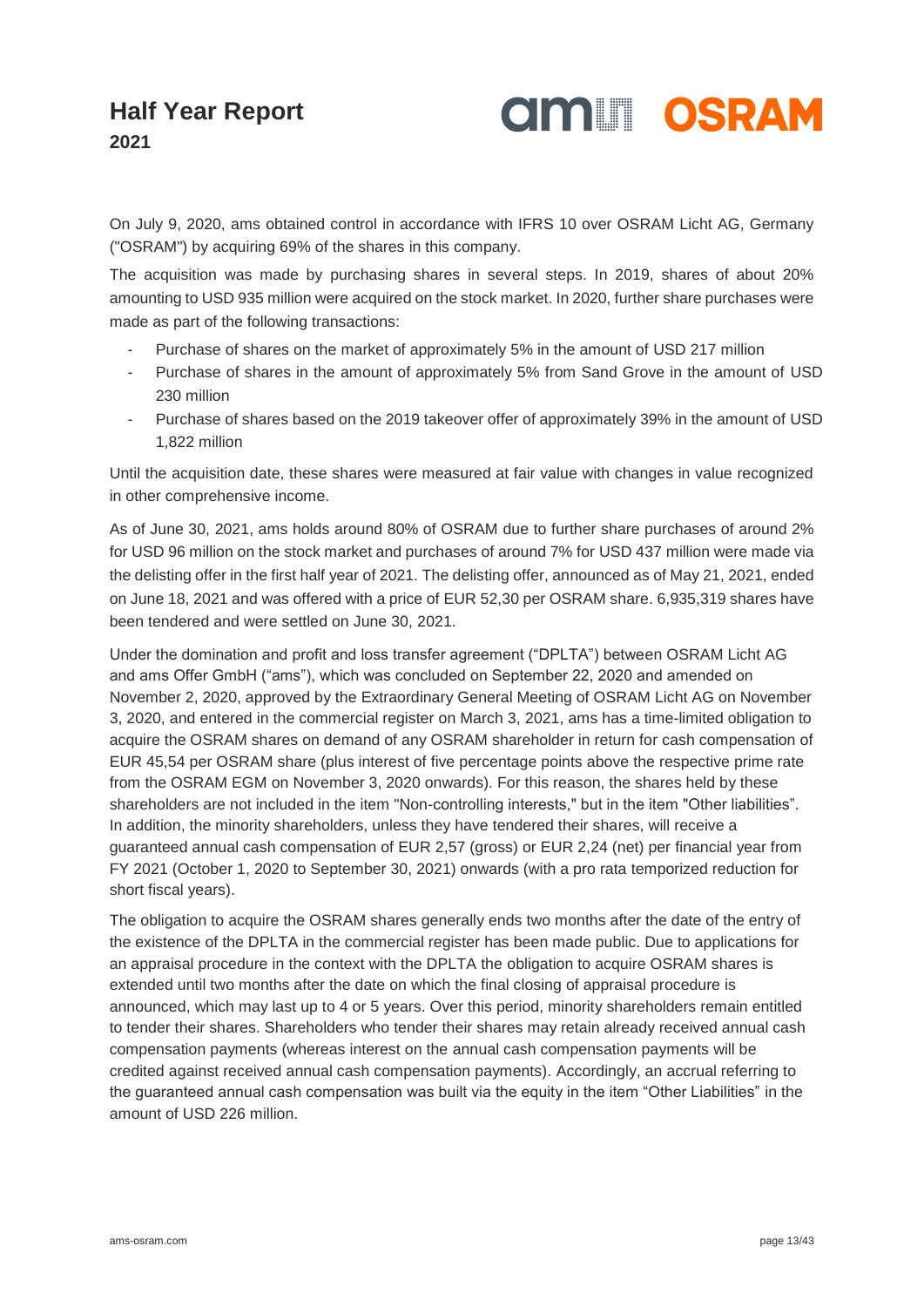

On July 9, 2020, ams obtained control in accordance with IFRS 10 over OSRAM Licht AG, Germany ("OSRAM") by acquiring 69% of the shares in this company.

The acquisition was made by purchasing shares in several steps. In 2019, shares of about 20% amounting to USD 935 million were acquired on the stock market. In 2020, further share purchases were made as part of the following transactions:

- Purchase of shares on the market of approximately 5% in the amount of USD 217 million
- Purchase of shares in the amount of approximately 5% from Sand Grove in the amount of USD 230 million
- Purchase of shares based on the 2019 takeover offer of approximately 39% in the amount of USD 1,822 million

Until the acquisition date, these shares were measured at fair value with changes in value recognized in other comprehensive income.

As of June 30, 2021, ams holds around 80% of OSRAM due to further share purchases of around 2% for USD 96 million on the stock market and purchases of around 7% for USD 437 million were made via the delisting offer in the first half year of 2021. The delisting offer, announced as of May 21, 2021, ended on June 18, 2021 and was offered with a price of EUR 52,30 per OSRAM share. 6,935,319 shares have been tendered and were settled on June 30, 2021.

Under the domination and profit and loss transfer agreement ("DPLTA") between OSRAM Licht AG and ams Offer GmbH ("ams"), which was concluded on September 22, 2020 and amended on November 2, 2020, approved by the Extraordinary General Meeting of OSRAM Licht AG on November 3, 2020, and entered in the commercial register on March 3, 2021, ams has a time-limited obligation to acquire the OSRAM shares on demand of any OSRAM shareholder in return for cash compensation of EUR 45,54 per OSRAM share (plus interest of five percentage points above the respective prime rate from the OSRAM EGM on November 3, 2020 onwards). For this reason, the shares held by these shareholders are not included in the item "Non-controlling interests," but in the item "Other liabilities". In addition, the minority shareholders, unless they have tendered their shares, will receive a guaranteed annual cash compensation of EUR 2,57 (gross) or EUR 2,24 (net) per financial year from FY 2021 (October 1, 2020 to September 30, 2021) onwards (with a pro rata temporized reduction for short fiscal years).

The obligation to acquire the OSRAM shares generally ends two months after the date of the entry of the existence of the DPLTA in the commercial register has been made public. Due to applications for an appraisal procedure in the context with the DPLTA the obligation to acquire OSRAM shares is extended until two months after the date on which the final closing of appraisal procedure is announced, which may last up to 4 or 5 years. Over this period, minority shareholders remain entitled to tender their shares. Shareholders who tender their shares may retain already received annual cash compensation payments (whereas interest on the annual cash compensation payments will be credited against received annual cash compensation payments). Accordingly, an accrual referring to the guaranteed annual cash compensation was built via the equity in the item "Other Liabilities" in the amount of USD 226 million.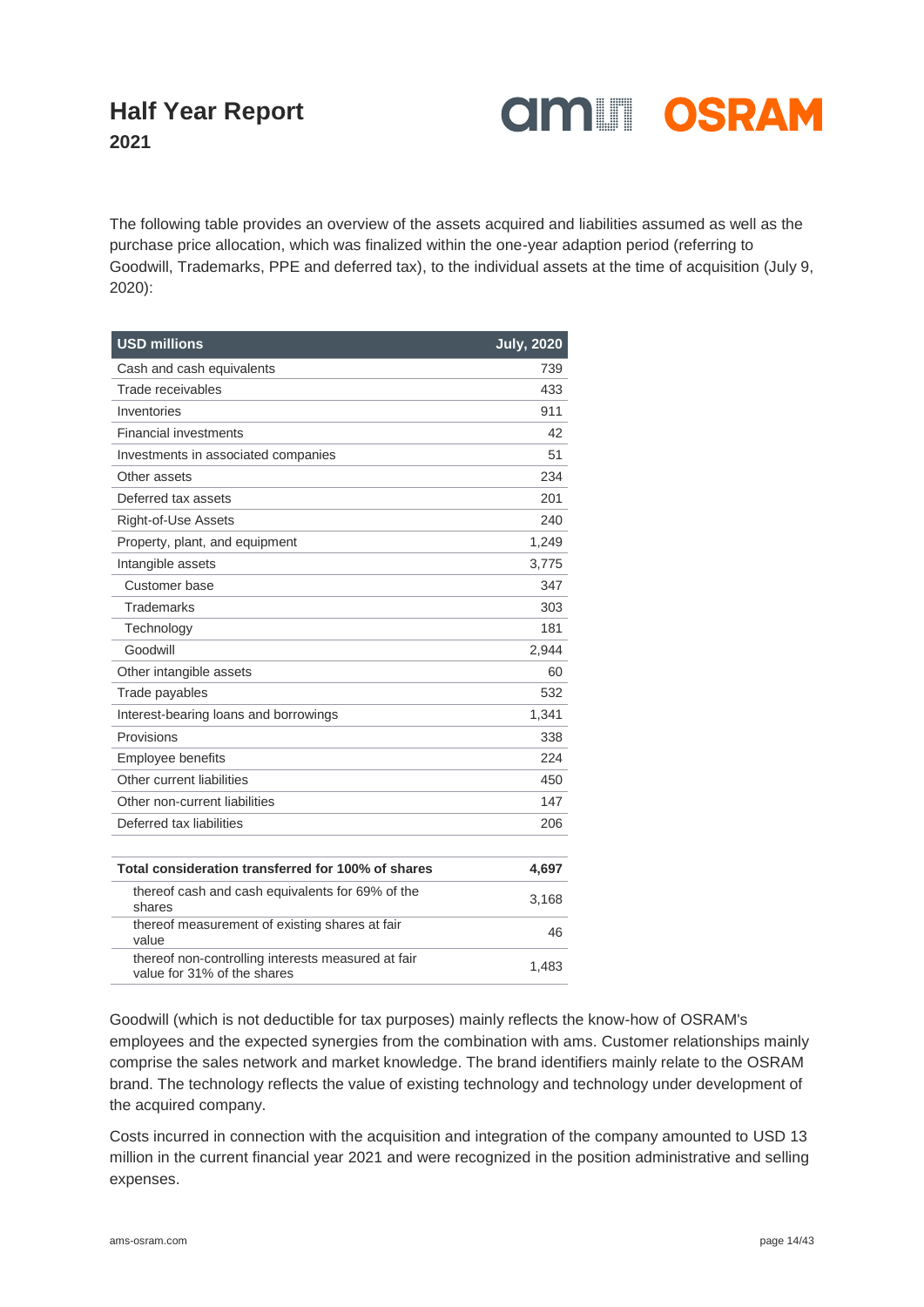

The following table provides an overview of the assets acquired and liabilities assumed as well as the purchase price allocation, which was finalized within the one-year adaption period (referring to Goodwill, Trademarks, PPE and deferred tax), to the individual assets at the time of acquisition (July 9, 2020):

| <b>USD millions</b>                                                               | <b>July, 2020</b> |
|-----------------------------------------------------------------------------------|-------------------|
| Cash and cash equivalents                                                         | 739               |
| Trade receivables                                                                 | 433               |
| Inventories                                                                       | 911               |
| <b>Financial investments</b>                                                      | 42                |
| Investments in associated companies                                               | 51                |
| Other assets                                                                      | 234               |
| Deferred tax assets                                                               | 201               |
| Right-of-Use Assets                                                               | 240               |
| Property, plant, and equipment                                                    | 1,249             |
| Intangible assets                                                                 | 3,775             |
| Customer base                                                                     | 347               |
| <b>Trademarks</b>                                                                 | 303               |
| Technology                                                                        | 181               |
| Goodwill                                                                          | 2,944             |
| Other intangible assets                                                           | 60                |
| Trade payables                                                                    | 532               |
| Interest-bearing loans and borrowings                                             | 1,341             |
| Provisions                                                                        | 338               |
| Employee benefits                                                                 | 224               |
| Other current liabilities                                                         | 450               |
| Other non-current liabilities                                                     | 147               |
| Deferred tax liabilities                                                          | 206               |
|                                                                                   |                   |
| Total consideration transferred for 100% of shares                                | 4,697             |
| thereof cash and cash equivalents for 69% of the<br>shares                        | 3,168             |
| thereof measurement of existing shares at fair<br>value                           | 46                |
| thereof non-controlling interests measured at fair<br>value for 31% of the shares | 1,483             |

Goodwill (which is not deductible for tax purposes) mainly reflects the know-how of OSRAM's employees and the expected synergies from the combination with ams. Customer relationships mainly comprise the sales network and market knowledge. The brand identifiers mainly relate to the OSRAM brand. The technology reflects the value of existing technology and technology under development of the acquired company.

Costs incurred in connection with the acquisition and integration of the company amounted to USD 13 million in the current financial year 2021 and were recognized in the position administrative and selling expenses.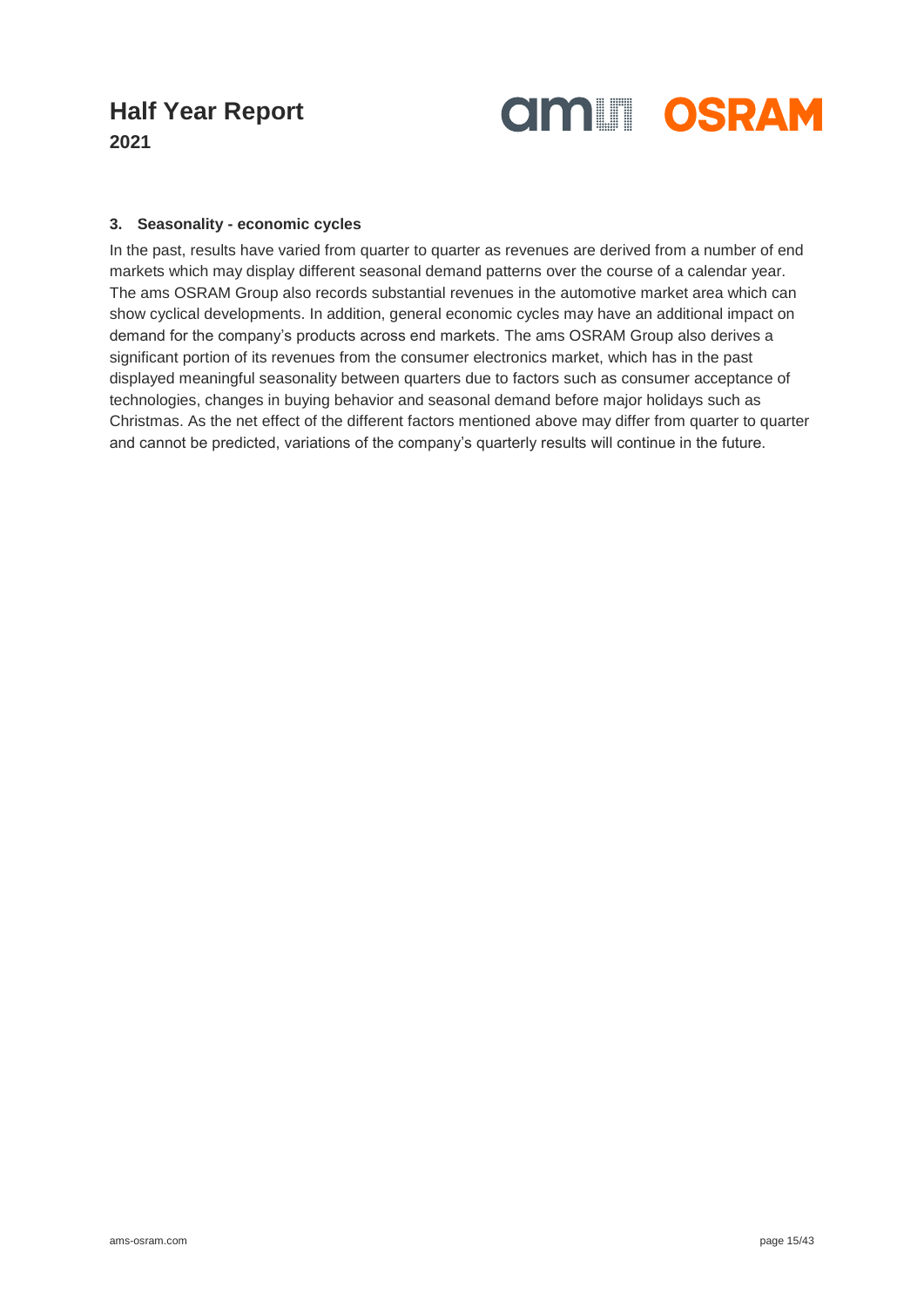

#### **3. Seasonality - economic cycles**

In the past, results have varied from quarter to quarter as revenues are derived from a number of end markets which may display different seasonal demand patterns over the course of a calendar year. The ams OSRAM Group also records substantial revenues in the automotive market area which can show cyclical developments. In addition, general economic cycles may have an additional impact on demand for the company's products across end markets. The ams OSRAM Group also derives a significant portion of its revenues from the consumer electronics market, which has in the past displayed meaningful seasonality between quarters due to factors such as consumer acceptance of technologies, changes in buying behavior and seasonal demand before major holidays such as Christmas. As the net effect of the different factors mentioned above may differ from quarter to quarter and cannot be predicted, variations of the company's quarterly results will continue in the future.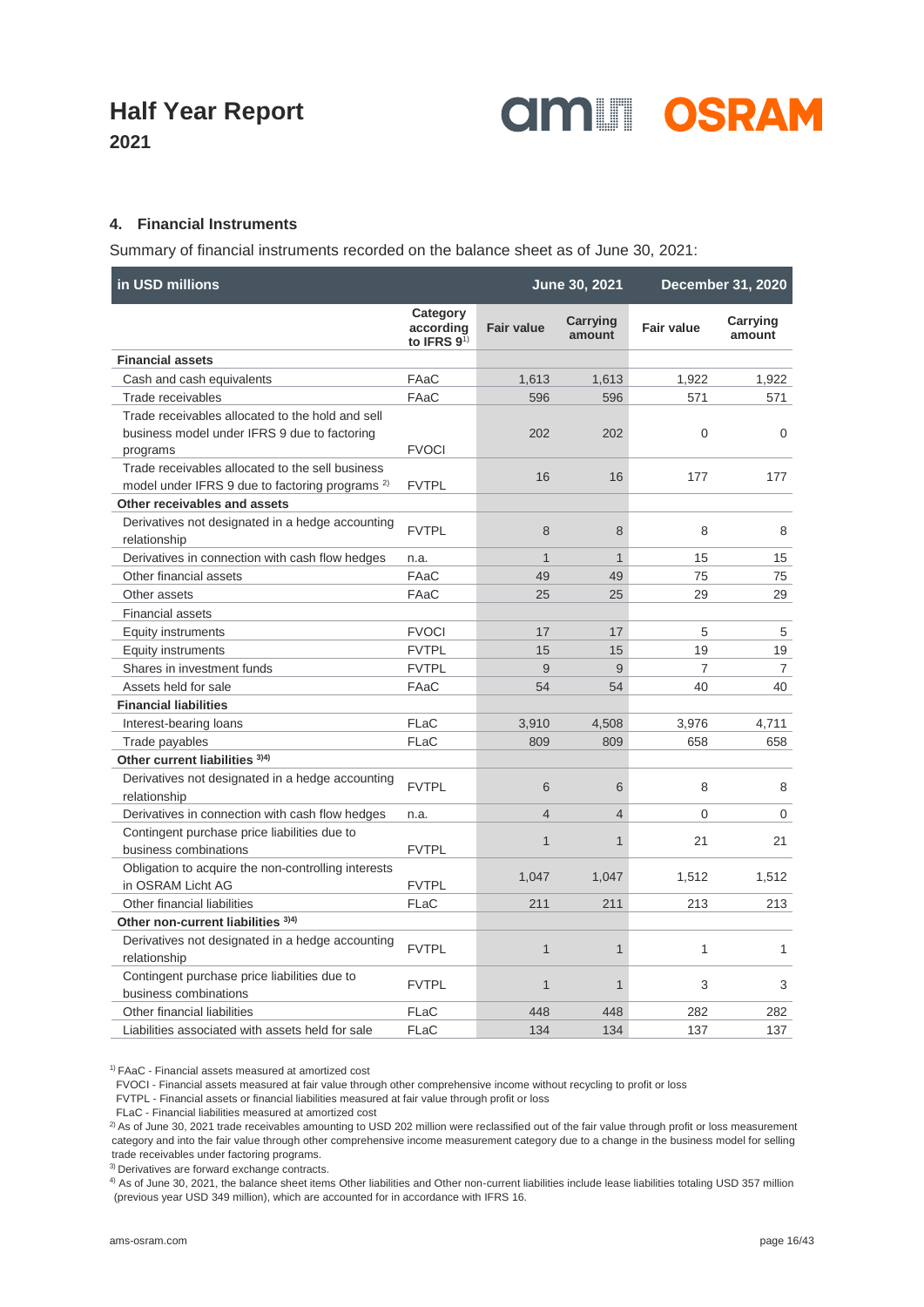

**2021**

### **4. Financial Instruments**

Summary of financial instruments recorded on the balance sheet as of June 30, 2021:

| in USD millions                                                       |                                          |                   | June 30, 2021      |                   | <b>December 31, 2020</b> |
|-----------------------------------------------------------------------|------------------------------------------|-------------------|--------------------|-------------------|--------------------------|
|                                                                       | Category<br>according<br>to IFRS $9^{1}$ | <b>Fair value</b> | Carrying<br>amount | <b>Fair value</b> | Carrying<br>amount       |
| <b>Financial assets</b>                                               |                                          |                   |                    |                   |                          |
| Cash and cash equivalents                                             | FAaC                                     | 1,613             | 1,613              | 1,922             | 1,922                    |
| Trade receivables                                                     | FAaC                                     | 596               | 596                | 571               | 571                      |
| Trade receivables allocated to the hold and sell                      |                                          |                   |                    |                   |                          |
| business model under IFRS 9 due to factoring                          |                                          | 202               | 202                | 0                 | 0                        |
| programs                                                              | <b>FVOCI</b>                             |                   |                    |                   |                          |
| Trade receivables allocated to the sell business                      |                                          | 16                | 16                 | 177               | 177                      |
| model under IFRS 9 due to factoring programs <sup>2)</sup>            | <b>FVTPL</b>                             |                   |                    |                   |                          |
| Other receivables and assets                                          |                                          |                   |                    |                   |                          |
| Derivatives not designated in a hedge accounting                      | <b>FVTPL</b>                             | 8                 | 8                  | 8                 | 8                        |
| relationship                                                          |                                          |                   |                    |                   |                          |
| Derivatives in connection with cash flow hedges                       | n.a.                                     | $\mathbf{1}$      | $\mathbf{1}$       | 15                | 15                       |
| Other financial assets                                                | FAaC                                     | 49                | 49                 | 75                | 75                       |
| Other assets                                                          | FAaC                                     | 25                | 25                 | 29                | 29                       |
| <b>Financial assets</b>                                               |                                          |                   |                    |                   |                          |
| <b>Equity instruments</b>                                             | <b>FVOCI</b>                             | 17                | 17                 | 5                 | 5                        |
| <b>Equity instruments</b>                                             | <b>FVTPL</b>                             | 15                | 15                 | 19                | 19                       |
| Shares in investment funds                                            | <b>FVTPL</b>                             | 9                 | 9                  | $\overline{7}$    | $\overline{7}$           |
| Assets held for sale                                                  | FAaC                                     | 54                | 54                 | 40                | 40                       |
| <b>Financial liabilities</b>                                          |                                          |                   |                    |                   |                          |
| Interest-bearing loans                                                | FLaC                                     | 3,910             | 4,508              | 3,976             | 4,711                    |
| Trade payables                                                        | FLaC                                     | 809               | 809                | 658               | 658                      |
| Other current liabilities 3)4)                                        |                                          |                   |                    |                   |                          |
| Derivatives not designated in a hedge accounting                      | <b>FVTPL</b>                             | 6                 | 6                  | 8                 | 8                        |
| relationship                                                          |                                          |                   |                    |                   |                          |
| Derivatives in connection with cash flow hedges                       | n.a.                                     | $\overline{4}$    | $\overline{4}$     | $\Omega$          | $\mathbf 0$              |
| Contingent purchase price liabilities due to<br>business combinations | <b>FVTPL</b>                             | $\mathbf{1}$      | $\mathbf{1}$       | 21                | 21                       |
| Obligation to acquire the non-controlling interests                   |                                          |                   |                    |                   |                          |
| in OSRAM Licht AG                                                     | <b>FVTPL</b>                             | 1,047             | 1.047              | 1,512             | 1,512                    |
| Other financial liabilities                                           | FLaC                                     | 211               | 211                | 213               | 213                      |
| Other non-current liabilities 3)4)                                    |                                          |                   |                    |                   |                          |
| Derivatives not designated in a hedge accounting                      |                                          |                   |                    |                   |                          |
| relationship                                                          | <b>FVTPL</b>                             | $\mathbf{1}$      | $\mathbf{1}$       | $\mathbf{1}$      | $\mathbf{1}$             |
| Contingent purchase price liabilities due to                          |                                          |                   |                    |                   |                          |
| business combinations                                                 | <b>FVTPL</b>                             | $\mathbf{1}$      | $\mathbf{1}$       | 3                 | 3                        |
| Other financial liabilities                                           | FLaC                                     | 448               | 448                | 282               | 282                      |
| Liabilities associated with assets held for sale                      | FLaC                                     | 134               | 134                | 137               | 137                      |

1) FAaC - Financial assets measured at amortized cost

FVOCI - Financial assets measured at fair value through other comprehensive income without recycling to profit or loss

FVTPL - Financial assets or financial liabilities measured at fair value through profit or loss

FLaC - Financial liabilities measured at amortized cost

<sup>2)</sup> As of June 30, 2021 trade receivables amounting to USD 202 million were reclassified out of the fair value through profit or loss measurement category and into the fair value through other comprehensive income measurement category due to a change in the business model for selling trade receivables under factoring programs.

3) Derivatives are forward exchange contracts.

4) As of June 30, 2021, the balance sheet items Other liabilities and Other non-current liabilities include lease liabilities totaling USD 357 million (previous year USD 349 million), which are accounted for in accordance with IFRS 16.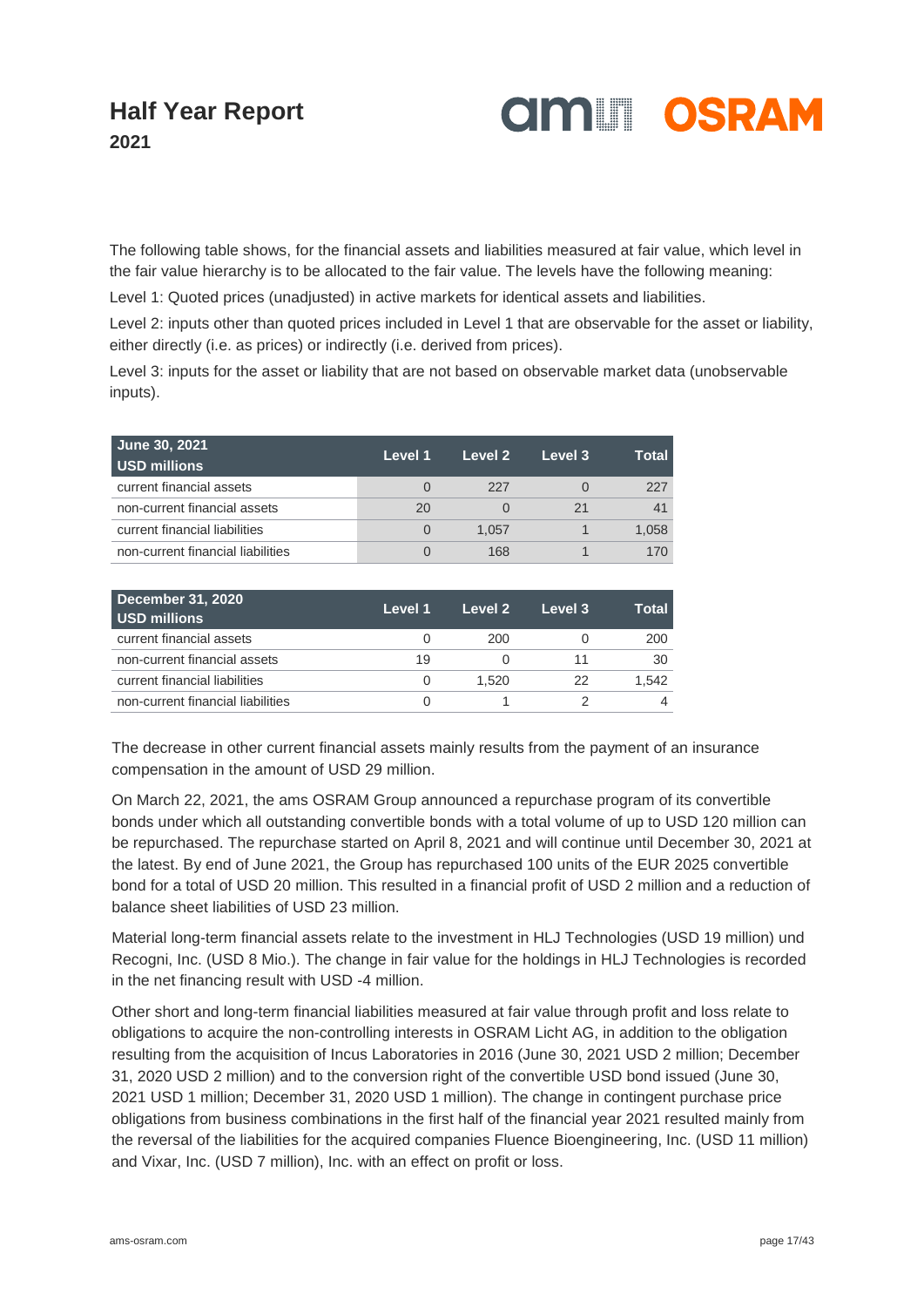

The following table shows, for the financial assets and liabilities measured at fair value, which level in the fair value hierarchy is to be allocated to the fair value. The levels have the following meaning:

Level 1: Quoted prices (unadjusted) in active markets for identical assets and liabilities.

Level 2: inputs other than quoted prices included in Level 1 that are observable for the asset or liability, either directly (i.e. as prices) or indirectly (i.e. derived from prices).

Level 3: inputs for the asset or liability that are not based on observable market data (unobservable inputs).

| June 30, 2021<br><b>USD millions</b> | Level 1 | Level 2 | Level 3 | Total |
|--------------------------------------|---------|---------|---------|-------|
| current financial assets             |         | -227    |         | 227   |
| non-current financial assets         | 20      |         | 21      | 41    |
| current financial liabilities        |         | 1.057   |         | 1,058 |
| non-current financial liabilities    |         | 168     |         | 170   |

| <b>December 31, 2020</b><br><b>USD millions</b> | Level 1          | Level 2 | Level 3 | Total |
|-------------------------------------------------|------------------|---------|---------|-------|
| current financial assets                        |                  | 200     |         | 200   |
| non-current financial assets                    | 19               |         | 11      | 30    |
| current financial liabilities                   | $\left( \right)$ | 1.520   | 22      | 1.542 |
| non-current financial liabilities               |                  |         |         |       |

The decrease in other current financial assets mainly results from the payment of an insurance compensation in the amount of USD 29 million.

On March 22, 2021, the ams OSRAM Group announced a repurchase program of its convertible bonds under which all outstanding convertible bonds with a total volume of up to USD 120 million can be repurchased. The repurchase started on April 8, 2021 and will continue until December 30, 2021 at the latest. By end of June 2021, the Group has repurchased 100 units of the EUR 2025 convertible bond for a total of USD 20 million. This resulted in a financial profit of USD 2 million and a reduction of balance sheet liabilities of USD 23 million.

Material long-term financial assets relate to the investment in HLJ Technologies (USD 19 million) und Recogni, Inc. (USD 8 Mio.). The change in fair value for the holdings in HLJ Technologies is recorded in the net financing result with USD -4 million.

Other short and long-term financial liabilities measured at fair value through profit and loss relate to obligations to acquire the non-controlling interests in OSRAM Licht AG, in addition to the obligation resulting from the acquisition of Incus Laboratories in 2016 (June 30, 2021 USD 2 million; December 31, 2020 USD 2 million) and to the conversion right of the convertible USD bond issued (June 30, 2021 USD 1 million; December 31, 2020 USD 1 million). The change in contingent purchase price obligations from business combinations in the first half of the financial year 2021 resulted mainly from the reversal of the liabilities for the acquired companies Fluence Bioengineering, Inc. (USD 11 million) and Vixar, Inc. (USD 7 million), Inc. with an effect on profit or loss.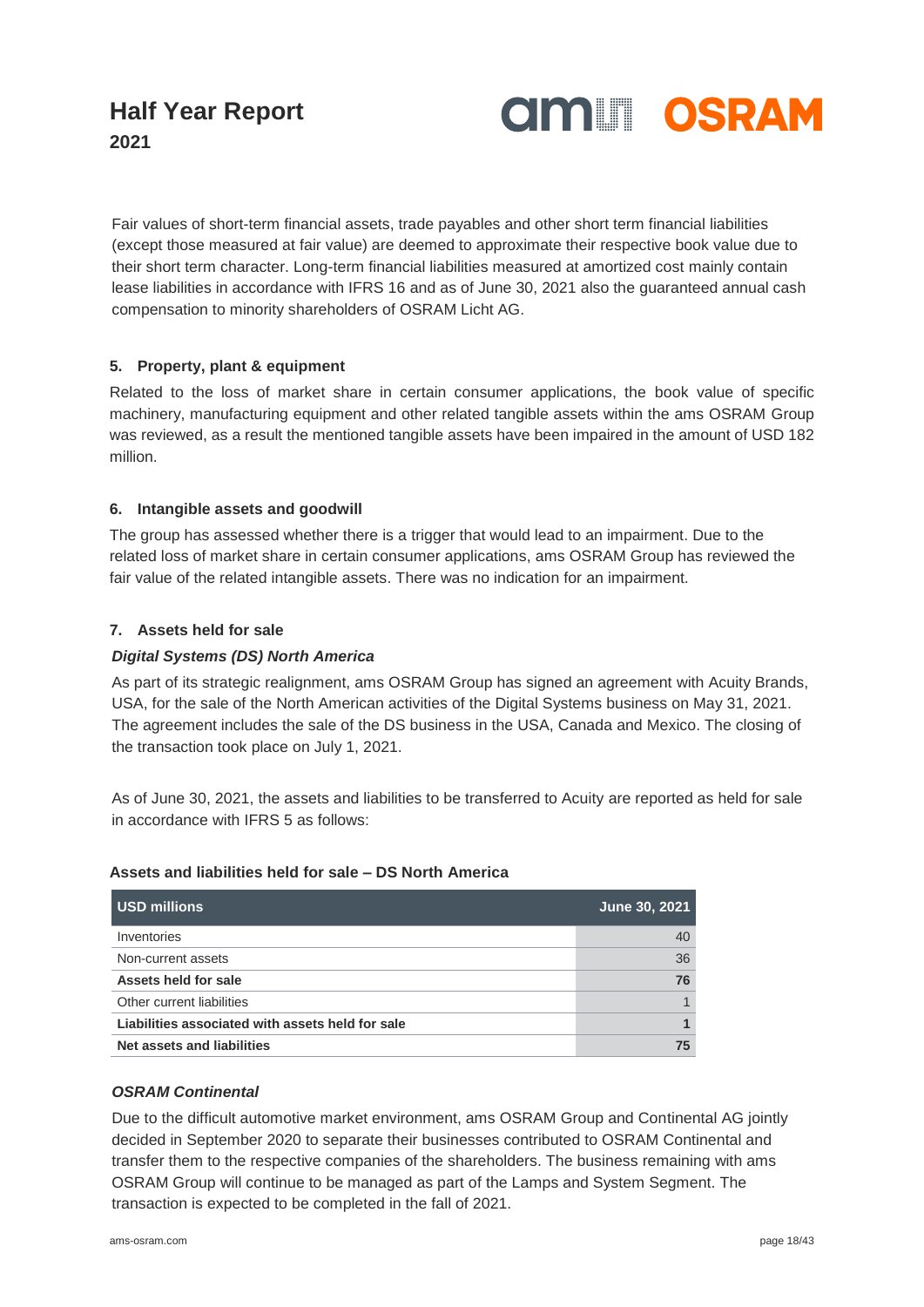

Fair values of short-term financial assets, trade payables and other short term financial liabilities (except those measured at fair value) are deemed to approximate their respective book value due to their short term character. Long-term financial liabilities measured at amortized cost mainly contain lease liabilities in accordance with IFRS 16 and as of June 30, 2021 also the guaranteed annual cash compensation to minority shareholders of OSRAM Licht AG.

### **5. Property, plant & equipment**

Related to the loss of market share in certain consumer applications, the book value of specific machinery, manufacturing equipment and other related tangible assets within the ams OSRAM Group was reviewed, as a result the mentioned tangible assets have been impaired in the amount of USD 182 million.

#### **6. Intangible assets and goodwill**

The group has assessed whether there is a trigger that would lead to an impairment. Due to the related loss of market share in certain consumer applications, ams OSRAM Group has reviewed the fair value of the related intangible assets. There was no indication for an impairment.

### **7. Assets held for sale**

#### *Digital Systems (DS) North America*

As part of its strategic realignment, ams OSRAM Group has signed an agreement with Acuity Brands, USA, for the sale of the North American activities of the Digital Systems business on May 31, 2021. The agreement includes the sale of the DS business in the USA, Canada and Mexico. The closing of the transaction took place on July 1, 2021.

As of June 30, 2021, the assets and liabilities to be transferred to Acuity are reported as held for sale in accordance with IFRS 5 as follows:

#### **Assets and liabilities held for sale – DS North America**

| <b>USD millions</b>                              | June 30, 2021 |
|--------------------------------------------------|---------------|
| Inventories                                      | 40            |
| Non-current assets                               | 36            |
| Assets held for sale                             | 76            |
| Other current liabilities                        |               |
| Liabilities associated with assets held for sale |               |
| Net assets and liabilities                       | 75            |

### *OSRAM Continental*

Due to the difficult automotive market environment, ams OSRAM Group and Continental AG jointly decided in September 2020 to separate their businesses contributed to OSRAM Continental and transfer them to the respective companies of the shareholders. The business remaining with ams OSRAM Group will continue to be managed as part of the Lamps and System Segment. The transaction is expected to be completed in the fall of 2021.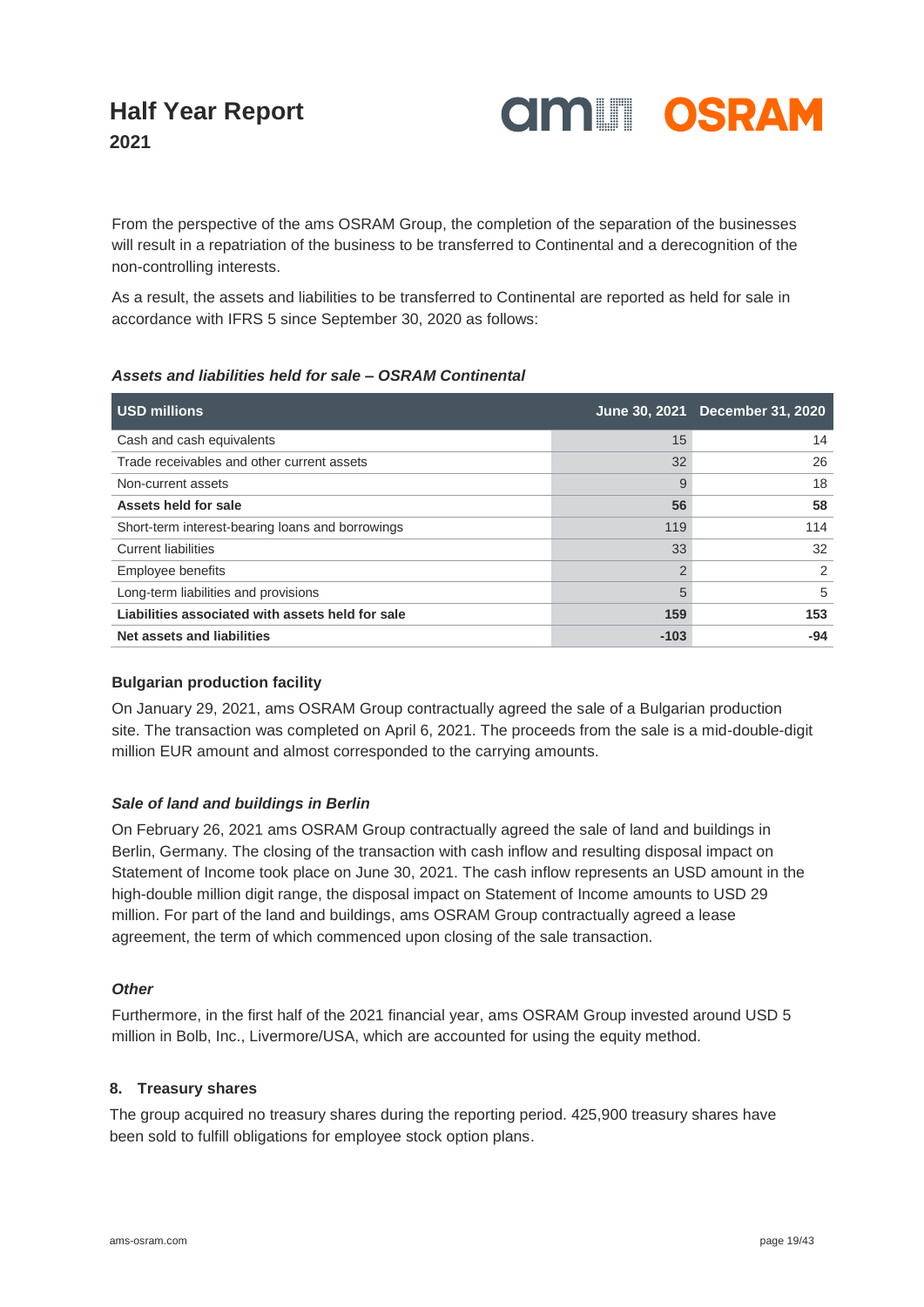

From the perspective of the ams OSRAM Group, the completion of the separation of the businesses will result in a repatriation of the business to be transferred to Continental and a derecognition of the non-controlling interests.

As a result, the assets and liabilities to be transferred to Continental are reported as held for sale in accordance with IFRS 5 since September 30, 2020 as follows:

#### *Assets and liabilities held for sale – OSRAM Continental*

| <b>USD millions</b>                              |        | June 30, 2021 December 31, 2020 |
|--------------------------------------------------|--------|---------------------------------|
| Cash and cash equivalents                        | 15     | 14                              |
| Trade receivables and other current assets       | 32     | 26                              |
| Non-current assets                               | 9      | 18                              |
| Assets held for sale                             | 56     | 58                              |
| Short-term interest-bearing loans and borrowings | 119    | 114                             |
| <b>Current liabilities</b>                       | 33     | 32                              |
| Employee benefits                                | 2      | 2                               |
| Long-term liabilities and provisions             | 5      | 5                               |
| Liabilities associated with assets held for sale | 159    | 153                             |
| Net assets and liabilities                       | $-103$ | $-94$                           |

#### **Bulgarian production facility**

On January 29, 2021, ams OSRAM Group contractually agreed the sale of a Bulgarian production site. The transaction was completed on April 6, 2021. The proceeds from the sale is a mid-double-digit million EUR amount and almost corresponded to the carrying amounts.

#### *Sale of land and buildings in Berlin*

On February 26, 2021 ams OSRAM Group contractually agreed the sale of land and buildings in Berlin, Germany. The closing of the transaction with cash inflow and resulting disposal impact on Statement of Income took place on June 30, 2021. The cash inflow represents an USD amount in the high-double million digit range, the disposal impact on Statement of Income amounts to USD 29 million. For part of the land and buildings, ams OSRAM Group contractually agreed a lease agreement, the term of which commenced upon closing of the sale transaction.

#### *Other*

Furthermore, in the first half of the 2021 financial year, ams OSRAM Group invested around USD 5 million in Bolb, Inc., Livermore/USA, which are accounted for using the equity method.

#### **8. Treasury shares**

The group acquired no treasury shares during the reporting period. 425,900 treasury shares have been sold to fulfill obligations for employee stock option plans.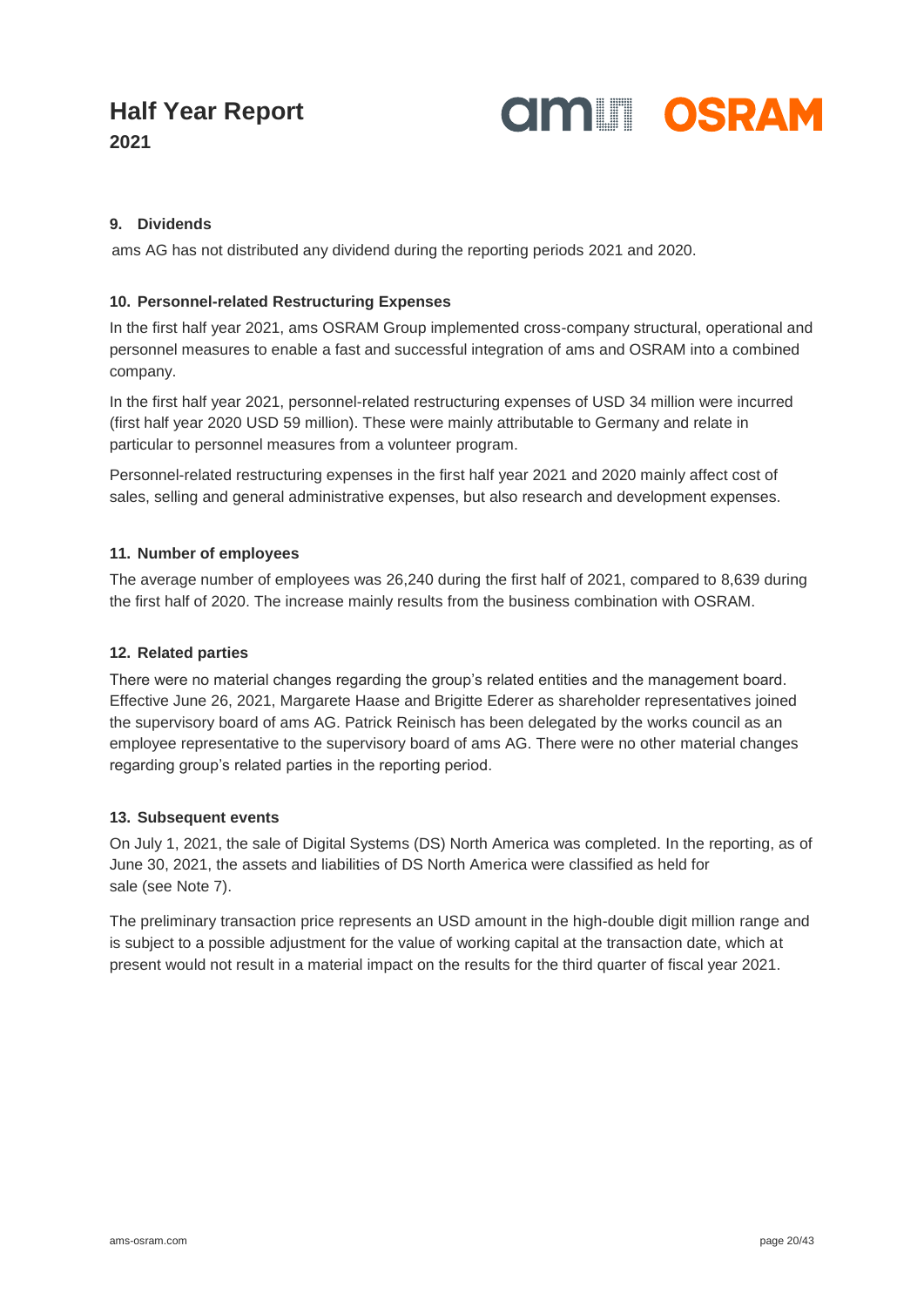

**2021**

### **9. Dividends**

ams AG has not distributed any dividend during the reporting periods 2021 and 2020.

### **10. Personnel-related Restructuring Expenses**

In the first half year 2021, ams OSRAM Group implemented cross-company structural, operational and personnel measures to enable a fast and successful integration of ams and OSRAM into a combined company.

In the first half year 2021, personnel-related restructuring expenses of USD 34 million were incurred (first half year 2020 USD 59 million). These were mainly attributable to Germany and relate in particular to personnel measures from a volunteer program.

Personnel-related restructuring expenses in the first half year 2021 and 2020 mainly affect cost of sales, selling and general administrative expenses, but also research and development expenses.

#### **11. Number of employees**

The average number of employees was 26,240 during the first half of 2021, compared to 8,639 during the first half of 2020. The increase mainly results from the business combination with OSRAM.

### **12. Related parties**

There were no material changes regarding the group's related entities and the management board. Effective June 26, 2021, Margarete Haase and Brigitte Ederer as shareholder representatives joined the supervisory board of ams AG. Patrick Reinisch has been delegated by the works council as an employee representative to the supervisory board of ams AG. There were no other material changes regarding group's related parties in the reporting period.

#### **13. Subsequent events**

On July 1, 2021, the sale of Digital Systems (DS) North America was completed. In the reporting, as of June 30, 2021, the assets and liabilities of DS North America were classified as held for sale (see Note 7).

The preliminary transaction price represents an USD amount in the high-double digit million range and is subject to a possible adjustment for the value of working capital at the transaction date, which at present would not result in a material impact on the results for the third quarter of fiscal year 2021.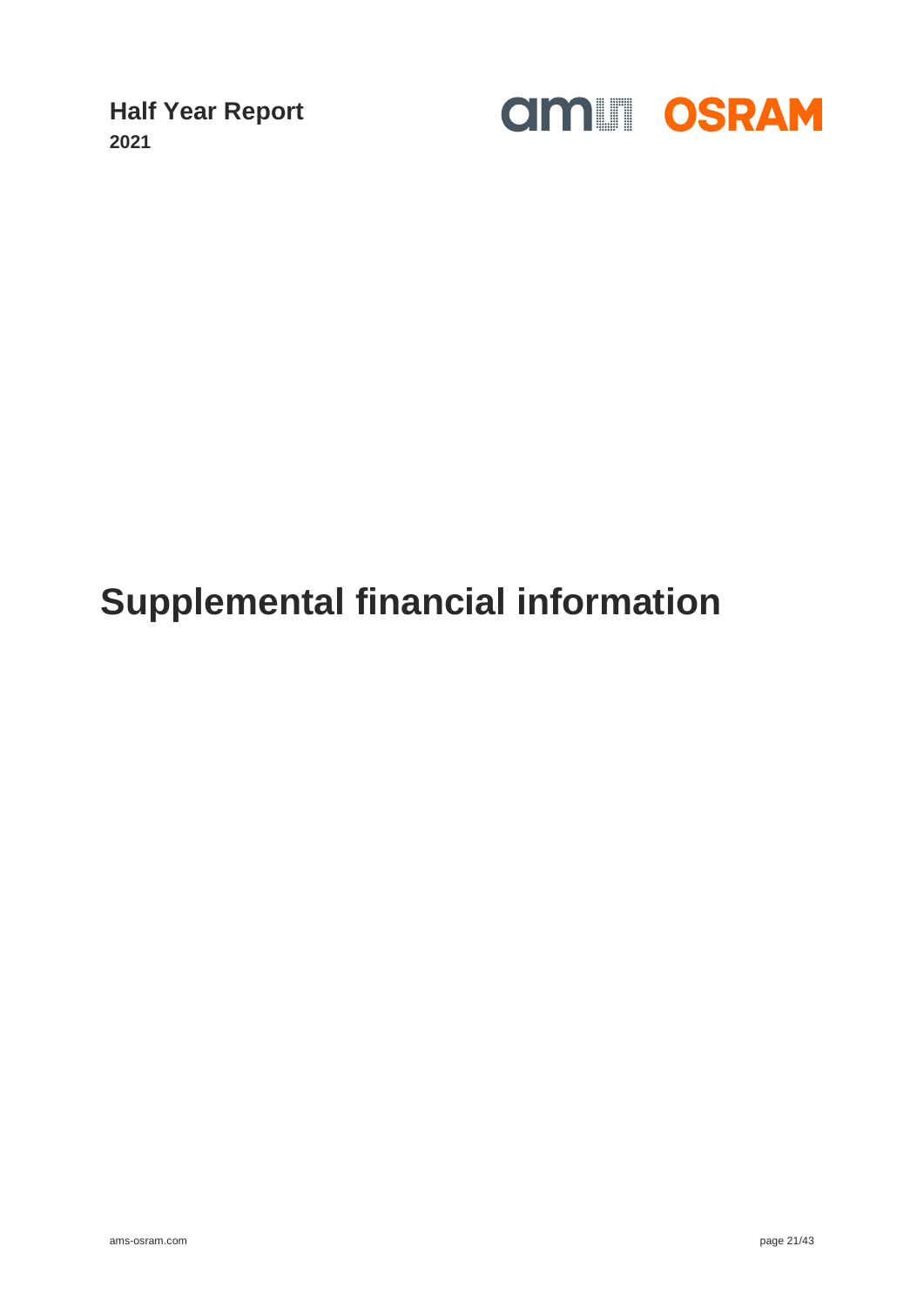

## **Supplemental financial information**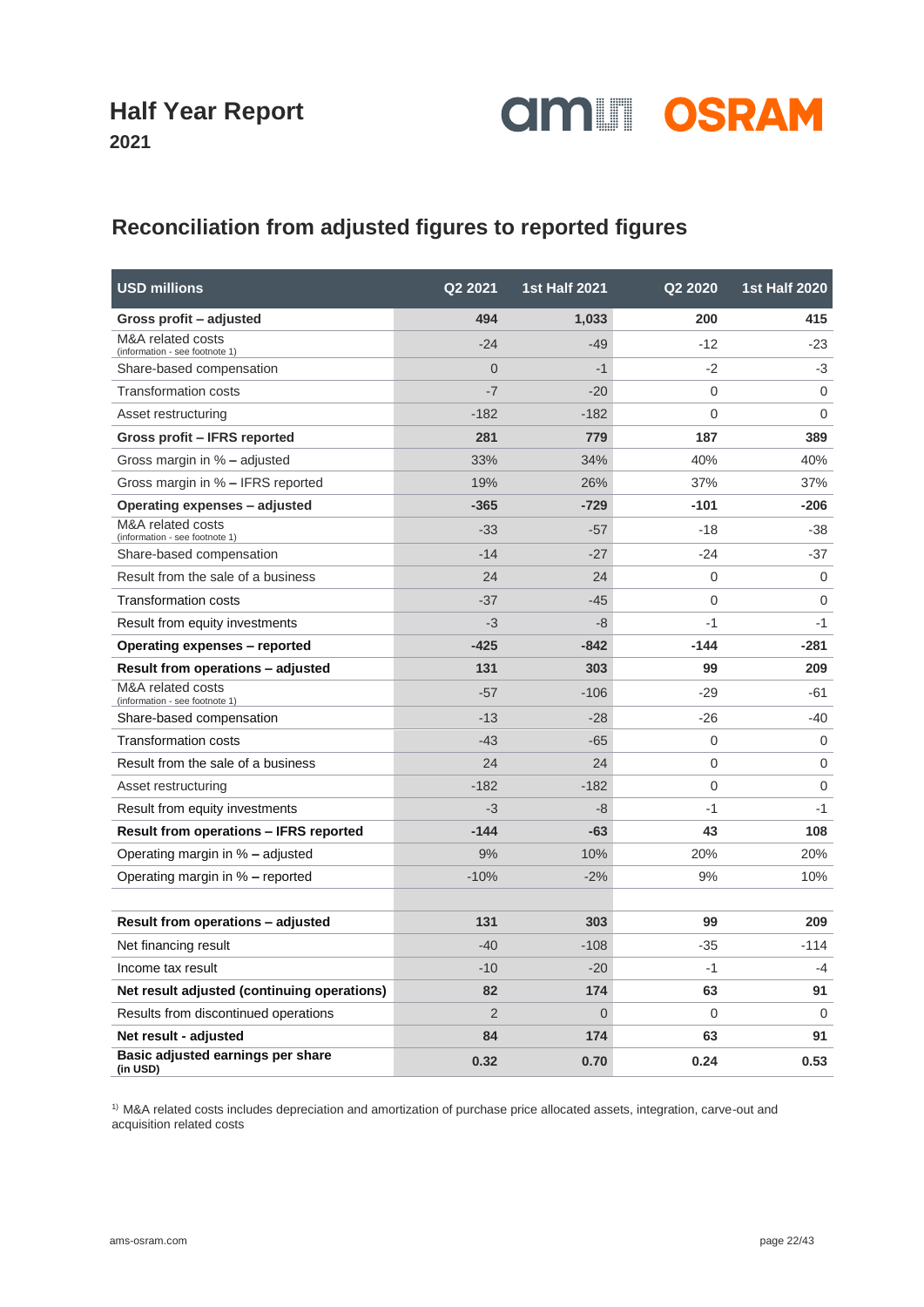

### **2021**

### **Reconciliation from adjusted figures to reported figures**

| <b>USD millions</b>                                 | Q2 2021        | <b>1st Half 2021</b> | Q2 2020        | <b>1st Half 2020</b> |
|-----------------------------------------------------|----------------|----------------------|----------------|----------------------|
| Gross profit - adjusted                             | 494            | 1,033                | 200            | 415                  |
| M&A related costs<br>(information - see footnote 1) | $-24$          | $-49$                | $-12$          | $-23$                |
| Share-based compensation                            | $\Omega$       | $-1$                 | $-2$           | $-3$                 |
| <b>Transformation costs</b>                         | $-7$           | $-20$                | $\overline{0}$ | $\Omega$             |
| Asset restructuring                                 | $-182$         | $-182$               | 0              | $\Omega$             |
| Gross profit - IFRS reported                        | 281            | 779                  | 187            | 389                  |
| Gross margin in % - adjusted                        | 33%            | 34%                  | 40%            | 40%                  |
| Gross margin in % - IFRS reported                   | 19%            | 26%                  | 37%            | 37%                  |
| Operating expenses - adjusted                       | $-365$         | $-729$               | $-101$         | $-206$               |
| M&A related costs<br>(information - see footnote 1) | $-33$          | $-57$                | $-18$          | $-38$                |
| Share-based compensation                            | $-14$          | $-27$                | $-24$          | $-37$                |
| Result from the sale of a business                  | 24             | 24                   | 0              | $\mathbf 0$          |
| <b>Transformation costs</b>                         | $-37$          | $-45$                | 0              | $\Omega$             |
| Result from equity investments                      | $-3$           | -8                   | $-1$           | $-1$                 |
| Operating expenses - reported                       | $-425$         | $-842$               | $-144$         | $-281$               |
| Result from operations – adjusted                   | 131            | 303                  | 99             | 209                  |
| M&A related costs<br>(information - see footnote 1) | $-57$          | $-106$               | $-29$          | -61                  |
| Share-based compensation                            | $-13$          | $-28$                | $-26$          | $-40$                |
| <b>Transformation costs</b>                         | $-43$          | $-65$                | 0              | $\Omega$             |
| Result from the sale of a business                  | 24             | 24                   | 0              | 0                    |
| Asset restructuring                                 | $-182$         | $-182$               | 0              | $\mathbf 0$          |
| Result from equity investments                      | $-3$           | $-8$                 | $-1$           | $-1$                 |
| <b>Result from operations - IFRS reported</b>       | $-144$         | $-63$                | 43             | 108                  |
| Operating margin in % – adjusted                    | 9%             | 10%                  | 20%            | 20%                  |
| Operating margin in % – reported                    | $-10%$         | $-2%$                | 9%             | 10%                  |
|                                                     |                |                      |                |                      |
| Result from operations - adjusted                   | 131            | 303                  | 99             | 209                  |
| Net financing result                                | $-40$          | $-108$               | $-35$          | $-114$               |
| Income tax result                                   | $-10$          | $-20$                | $-1$           | $-4$                 |
| Net result adjusted (continuing operations)         | 82             | 174                  | 63             | 91                   |
| Results from discontinued operations                | $\overline{2}$ | 0                    | 0              | 0                    |
| Net result - adjusted                               | 84             | 174                  | 63             | 91                   |
| Basic adjusted earnings per share<br>(in USD)       | 0.32           | 0.70                 | 0.24           | 0.53                 |

<sup>1)</sup> M&A related costs includes depreciation and amortization of purchase price allocated assets, integration, carve-out and acquisition related costs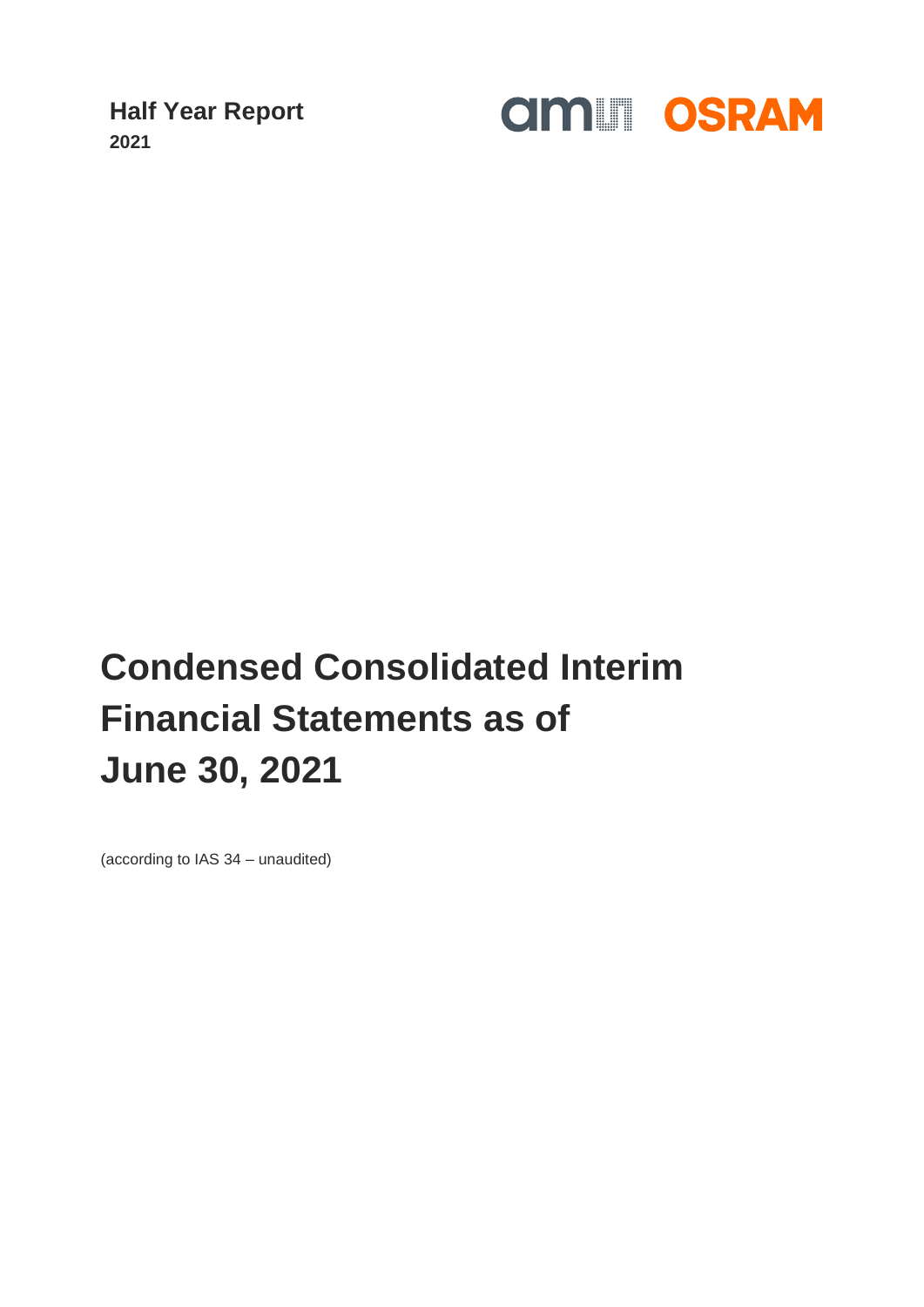

# **Condensed Consolidated Interim Financial Statements as of June 30, 2021**

(according to IAS 34 – unaudited)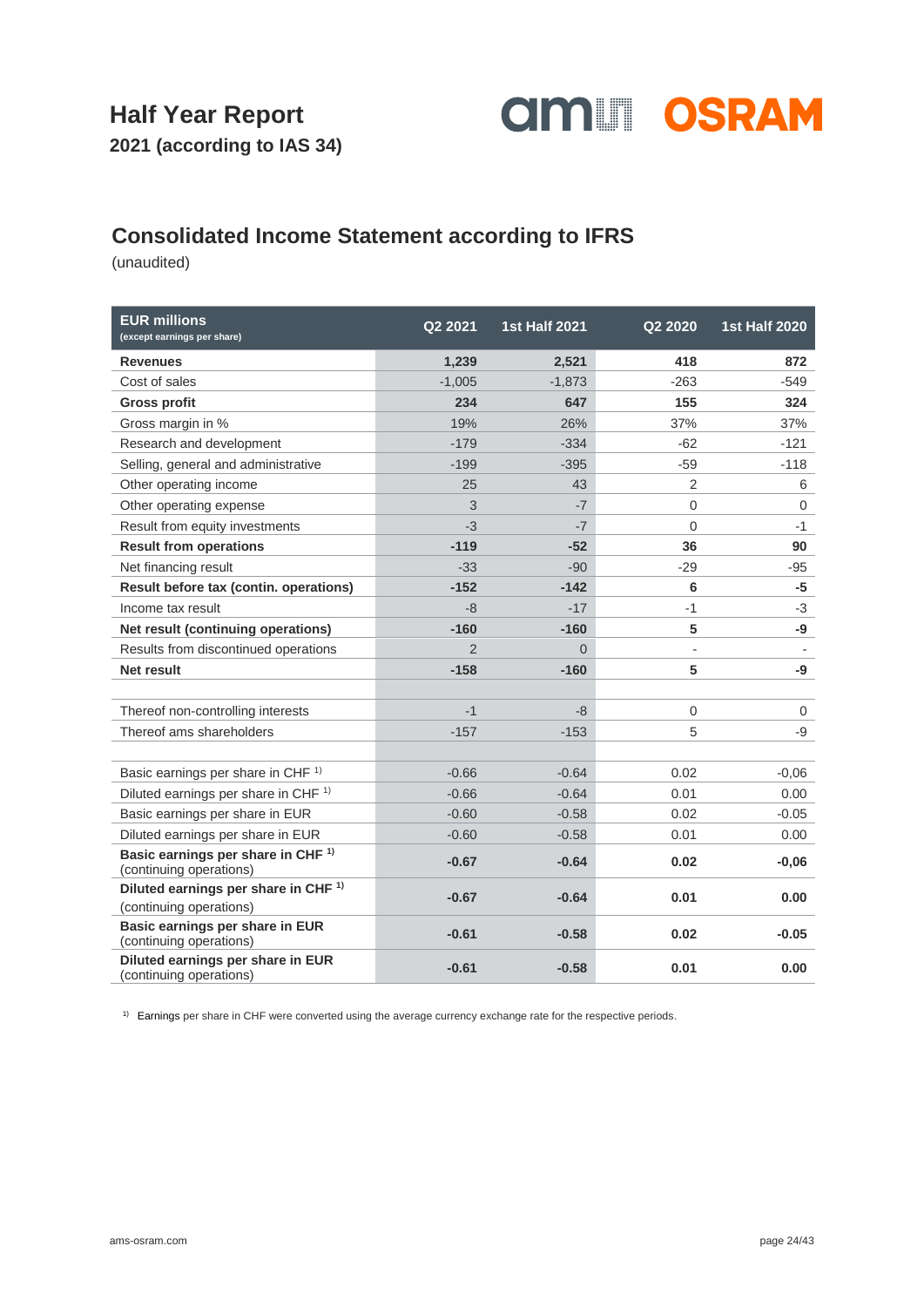

### **Consolidated Income Statement according to IFRS**

(unaudited)

| <b>EUR millions</b><br>(except earnings per share)                         | Q2 2021        | <b>1st Half 2021</b> | Q2 2020     | <b>1st Half 2020</b> |
|----------------------------------------------------------------------------|----------------|----------------------|-------------|----------------------|
| <b>Revenues</b>                                                            | 1,239          | 2,521                | 418         | 872                  |
| Cost of sales                                                              | $-1,005$       | $-1,873$             | $-263$      | -549                 |
| <b>Gross profit</b>                                                        | 234            | 647                  | 155         | 324                  |
| Gross margin in %                                                          | 19%            | 26%                  | 37%         | 37%                  |
| Research and development                                                   | $-179$         | $-334$               | $-62$       | $-121$               |
| Selling, general and administrative                                        | $-199$         | $-395$               | $-59$       | $-118$               |
| Other operating income                                                     | 25             | 43                   | 2           | 6                    |
| Other operating expense                                                    | 3              | $-7$                 | $\Omega$    | $\mathbf{0}$         |
| Result from equity investments                                             | $-3$           | $-7$                 | $\mathbf 0$ | $-1$                 |
| <b>Result from operations</b>                                              | $-119$         | $-52$                | 36          | 90                   |
| Net financing result                                                       | $-33$          | $-90$                | $-29$       | $-95$                |
| Result before tax (contin. operations)                                     | $-152$         | $-142$               | 6           | $-5$                 |
| Income tax result                                                          | -8             | $-17$                | -1          | $-3$                 |
| Net result (continuing operations)                                         | $-160$         | $-160$               | 5           | -9                   |
| Results from discontinued operations                                       | $\overline{2}$ | $\Omega$             |             |                      |
| Net result                                                                 | $-158$         | $-160$               | 5           | -9                   |
|                                                                            |                |                      |             |                      |
| Thereof non-controlling interests                                          | $-1$           | -8                   | $\mathbf 0$ | $\mathbf 0$          |
| Thereof ams shareholders                                                   | $-157$         | $-153$               | 5           | -9                   |
|                                                                            |                |                      |             |                      |
| Basic earnings per share in CHF <sup>1)</sup>                              | $-0.66$        | $-0.64$              | 0.02        | $-0,06$              |
| Diluted earnings per share in CHF <sup>1)</sup>                            | $-0.66$        | $-0.64$              | 0.01        | 0.00                 |
| Basic earnings per share in EUR                                            | $-0.60$        | $-0.58$              | 0.02        | $-0.05$              |
| Diluted earnings per share in EUR                                          | $-0.60$        | $-0.58$              | 0.01        | 0.00                 |
| Basic earnings per share in CHF <sup>1)</sup><br>(continuing operations)   | $-0.67$        | $-0.64$              | 0.02        | $-0,06$              |
| Diluted earnings per share in CHF <sup>1)</sup><br>(continuing operations) | $-0.67$        | $-0.64$              | 0.01        | 0.00                 |
| Basic earnings per share in EUR<br>(continuing operations)                 | $-0.61$        | $-0.58$              | 0.02        | $-0.05$              |
| Diluted earnings per share in EUR<br>(continuing operations)               | $-0.61$        | $-0.58$              | 0.01        | 0.00                 |

<sup>1)</sup> Earnings per share in CHF were converted using the average currency exchange rate for the respective periods.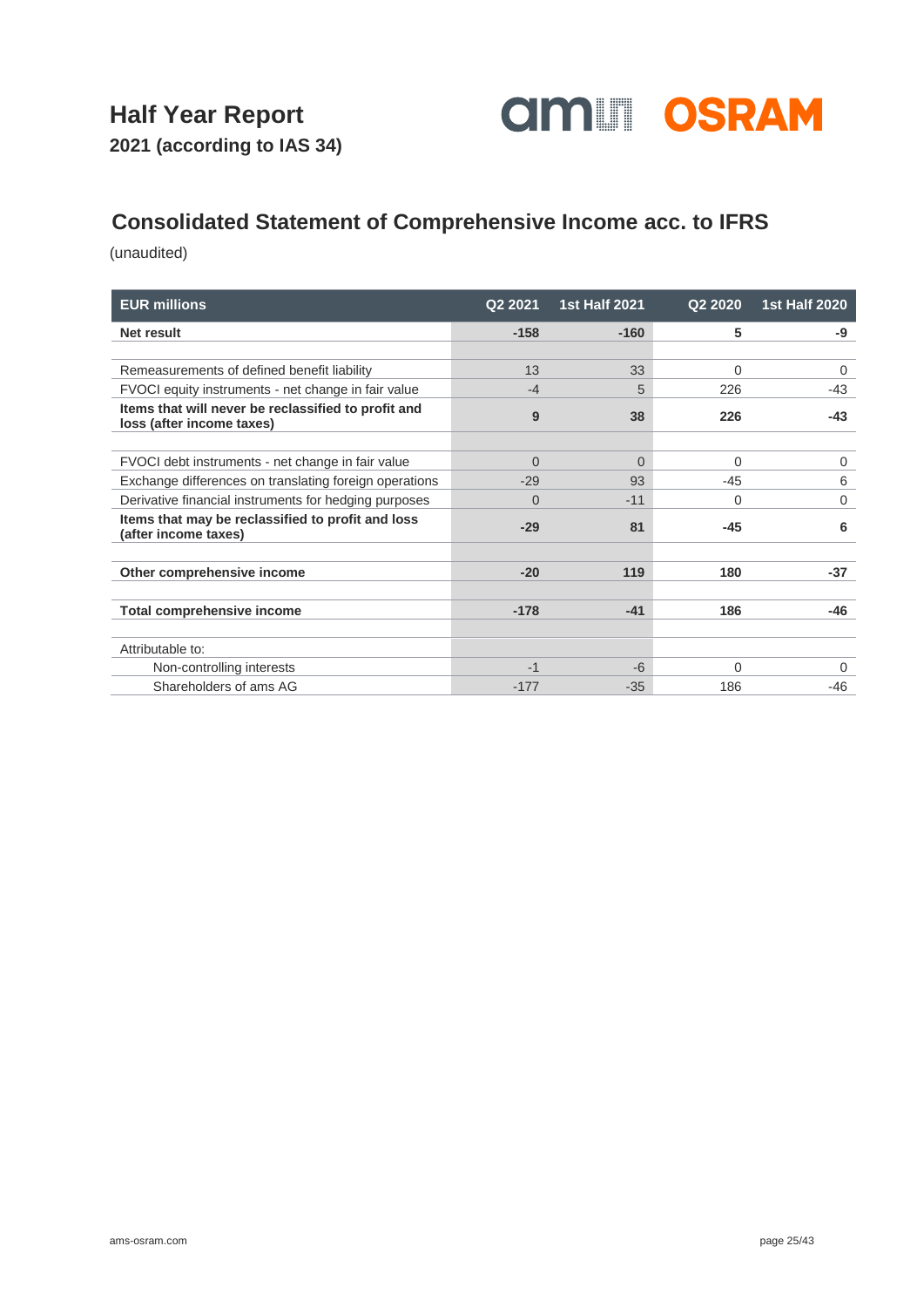

### **Consolidated Statement of Comprehensive Income acc. to IFRS**

| <b>EUR millions</b>                                                              | Q2 2021  | <b>1st Half 2021</b> | Q2 2020  | <b>1st Half 2020</b> |
|----------------------------------------------------------------------------------|----------|----------------------|----------|----------------------|
| Net result                                                                       | $-158$   | $-160$               | 5        | -9                   |
|                                                                                  |          |                      |          |                      |
| Remeasurements of defined benefit liability                                      | 13       | 33                   | $\Omega$ | 0                    |
| FVOCI equity instruments - net change in fair value                              | $-4$     | 5                    | 226      | $-43$                |
| Items that will never be reclassified to profit and<br>loss (after income taxes) | 9        | 38                   | 226      | $-43$                |
|                                                                                  |          |                      |          |                      |
| FVOCI debt instruments - net change in fair value                                | $\Omega$ | $\Omega$             | $\Omega$ | $\mathbf 0$          |
| Exchange differences on translating foreign operations                           | $-29$    | 93                   | $-45$    | 6                    |
| Derivative financial instruments for hedging purposes                            | $\Omega$ | $-11$                | $\Omega$ | $\mathbf 0$          |
| Items that may be reclassified to profit and loss<br>(after income taxes)        | $-29$    | 81                   | $-45$    | 6                    |
|                                                                                  |          |                      |          |                      |
| Other comprehensive income                                                       | $-20$    | 119                  | 180      | $-37$                |
|                                                                                  |          |                      |          |                      |
| <b>Total comprehensive income</b>                                                | $-178$   | $-41$                | 186      | $-46$                |
|                                                                                  |          |                      |          |                      |
| Attributable to:                                                                 |          |                      |          |                      |
| Non-controlling interests                                                        | $-1$     | $-6$                 | $\Omega$ | 0                    |
| Shareholders of ams AG                                                           | $-177$   | $-35$                | 186      | $-46$                |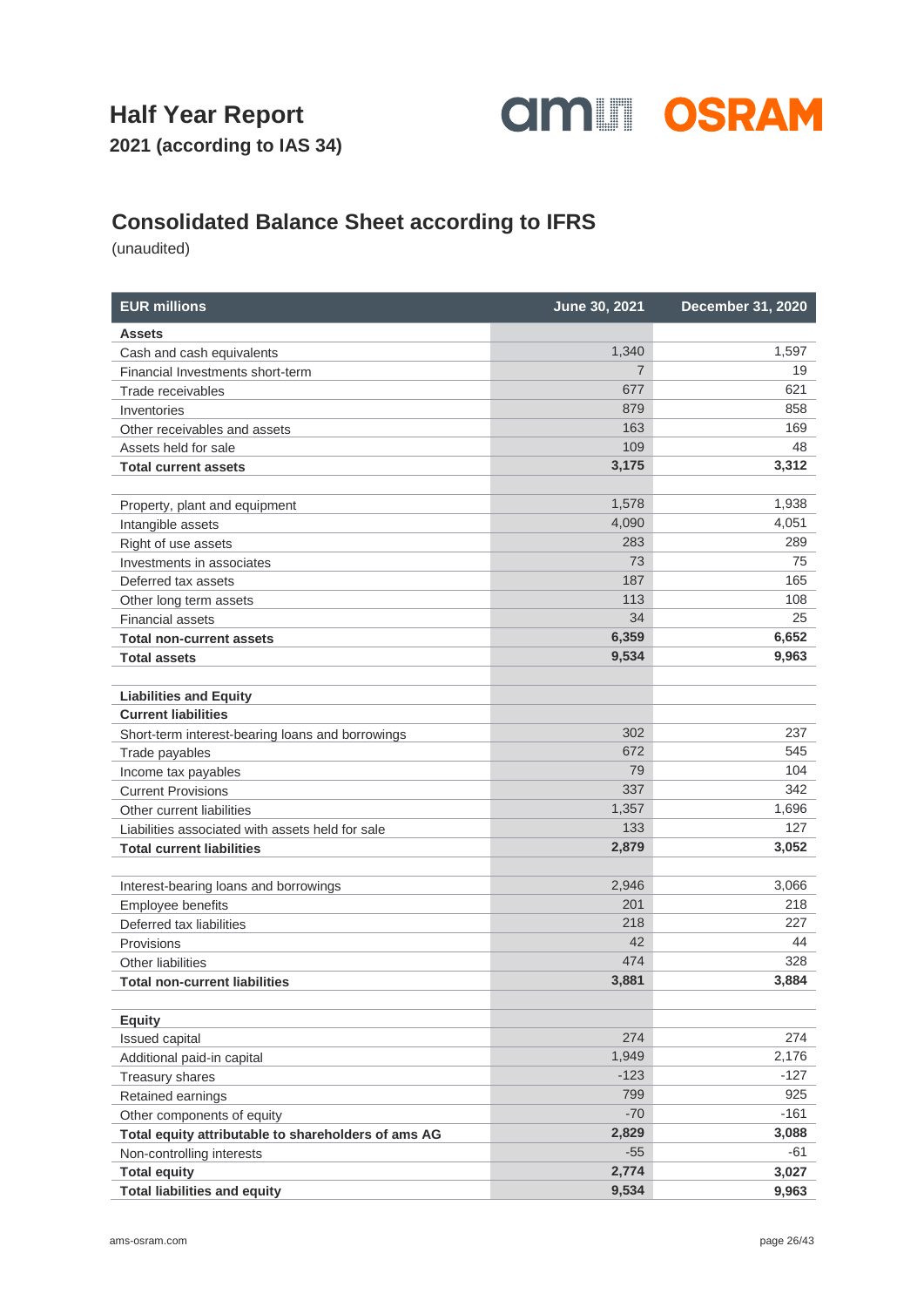

**2021 (according to IAS 34)**

### **Consolidated Balance Sheet according to IFRS**

| <b>EUR millions</b>                                 | June 30, 2021  | December 31, 2020 |
|-----------------------------------------------------|----------------|-------------------|
| <b>Assets</b>                                       |                |                   |
| Cash and cash equivalents                           | 1,340          | 1,597             |
| Financial Investments short-term                    | $\overline{7}$ | 19                |
| Trade receivables                                   | 677            | 621               |
| Inventories                                         | 879            | 858               |
| Other receivables and assets                        | 163            | 169               |
| Assets held for sale                                | 109            | 48                |
| <b>Total current assets</b>                         | 3,175          | 3,312             |
| Property, plant and equipment                       | 1,578          | 1,938             |
| Intangible assets                                   | 4,090          | 4,051             |
| Right of use assets                                 | 283            | 289               |
| Investments in associates                           | 73             | 75                |
| Deferred tax assets                                 | 187            | 165               |
| Other long term assets                              | 113            | 108               |
| <b>Financial assets</b>                             | 34             | 25                |
| <b>Total non-current assets</b>                     | 6,359          | 6,652             |
| <b>Total assets</b>                                 | 9,534          | 9,963             |
| <b>Liabilities and Equity</b>                       |                |                   |
| <b>Current liabilities</b>                          |                |                   |
| Short-term interest-bearing loans and borrowings    | 302            | 237               |
| Trade payables                                      | 672            | 545               |
| Income tax payables                                 | 79             | 104               |
| <b>Current Provisions</b>                           | 337            | 342               |
| Other current liabilities                           | 1,357          | 1,696             |
| Liabilities associated with assets held for sale    | 133            | 127               |
| <b>Total current liabilities</b>                    | 2,879          | 3,052             |
| Interest-bearing loans and borrowings               | 2,946          | 3,066             |
| <b>Employee benefits</b>                            | 201            | 218               |
| Deferred tax liabilities                            | 218            | 227               |
| Provisions                                          | 42             | 44                |
| Other liabilities                                   | 474            | 328               |
| <b>Total non-current liabilities</b>                | 3,881          | 3,884             |
| <b>Equity</b>                                       |                |                   |
| Issued capital                                      | 274            | 274               |
| Additional paid-in capital                          | 1,949          | 2,176             |
| Treasury shares                                     | $-123$         | $-127$            |
| Retained earnings                                   | 799            | 925               |
| Other components of equity                          | $-70$          | $-161$            |
| Total equity attributable to shareholders of ams AG | 2,829          | 3,088             |
| Non-controlling interests                           | $-55$          | $-61$             |
| <b>Total equity</b>                                 | 2,774          | 3,027             |
| <b>Total liabilities and equity</b>                 | 9,534          | 9,963             |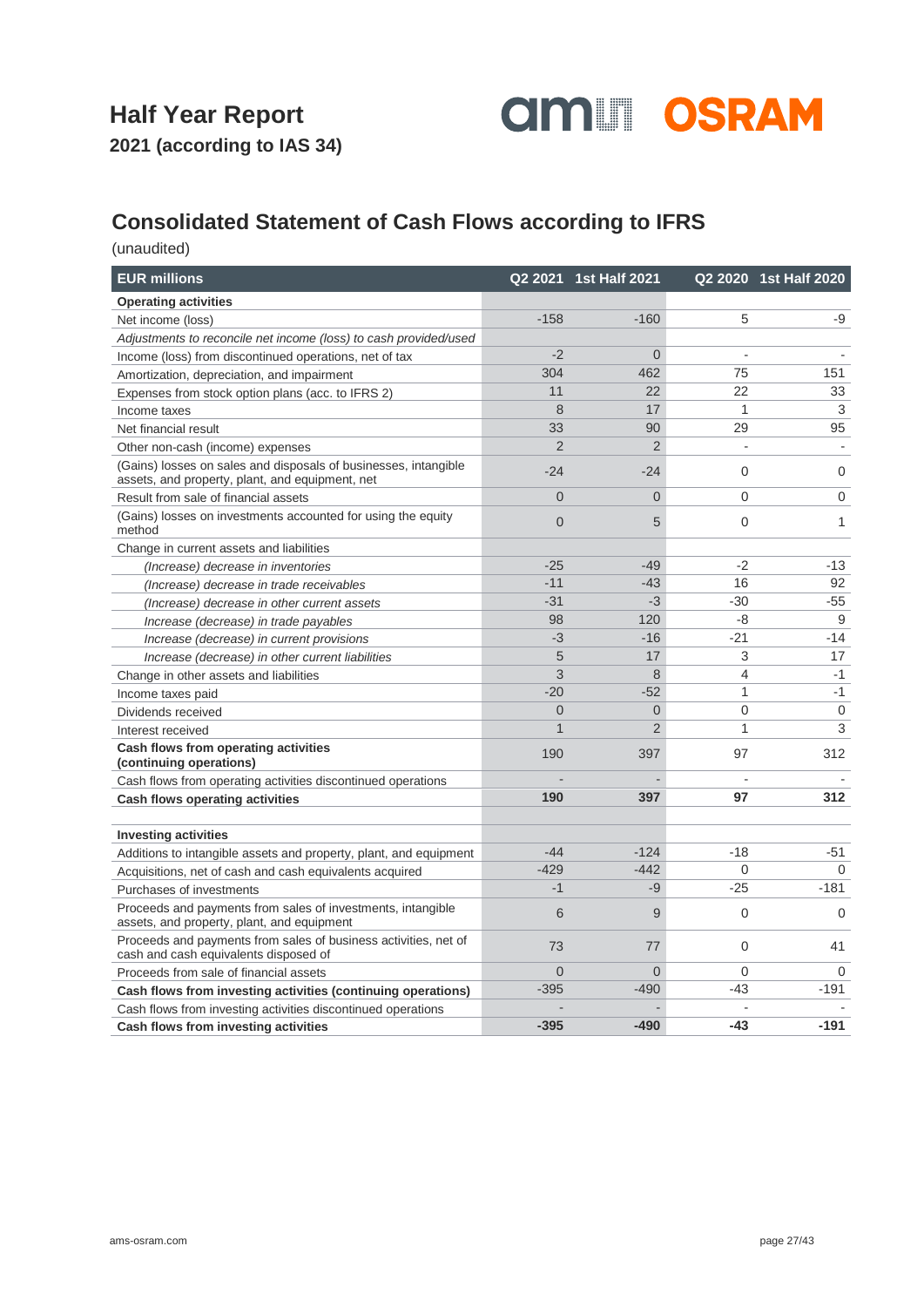

### **Consolidated Statement of Cash Flows according to IFRS**

| <b>EUR millions</b>                                                                                                |                | Q2 2021 1st Half 2021 |                | Q2 2020 1st Half 2020 |
|--------------------------------------------------------------------------------------------------------------------|----------------|-----------------------|----------------|-----------------------|
| <b>Operating activities</b>                                                                                        |                |                       |                |                       |
| Net income (loss)                                                                                                  | $-158$         | $-160$                | 5              | -9                    |
| Adjustments to reconcile net income (loss) to cash provided/used                                                   |                |                       |                |                       |
| Income (loss) from discontinued operations, net of tax                                                             | $-2$           | $\overline{0}$        |                |                       |
| Amortization, depreciation, and impairment                                                                         | 304            | 462                   | 75             | 151                   |
| Expenses from stock option plans (acc. to IFRS 2)                                                                  | 11             | 22                    | 22             | 33                    |
| Income taxes                                                                                                       | 8              | 17                    | 1              | 3                     |
| Net financial result                                                                                               | 33             | 90                    | 29             | 95                    |
| Other non-cash (income) expenses                                                                                   | $\mathfrak{p}$ | $\overline{2}$        | $\overline{a}$ |                       |
| (Gains) losses on sales and disposals of businesses, intangible<br>assets, and property, plant, and equipment, net | $-24$          | $-24$                 | $\mathbf 0$    | $\mathbf 0$           |
| Result from sale of financial assets                                                                               | $\Omega$       | $\overline{0}$        | $\mathbf 0$    | $\mathbf 0$           |
| (Gains) losses on investments accounted for using the equity<br>method                                             | $\overline{0}$ | 5                     | 0              | 1                     |
| Change in current assets and liabilities                                                                           |                |                       |                |                       |
| (Increase) decrease in inventories                                                                                 | $-25$          | $-49$                 | $-2$           | $-13$                 |
| (Increase) decrease in trade receivables                                                                           | $-11$          | $-43$                 | 16             | 92                    |
| (Increase) decrease in other current assets                                                                        | $-31$          | $-3$                  | $-30$          | $-55$                 |
| Increase (decrease) in trade payables                                                                              | 98             | 120                   | $-8$           | 9                     |
| Increase (decrease) in current provisions                                                                          | $-3$           | $-16$                 | $-21$          | $-14$                 |
| Increase (decrease) in other current liabilities                                                                   | 5              | 17                    | 3              | 17                    |
| Change in other assets and liabilities                                                                             | 3              | 8                     | $\overline{4}$ | $-1$                  |
| Income taxes paid                                                                                                  | $-20$          | $-52$                 | 1              | $-1$                  |
| Dividends received                                                                                                 | $\overline{0}$ | $\overline{0}$        | $\mathbf 0$    | 0                     |
| Interest received                                                                                                  | $\mathbf{1}$   | $\overline{2}$        | 1              | 3                     |
| Cash flows from operating activities<br>(continuing operations)                                                    | 190            | 397                   | 97             | 312                   |
| Cash flows from operating activities discontinued operations                                                       |                |                       |                |                       |
| <b>Cash flows operating activities</b>                                                                             | 190            | 397                   | 97             | 312                   |
| <b>Investing activities</b>                                                                                        |                |                       |                |                       |
| Additions to intangible assets and property, plant, and equipment                                                  | $-44$          | $-124$                | $-18$          | -51                   |
| Acquisitions, net of cash and cash equivalents acquired                                                            | $-429$         | $-442$                | $\Omega$       | $\Omega$              |
| Purchases of investments                                                                                           | $-1$           | $-9$                  | $-25$          | $-181$                |
| Proceeds and payments from sales of investments, intangible                                                        |                |                       |                |                       |
| assets, and property, plant, and equipment                                                                         | 6              | 9                     | $\mathbf 0$    | $\Omega$              |
| Proceeds and payments from sales of business activities, net of<br>cash and cash equivalents disposed of           | 73             | 77                    | $\mathbf 0$    | 41                    |
| Proceeds from sale of financial assets                                                                             | $\overline{0}$ | $\Omega$              | $\Omega$       | $\Omega$              |
| Cash flows from investing activities (continuing operations)                                                       | $-395$         | $-490$                | $-43$          | $-191$                |
| Cash flows from investing activities discontinued operations                                                       |                |                       |                |                       |
| Cash flows from investing activities                                                                               | $-395$         | $-490$                | -43            | $-191$                |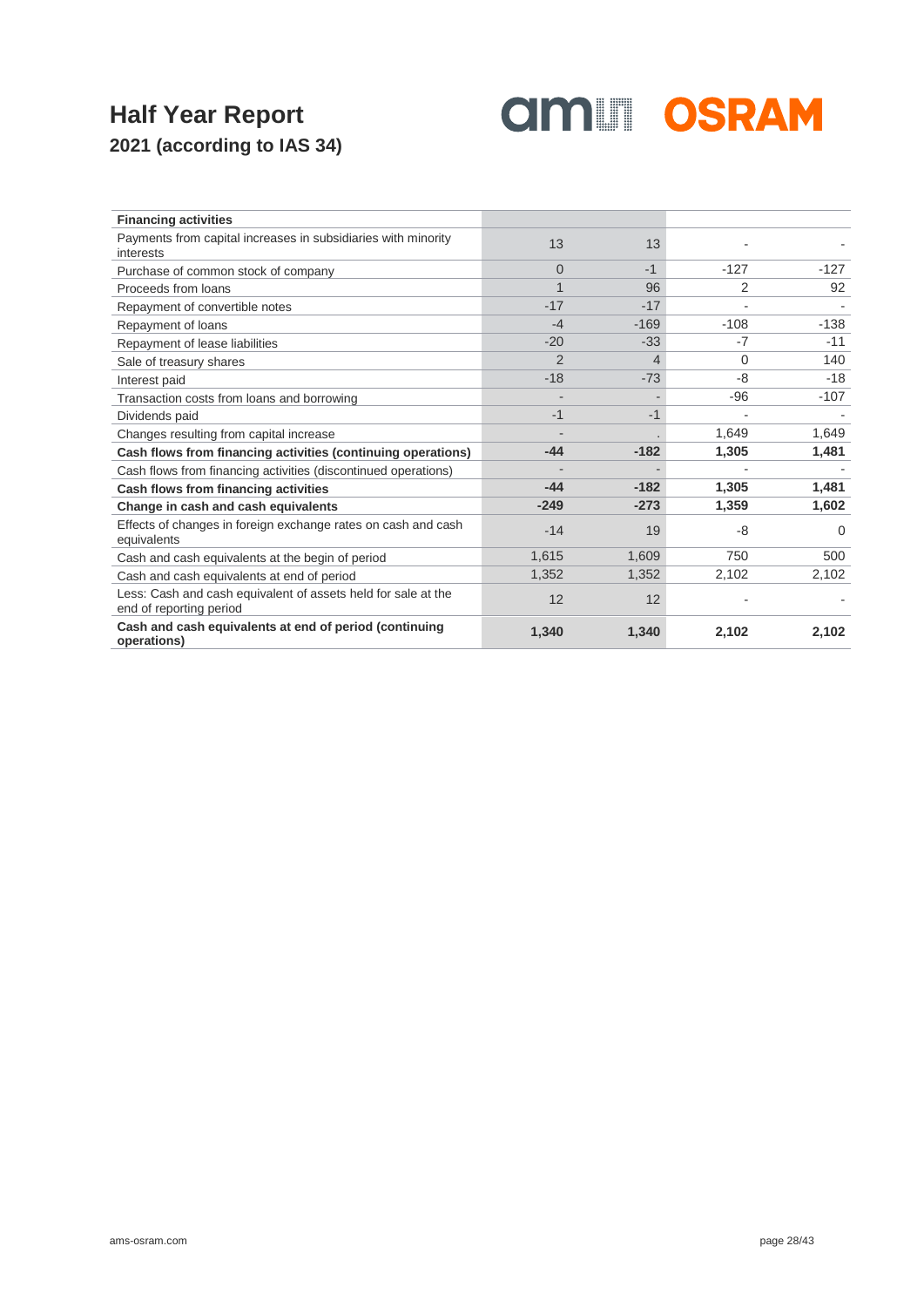

| <b>Financing activities</b>                                                              |          |        |                |          |
|------------------------------------------------------------------------------------------|----------|--------|----------------|----------|
| Payments from capital increases in subsidiaries with minority<br>interests               | 13       | 13     |                |          |
| Purchase of common stock of company                                                      | $\Omega$ | $-1$   | $-127$         | $-127$   |
| Proceeds from loans                                                                      |          | 96     | 2              | 92       |
| Repayment of convertible notes                                                           | $-17$    | $-17$  | $\blacksquare$ |          |
| Repayment of loans                                                                       | $-4$     | $-169$ | $-108$         | $-138$   |
| Repayment of lease liabilities                                                           | $-20$    | $-33$  | -7             | $-11$    |
| Sale of treasury shares                                                                  | 2        | 4      | 0              | 140      |
| Interest paid                                                                            | $-18$    | $-73$  | -8             | $-18$    |
| Transaction costs from loans and borrowing                                               |          |        | $-96$          | $-107$   |
| Dividends paid                                                                           | $-1$     | $-1$   |                |          |
| Changes resulting from capital increase                                                  |          |        | 1,649          | 1,649    |
| Cash flows from financing activities (continuing operations)                             | $-44$    | $-182$ | 1,305          | 1,481    |
| Cash flows from financing activities (discontinued operations)                           |          |        |                |          |
| Cash flows from financing activities                                                     | $-44$    | $-182$ | 1,305          | 1,481    |
| Change in cash and cash equivalents                                                      | $-249$   | $-273$ | 1,359          | 1,602    |
| Effects of changes in foreign exchange rates on cash and cash<br>equivalents             | $-14$    | 19     | -8             | $\Omega$ |
| Cash and cash equivalents at the begin of period                                         | 1,615    | 1,609  | 750            | 500      |
| Cash and cash equivalents at end of period                                               | 1,352    | 1,352  | 2,102          | 2,102    |
| Less: Cash and cash equivalent of assets held for sale at the<br>end of reporting period | 12       | 12     |                |          |
| Cash and cash equivalents at end of period (continuing<br>operations)                    | 1.340    | 1,340  | 2,102          | 2,102    |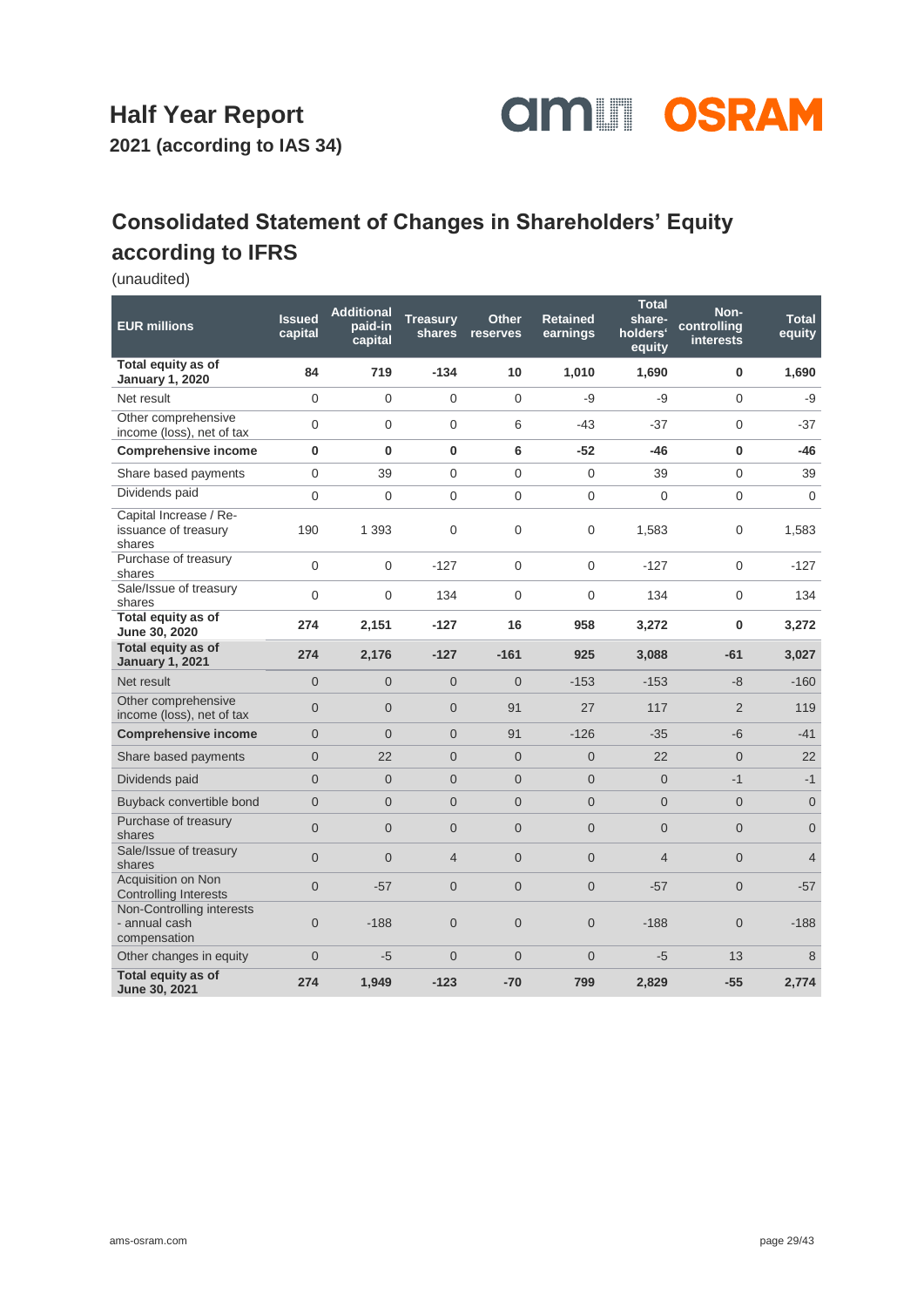

**2021 (according to IAS 34)**

### **Consolidated Statement of Changes in Shareholders' Equity according to IFRS**

| <b>EUR millions</b>                                        | <b>Issued</b><br>capital | <b>Additional</b><br>paid-in<br>capital | <b>Treasury</b><br>shares | <b>Other</b><br>reserves | <b>Retained</b><br>earnings | <b>Total</b><br>share-<br>holders <sup>®</sup><br>equity | Non-<br>controlling<br><b>interests</b> | <b>Total</b><br>equity |
|------------------------------------------------------------|--------------------------|-----------------------------------------|---------------------------|--------------------------|-----------------------------|----------------------------------------------------------|-----------------------------------------|------------------------|
| Total equity as of<br><b>January 1, 2020</b>               | 84                       | 719                                     | $-134$                    | 10                       | 1,010                       | 1,690                                                    | 0                                       | 1,690                  |
| Net result                                                 | $\Omega$                 | $\Omega$                                | 0                         | $\Omega$                 | -9                          | $-9$                                                     | $\Omega$                                | -9                     |
| Other comprehensive<br>income (loss), net of tax           | $\overline{0}$           | $\Omega$                                | $\overline{0}$            | 6                        | $-43$                       | $-37$                                                    | $\mathbf 0$                             | $-37$                  |
| <b>Comprehensive income</b>                                | $\bf{0}$                 | $\bf{0}$                                | 0                         | 6                        | $-52$                       | $-46$                                                    | $\bf{0}$                                | $-46$                  |
| Share based payments                                       | $\Omega$                 | 39                                      | 0                         | $\overline{0}$           | 0                           | 39                                                       | 0                                       | 39                     |
| Dividends paid                                             | $\Omega$                 | $\Omega$                                | 0                         | 0                        | 0                           | $\Omega$                                                 | $\mathbf 0$                             | $\Omega$               |
| Capital Increase / Re-<br>issuance of treasury<br>shares   | 190                      | 1 3 9 3                                 | 0                         | 0                        | $\overline{0}$              | 1,583                                                    | 0                                       | 1,583                  |
| Purchase of treasury<br>shares                             | $\mathbf 0$              | $\mathbf{0}$                            | $-127$                    | 0                        | $\mathbf{0}$                | $-127$                                                   | $\boldsymbol{0}$                        | $-127$                 |
| Sale/Issue of treasury<br>shares                           | $\overline{0}$           | $\overline{0}$                          | 134                       | 0                        | 0                           | 134                                                      | $\boldsymbol{0}$                        | 134                    |
| Total equity as of<br>June 30, 2020                        | 274                      | 2,151                                   | $-127$                    | 16                       | 958                         | 3,272                                                    | $\bf{0}$                                | 3,272                  |
| Total equity as of<br><b>January 1, 2021</b>               | 274                      | 2,176                                   | $-127$                    | $-161$                   | 925                         | 3,088                                                    | $-61$                                   | 3,027                  |
| Net result                                                 | $\overline{0}$           | $\overline{0}$                          | $\overline{0}$            | $\Omega$                 | $-153$                      | $-153$                                                   | -8                                      | $-160$                 |
| Other comprehensive<br>income (loss), net of tax           | $\overline{0}$           | $\Omega$                                | $\overline{0}$            | 91                       | 27                          | 117                                                      | $\overline{2}$                          | 119                    |
| <b>Comprehensive income</b>                                | $\Omega$                 | $\Omega$                                | $\overline{0}$            | 91                       | $-126$                      | $-35$                                                    | $-6$                                    | $-41$                  |
| Share based payments                                       | $\Omega$                 | 22                                      | $\overline{0}$            | $\Omega$                 | $\Omega$                    | 22                                                       | $\overline{0}$                          | 22                     |
| Dividends paid                                             | $\Omega$                 | $\overline{0}$                          | $\mathbf 0$               | $\overline{0}$           | $\overline{0}$              | $\overline{0}$                                           | $-1$                                    | $-1$                   |
| Buyback convertible bond                                   | $\overline{0}$           | $\overline{0}$                          | $\overline{0}$            | $\overline{0}$           | $\overline{0}$              | $\overline{0}$                                           | $\mathbf 0$                             | $\mathbf{0}$           |
| Purchase of treasury<br>shares                             | $\overline{0}$           | $\overline{0}$                          | $\overline{0}$            | $\overline{0}$           | $\overline{0}$              | $\overline{0}$                                           | $\overline{0}$                          | $\overline{0}$         |
| Sale/Issue of treasury<br>shares                           | $\overline{0}$           | $\overline{0}$                          | $\overline{4}$            | $\overline{0}$           | $\overline{0}$              | $\overline{4}$                                           | $\overline{0}$                          | $\overline{4}$         |
| Acquisition on Non<br><b>Controlling Interests</b>         | $\Omega$                 | $-57$                                   | $\overline{0}$            | $\overline{0}$           | $\overline{0}$              | $-57$                                                    | $\overline{0}$                          | $-57$                  |
| Non-Controlling interests<br>- annual cash<br>compensation | $\Omega$                 | $-188$                                  | $\overline{0}$            | $\overline{0}$           | $\Omega$                    | $-188$                                                   | $\overline{0}$                          | $-188$                 |
| Other changes in equity                                    | $\Omega$                 | $-5$                                    | $\overline{0}$            | $\overline{0}$           | $\Omega$                    | $-5$                                                     | 13                                      | 8                      |
| Total equity as of<br>June 30, 2021                        | 274                      | 1,949                                   | $-123$                    | $-70$                    | 799                         | 2,829                                                    | $-55$                                   | 2,774                  |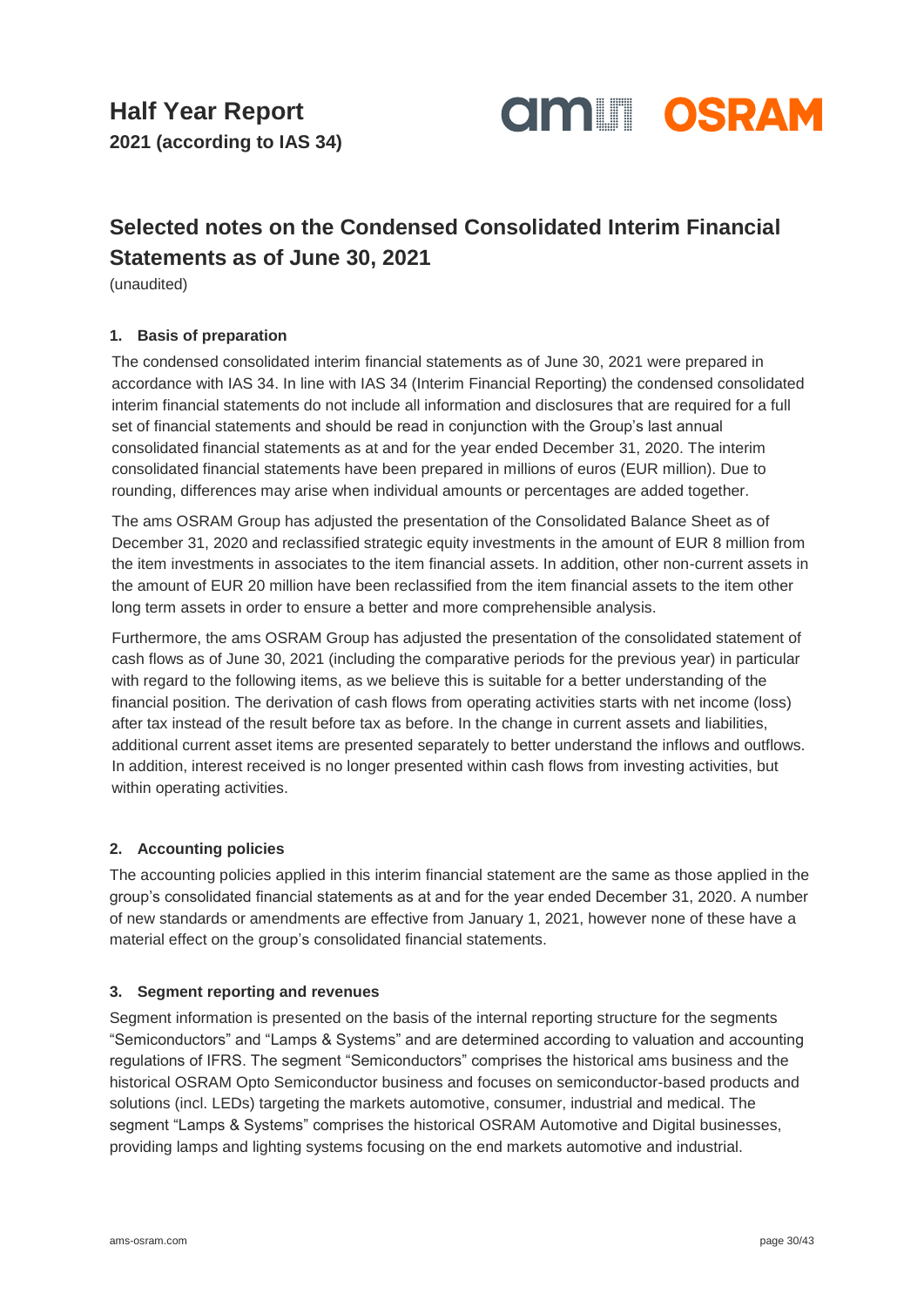

### **Selected notes on the Condensed Consolidated Interim Financial Statements as of June 30, 2021**

(unaudited)

### **1. Basis of preparation**

The condensed consolidated interim financial statements as of June 30, 2021 were prepared in accordance with IAS 34. In line with IAS 34 (Interim Financial Reporting) the condensed consolidated interim financial statements do not include all information and disclosures that are required for a full set of financial statements and should be read in conjunction with the Group's last annual consolidated financial statements as at and for the year ended December 31, 2020. The interim consolidated financial statements have been prepared in millions of euros (EUR million). Due to rounding, differences may arise when individual amounts or percentages are added together.

The ams OSRAM Group has adjusted the presentation of the Consolidated Balance Sheet as of December 31, 2020 and reclassified strategic equity investments in the amount of EUR 8 million from the item investments in associates to the item financial assets. In addition, other non-current assets in the amount of EUR 20 million have been reclassified from the item financial assets to the item other long term assets in order to ensure a better and more comprehensible analysis.

Furthermore, the ams OSRAM Group has adjusted the presentation of the consolidated statement of cash flows as of June 30, 2021 (including the comparative periods for the previous year) in particular with regard to the following items, as we believe this is suitable for a better understanding of the financial position. The derivation of cash flows from operating activities starts with net income (loss) after tax instead of the result before tax as before. In the change in current assets and liabilities, additional current asset items are presented separately to better understand the inflows and outflows. In addition, interest received is no longer presented within cash flows from investing activities, but within operating activities.

#### **2. Accounting policies**

The accounting policies applied in this interim financial statement are the same as those applied in the group's consolidated financial statements as at and for the year ended December 31, 2020. A number of new standards or amendments are effective from January 1, 2021, however none of these have a material effect on the group's consolidated financial statements.

#### **3. Segment reporting and revenues**

Segment information is presented on the basis of the internal reporting structure for the segments "Semiconductors" and "Lamps & Systems" and are determined according to valuation and accounting regulations of IFRS. The segment "Semiconductors" comprises the historical ams business and the historical OSRAM Opto Semiconductor business and focuses on semiconductor-based products and solutions (incl. LEDs) targeting the markets automotive, consumer, industrial and medical. The segment "Lamps & Systems" comprises the historical OSRAM Automotive and Digital businesses, providing lamps and lighting systems focusing on the end markets automotive and industrial.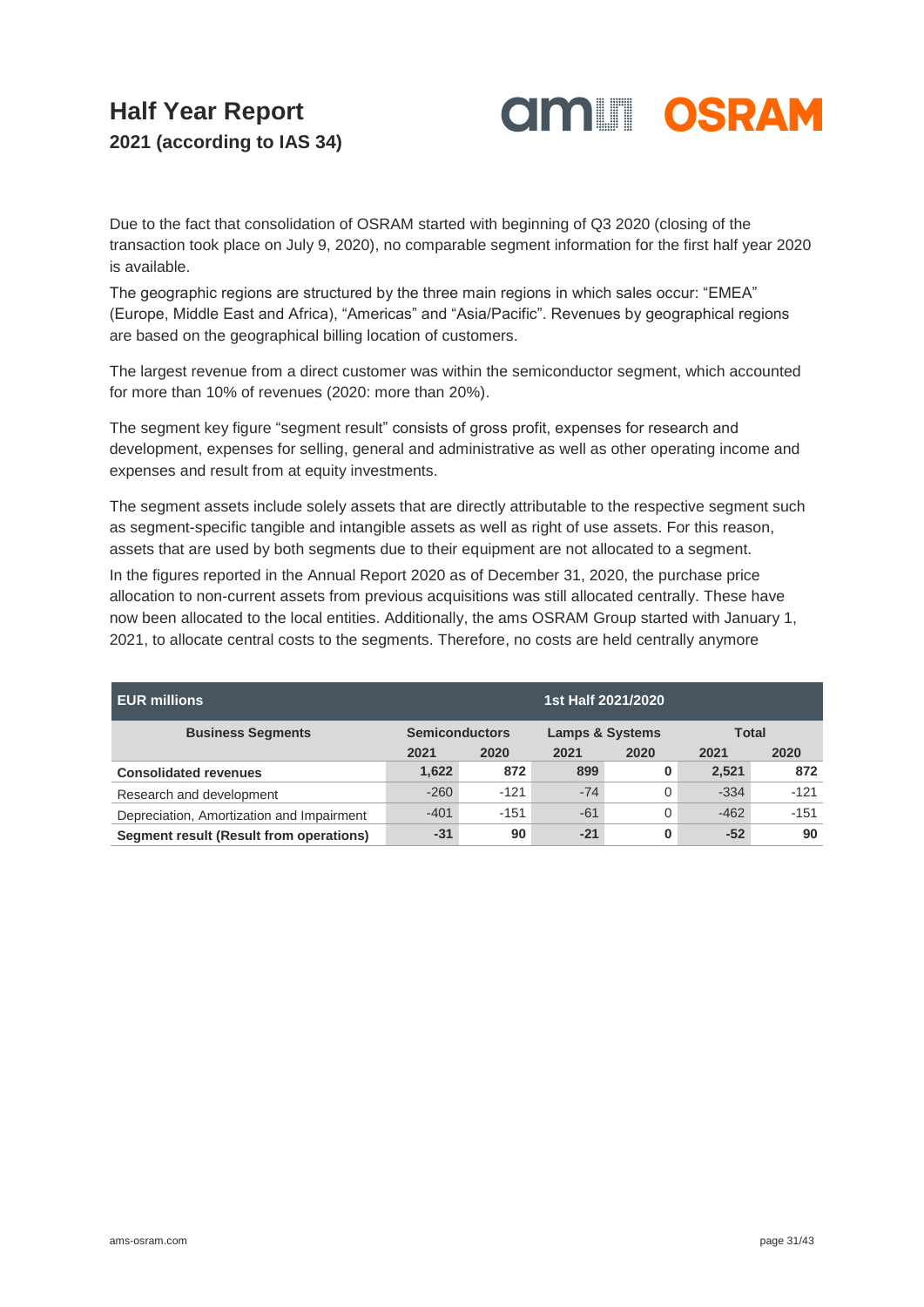

Due to the fact that consolidation of OSRAM started with beginning of Q3 2020 (closing of the transaction took place on July 9, 2020), no comparable segment information for the first half year 2020 is available.

The geographic regions are structured by the three main regions in which sales occur: "EMEA" (Europe, Middle East and Africa), "Americas" and "Asia/Pacific". Revenues by geographical regions are based on the geographical billing location of customers.

The largest revenue from a direct customer was within the semiconductor segment, which accounted for more than 10% of revenues (2020: more than 20%).

The segment key figure "segment result" consists of gross profit, expenses for research and development, expenses for selling, general and administrative as well as other operating income and expenses and result from at equity investments.

The segment assets include solely assets that are directly attributable to the respective segment such as segment-specific tangible and intangible assets as well as right of use assets. For this reason, assets that are used by both segments due to their equipment are not allocated to a segment.

In the figures reported in the Annual Report 2020 as of December 31, 2020, the purchase price allocation to non-current assets from previous acquisitions was still allocated centrally. These have now been allocated to the local entities. Additionally, the ams OSRAM Group started with January 1, 2021, to allocate central costs to the segments. Therefore, no costs are held centrally anymore

| <b>EUR millions</b>                       | 1st Half 2021/2020                                  |        |       |      |        |              |  |
|-------------------------------------------|-----------------------------------------------------|--------|-------|------|--------|--------------|--|
| <b>Business Segments</b>                  | <b>Semiconductors</b><br><b>Lamps &amp; Systems</b> |        |       |      |        | <b>Total</b> |  |
|                                           | 2021                                                | 2020   | 2021  | 2020 | 2021   | 2020         |  |
| <b>Consolidated revenues</b>              | 1,622                                               | 872    | 899   | 0    | 2,521  | 872          |  |
| Research and development                  | $-260$                                              | $-121$ | $-74$ | 0    | $-334$ | $-121$       |  |
| Depreciation, Amortization and Impairment | $-401$                                              | $-151$ | $-61$ | 0    | $-462$ | $-151$       |  |
| Segment result (Result from operations)   | $-31$                                               | 90     | $-21$ | 0    | $-52$  | 90           |  |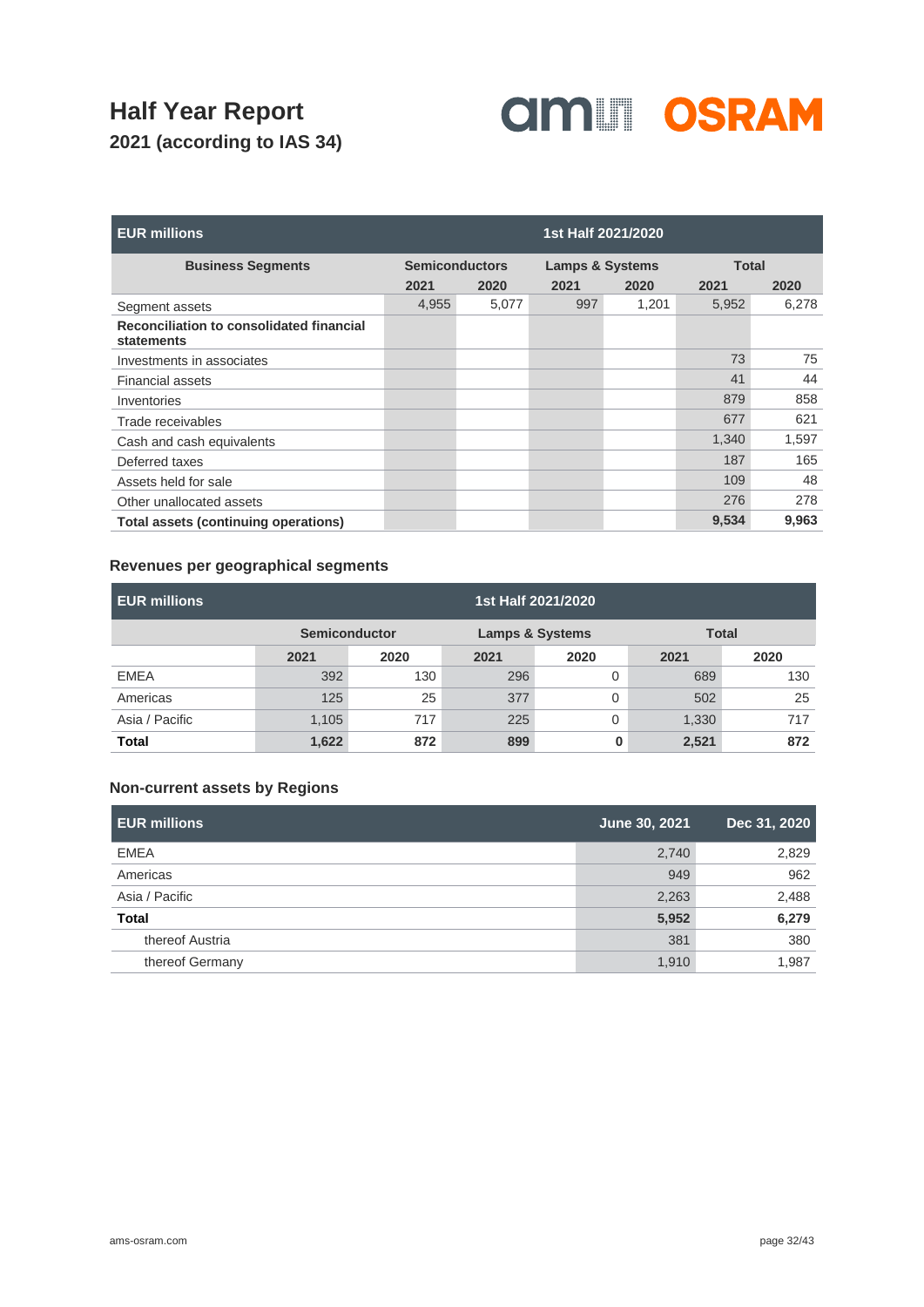

| <b>EUR millions</b>                                    |                       |       | 1st Half 2021/2020         |       |              |       |
|--------------------------------------------------------|-----------------------|-------|----------------------------|-------|--------------|-------|
| <b>Business Segments</b>                               | <b>Semiconductors</b> |       | <b>Lamps &amp; Systems</b> |       | <b>Total</b> |       |
|                                                        | 2021                  | 2020  | 2021                       | 2020  | 2021         | 2020  |
| Segment assets                                         | 4,955                 | 5,077 | 997                        | 1,201 | 5,952        | 6,278 |
| Reconciliation to consolidated financial<br>statements |                       |       |                            |       |              |       |
| Investments in associates                              |                       |       |                            |       | 73           | 75    |
| <b>Financial assets</b>                                |                       |       |                            |       | 41           | 44    |
| Inventories                                            |                       |       |                            |       | 879          | 858   |
| Trade receivables                                      |                       |       |                            |       | 677          | 621   |
| Cash and cash equivalents                              |                       |       |                            |       | 1,340        | 1,597 |
| Deferred taxes                                         |                       |       |                            |       | 187          | 165   |
| Assets held for sale                                   |                       |       |                            |       | 109          | 48    |
| Other unallocated assets                               |                       |       |                            |       | 276          | 278   |
| Total assets (continuing operations)                   |                       |       |                            |       | 9,534        | 9,963 |

### **Revenues per geographical segments**

| <b>EUR millions</b> |                      |      |      | 1st Half 2021/2020         |       |              |
|---------------------|----------------------|------|------|----------------------------|-------|--------------|
|                     | <b>Semiconductor</b> |      |      | <b>Lamps &amp; Systems</b> |       | <b>Total</b> |
|                     | 2021                 | 2020 | 2021 | 2020                       | 2021  | 2020         |
| <b>EMEA</b>         | 392                  | 130  | 296  |                            | 689   | 130          |
| Americas            | 125                  | 25   | 377  |                            | 502   | 25           |
| Asia / Pacific      | 1,105                | 717  | 225  |                            | 1,330 | 717          |
| Total               | 1,622                | 872  | 899  | 0                          | 2,521 | 872          |

### **Non-current assets by Regions**

| <b>EUR millions</b> | June 30, 2021 | Dec 31, 2020 |
|---------------------|---------------|--------------|
| <b>EMEA</b>         | 2,740         | 2,829        |
| Americas            | 949           | 962          |
| Asia / Pacific      | 2,263         | 2,488        |
| <b>Total</b>        | 5,952         | 6,279        |
| thereof Austria     | 381           | 380          |
| thereof Germany     | 1,910         | 1,987        |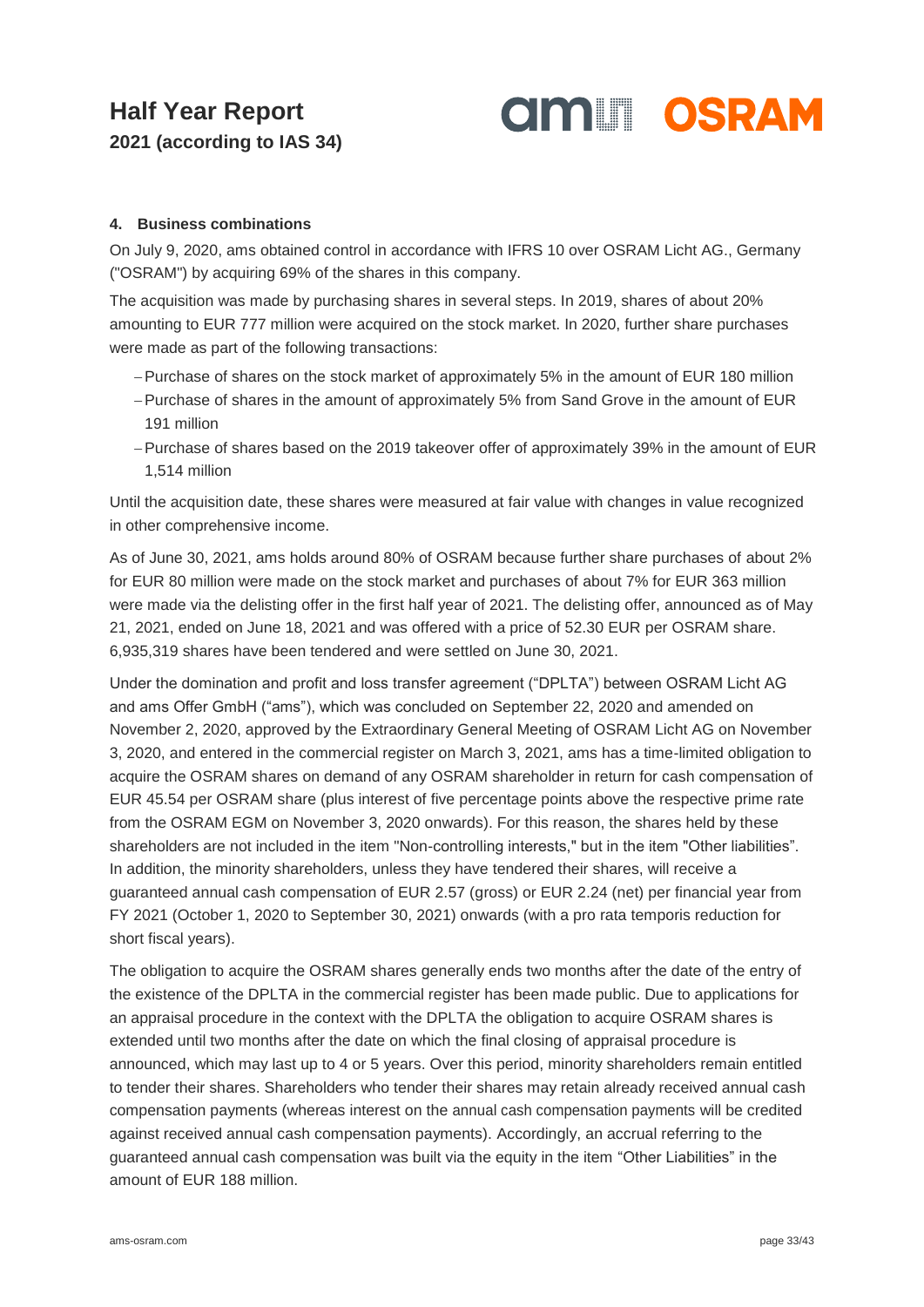

### **4. Business combinations**

On July 9, 2020, ams obtained control in accordance with IFRS 10 over OSRAM Licht AG., Germany ("OSRAM") by acquiring 69% of the shares in this company.

The acquisition was made by purchasing shares in several steps. In 2019, shares of about 20% amounting to EUR 777 million were acquired on the stock market. In 2020, further share purchases were made as part of the following transactions:

- Purchase of shares on the stock market of approximately 5% in the amount of EUR 180 million
- Purchase of shares in the amount of approximately 5% from Sand Grove in the amount of EUR 191 million
- Purchase of shares based on the 2019 takeover offer of approximately 39% in the amount of EUR 1,514 million

Until the acquisition date, these shares were measured at fair value with changes in value recognized in other comprehensive income.

As of June 30, 2021, ams holds around 80% of OSRAM because further share purchases of about 2% for EUR 80 million were made on the stock market and purchases of about 7% for EUR 363 million were made via the delisting offer in the first half year of 2021. The delisting offer, announced as of May 21, 2021, ended on June 18, 2021 and was offered with a price of 52.30 EUR per OSRAM share. 6,935,319 shares have been tendered and were settled on June 30, 2021.

Under the domination and profit and loss transfer agreement ("DPLTA") between OSRAM Licht AG and ams Offer GmbH ("ams"), which was concluded on September 22, 2020 and amended on November 2, 2020, approved by the Extraordinary General Meeting of OSRAM Licht AG on November 3, 2020, and entered in the commercial register on March 3, 2021, ams has a time-limited obligation to acquire the OSRAM shares on demand of any OSRAM shareholder in return for cash compensation of EUR 45.54 per OSRAM share (plus interest of five percentage points above the respective prime rate from the OSRAM EGM on November 3, 2020 onwards). For this reason, the shares held by these shareholders are not included in the item "Non-controlling interests," but in the item "Other liabilities". In addition, the minority shareholders, unless they have tendered their shares, will receive a guaranteed annual cash compensation of EUR 2.57 (gross) or EUR 2.24 (net) per financial year from FY 2021 (October 1, 2020 to September 30, 2021) onwards (with a pro rata temporis reduction for short fiscal years).

The obligation to acquire the OSRAM shares generally ends two months after the date of the entry of the existence of the DPLTA in the commercial register has been made public. Due to applications for an appraisal procedure in the context with the DPLTA the obligation to acquire OSRAM shares is extended until two months after the date on which the final closing of appraisal procedure is announced, which may last up to 4 or 5 years. Over this period, minority shareholders remain entitled to tender their shares. Shareholders who tender their shares may retain already received annual cash compensation payments (whereas interest on the annual cash compensation payments will be credited against received annual cash compensation payments). Accordingly, an accrual referring to the guaranteed annual cash compensation was built via the equity in the item "Other Liabilities" in the amount of EUR 188 million.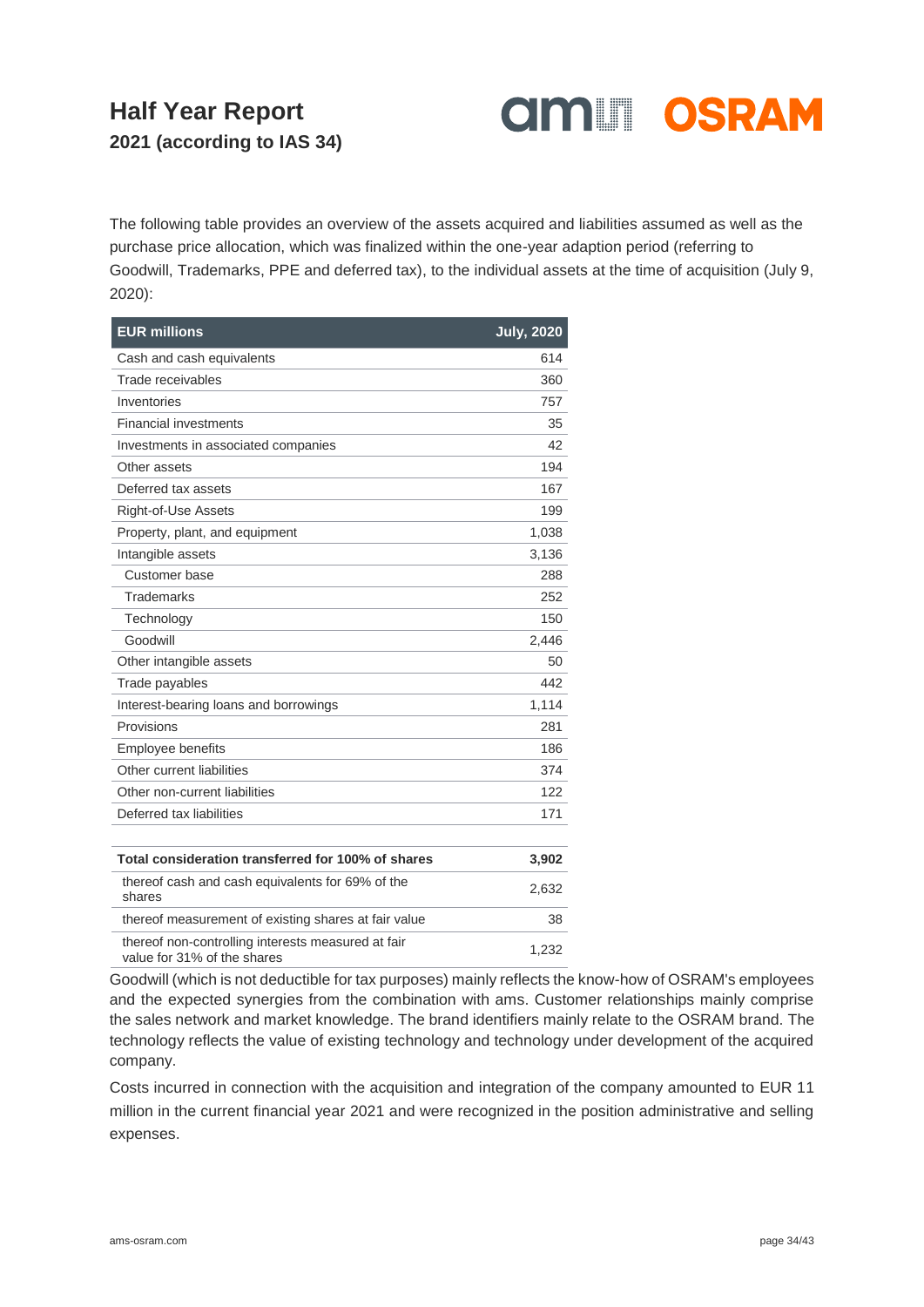

The following table provides an overview of the assets acquired and liabilities assumed as well as the purchase price allocation, which was finalized within the one-year adaption period (referring to Goodwill, Trademarks, PPE and deferred tax), to the individual assets at the time of acquisition (July 9, 2020):

| <b>EUR millions</b>                                                               | <b>July, 2020</b> |
|-----------------------------------------------------------------------------------|-------------------|
| Cash and cash equivalents                                                         | 614               |
| Trade receivables                                                                 | 360               |
| Inventories                                                                       | 757               |
| <b>Financial investments</b>                                                      | 35                |
| Investments in associated companies                                               | 42                |
| Other assets                                                                      | 194               |
| Deferred tax assets                                                               | 167               |
| Right-of-Use Assets                                                               | 199               |
| Property, plant, and equipment                                                    | 1,038             |
| Intangible assets                                                                 | 3,136             |
| Customer base                                                                     | 288               |
| <b>Trademarks</b>                                                                 | 252               |
| Technology                                                                        | 150               |
| Goodwill                                                                          | 2,446             |
| Other intangible assets                                                           | 50                |
| Trade payables                                                                    | 442               |
| Interest-bearing loans and borrowings                                             | 1,114             |
| Provisions                                                                        | 281               |
| <b>Employee benefits</b>                                                          | 186               |
| Other current liabilities                                                         | 374               |
| Other non-current liabilities                                                     | 122               |
| Deferred tax liabilities                                                          | 171               |
|                                                                                   |                   |
| Total consideration transferred for 100% of shares                                | 3,902             |
| thereof cash and cash equivalents for 69% of the<br>shares                        | 2,632             |
| thereof measurement of existing shares at fair value                              | 38                |
| thereof non-controlling interests measured at fair<br>value for 31% of the shares | 1,232             |

Goodwill (which is not deductible for tax purposes) mainly reflects the know-how of OSRAM's employees and the expected synergies from the combination with ams. Customer relationships mainly comprise the sales network and market knowledge. The brand identifiers mainly relate to the OSRAM brand. The technology reflects the value of existing technology and technology under development of the acquired company.

Costs incurred in connection with the acquisition and integration of the company amounted to EUR 11 million in the current financial year 2021 and were recognized in the position administrative and selling expenses.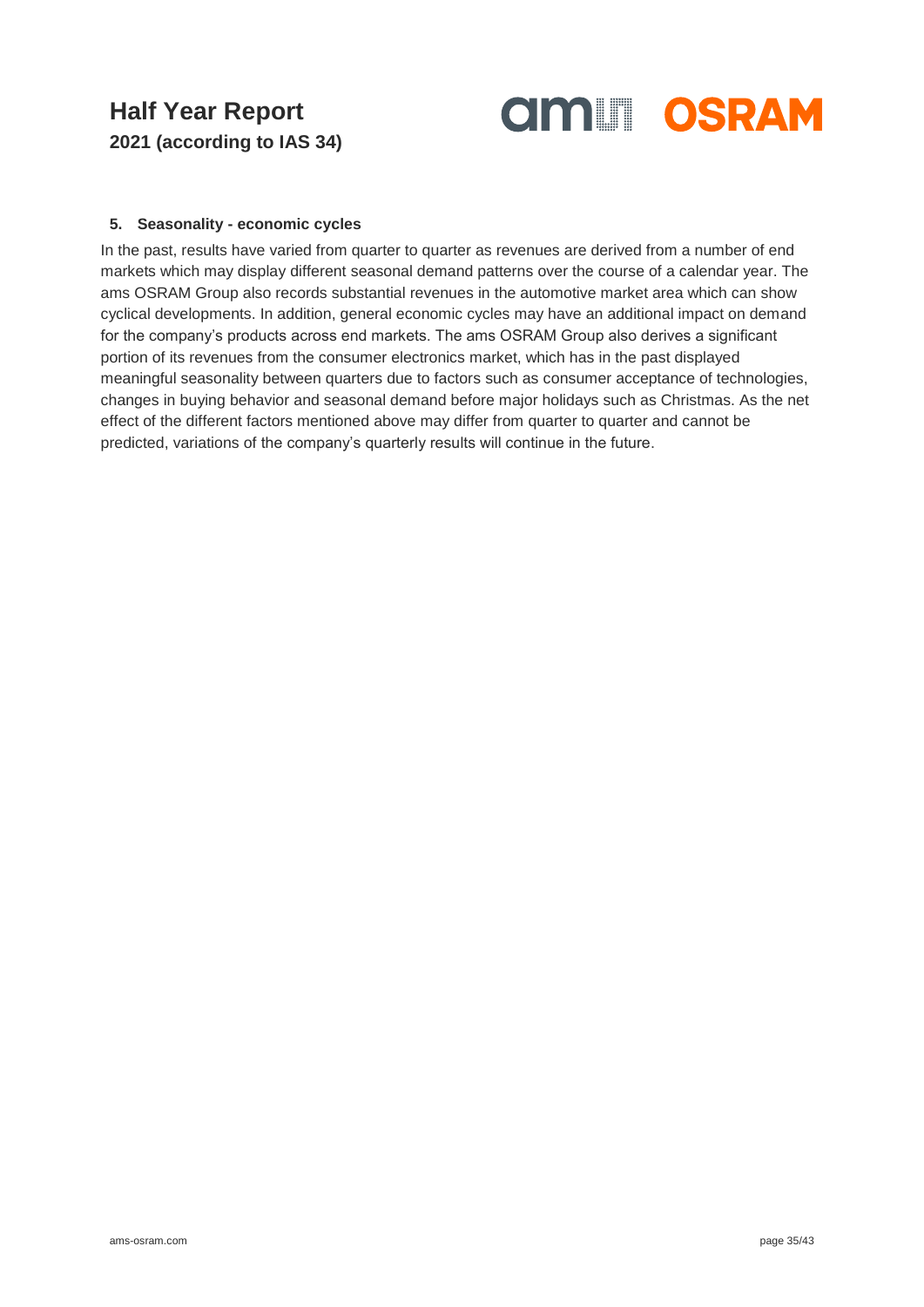

#### **5. Seasonality - economic cycles**

In the past, results have varied from quarter to quarter as revenues are derived from a number of end markets which may display different seasonal demand patterns over the course of a calendar year. The ams OSRAM Group also records substantial revenues in the automotive market area which can show cyclical developments. In addition, general economic cycles may have an additional impact on demand for the company's products across end markets. The ams OSRAM Group also derives a significant portion of its revenues from the consumer electronics market, which has in the past displayed meaningful seasonality between quarters due to factors such as consumer acceptance of technologies, changes in buying behavior and seasonal demand before major holidays such as Christmas. As the net effect of the different factors mentioned above may differ from quarter to quarter and cannot be predicted, variations of the company's quarterly results will continue in the future.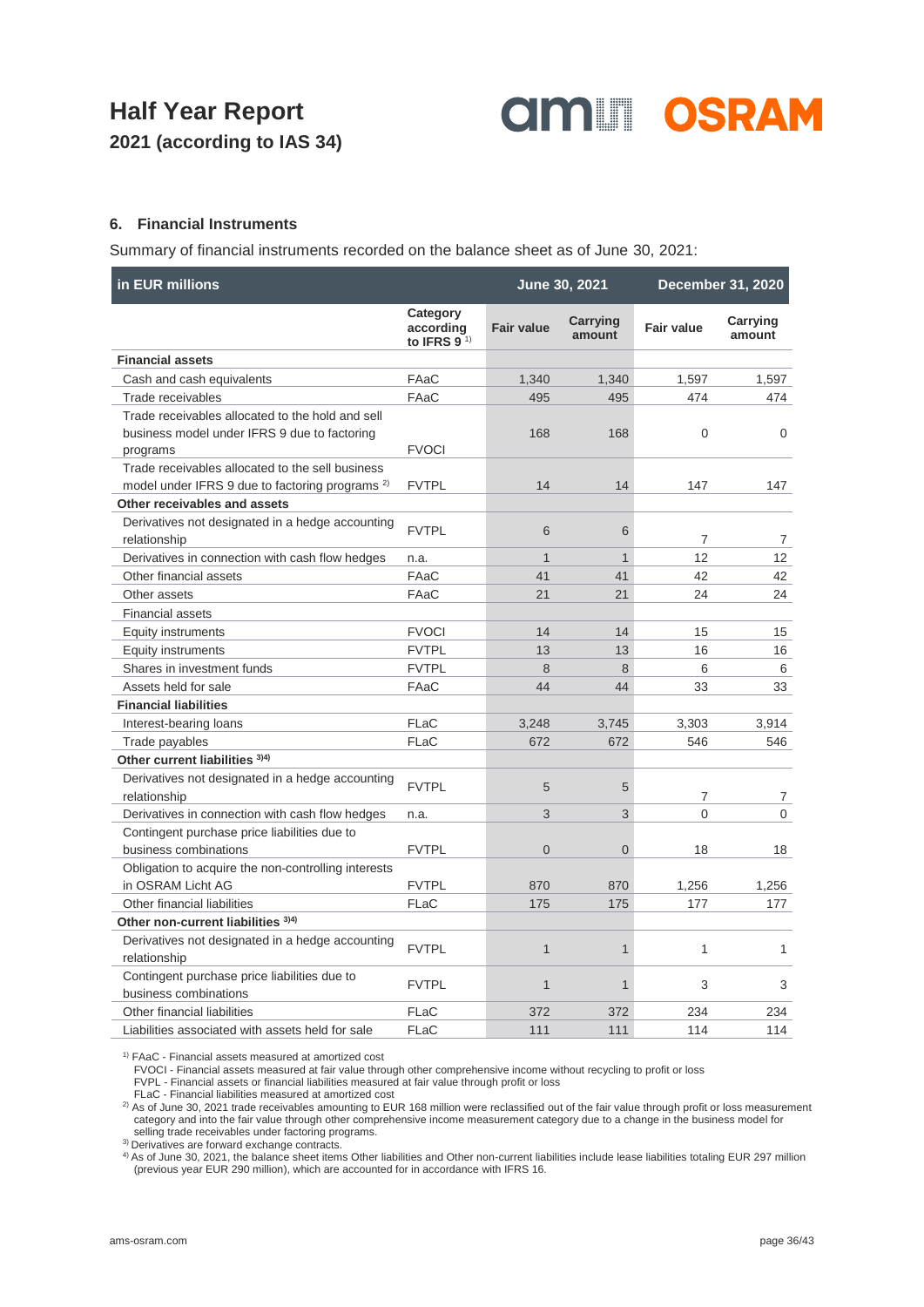

#### **6. Financial Instruments**

Summary of financial instruments recorded on the balance sheet as of June 30, 2021:

| in EUR millions                                                       |                                                      | June 30, 2021     |                    |                   | December 31, 2020  |  |
|-----------------------------------------------------------------------|------------------------------------------------------|-------------------|--------------------|-------------------|--------------------|--|
|                                                                       | Category<br>according<br>to IFRS 9 $1$ <sup>1)</sup> | <b>Fair value</b> | Carrying<br>amount | <b>Fair value</b> | Carrying<br>amount |  |
| <b>Financial assets</b>                                               |                                                      |                   |                    |                   |                    |  |
| Cash and cash equivalents                                             | FAaC                                                 | 1,340             | 1,340              | 1,597             | 1,597              |  |
| Trade receivables                                                     | FAaC                                                 | 495               | 495                | 474               | 474                |  |
| Trade receivables allocated to the hold and sell                      |                                                      |                   |                    |                   |                    |  |
| business model under IFRS 9 due to factoring                          |                                                      | 168               | 168                | 0                 | 0                  |  |
| programs                                                              | <b>FVOCI</b>                                         |                   |                    |                   |                    |  |
| Trade receivables allocated to the sell business                      |                                                      |                   |                    |                   |                    |  |
| model under IFRS 9 due to factoring programs <sup>2)</sup>            | <b>FVTPL</b>                                         | 14                | 14                 | 147               | 147                |  |
| Other receivables and assets                                          |                                                      |                   |                    |                   |                    |  |
| Derivatives not designated in a hedge accounting<br>relationship      | <b>FVTPL</b>                                         | 6                 | 6                  | 7                 | 7                  |  |
| Derivatives in connection with cash flow hedges                       | n.a.                                                 | $\mathbf{1}$      | $\mathbf{1}$       | 12                | 12                 |  |
| Other financial assets                                                | FAaC                                                 | 41                | 41                 | 42                | 42                 |  |
| Other assets                                                          | FAaC                                                 | 21                | 21                 | 24                | 24                 |  |
| <b>Financial assets</b>                                               |                                                      |                   |                    |                   |                    |  |
| Equity instruments                                                    | <b>FVOCI</b>                                         | 14                | 14                 | 15                | 15                 |  |
| Equity instruments                                                    | <b>FVTPL</b>                                         | 13                | 13                 | 16                | 16                 |  |
| Shares in investment funds                                            | <b>FVTPL</b>                                         | 8                 | 8                  | 6                 | 6                  |  |
| Assets held for sale                                                  | FAaC                                                 | 44                | 44                 | 33                | 33                 |  |
| <b>Financial liabilities</b>                                          |                                                      |                   |                    |                   |                    |  |
| Interest-bearing loans                                                | FLaC                                                 | 3,248             | 3,745              | 3,303             | 3,914              |  |
| Trade payables                                                        | FLaC                                                 | 672               | 672                | 546               | 546                |  |
| Other current liabilities 3)4)                                        |                                                      |                   |                    |                   |                    |  |
| Derivatives not designated in a hedge accounting<br>relationship      | <b>FVTPL</b>                                         | 5                 | 5                  | 7                 | $\overline{7}$     |  |
| Derivatives in connection with cash flow hedges                       | n.a.                                                 | 3                 | 3                  | $\Omega$          | $\mathbf{0}$       |  |
| Contingent purchase price liabilities due to                          |                                                      |                   |                    |                   |                    |  |
| business combinations                                                 | <b>FVTPL</b>                                         | $\Omega$          | $\overline{0}$     | 18                | 18                 |  |
| Obligation to acquire the non-controlling interests                   |                                                      |                   |                    |                   |                    |  |
| in OSRAM Licht AG                                                     | <b>FVTPL</b>                                         | 870               | 870                | 1,256             | 1,256              |  |
| Other financial liabilities                                           | FLaC                                                 | 175               | 175                | 177               | 177                |  |
| Other non-current liabilities 3)4)                                    |                                                      |                   |                    |                   |                    |  |
| Derivatives not designated in a hedge accounting<br>relationship      | <b>FVTPL</b>                                         | $\mathbf{1}$      | $\mathbf{1}$       | $\mathbf{1}$      | 1                  |  |
| Contingent purchase price liabilities due to<br>business combinations | <b>FVTPL</b>                                         | $\mathbf{1}$      | 1                  | 3                 | 3                  |  |
| Other financial liabilities                                           | FLaC                                                 | 372               | 372                | 234               | 234                |  |
| Liabilities associated with assets held for sale                      | FLaC                                                 | 111               | 111                | 114               | 114                |  |

1) FAaC - Financial assets measured at amortized cost

FVOCI - Financial assets measured at fair value through other comprehensive income without recycling to profit or loss

FVPL - Financial assets or financial liabilities measured at fair value through profit or loss

FLaC - Financial liabilities measured at amortized cost

<sup>2)</sup> As of June 30, 2021 trade receivables amounting to EUR 168 million were reclassified out of the fair value through profit or loss measurement category and into the fair value through other comprehensive income measurement category due to a change in the business model for selling trade receivables under factoring programs.

<sup>3)</sup> Derivatives are forward exchange contracts.

4) As of June 30, 2021, the balance sheet items Other liabilities and Other non-current liabilities include lease liabilities totaling EUR 297 million (previous year EUR 290 million), which are accounted for in accordance with IFRS 16.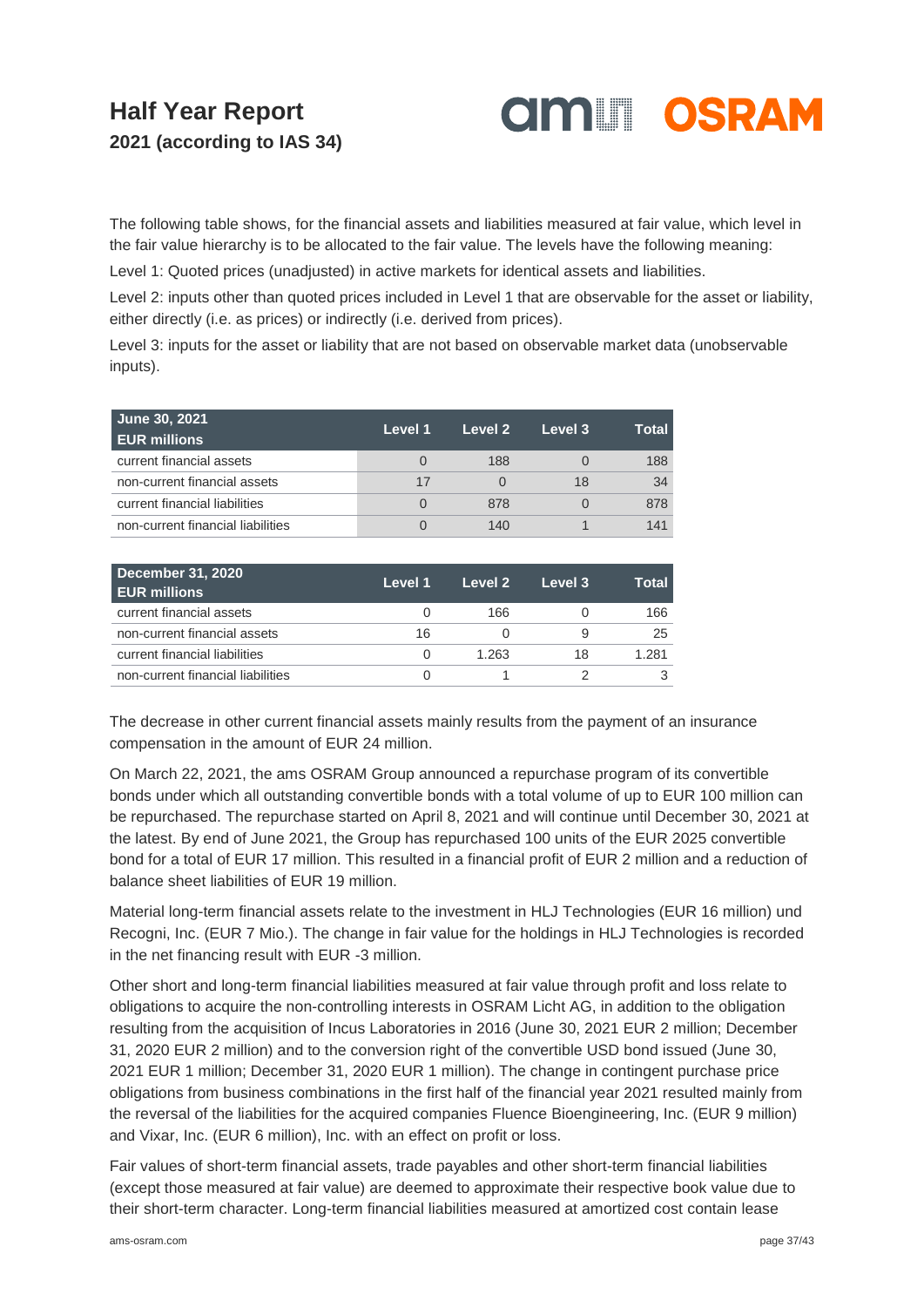

The following table shows, for the financial assets and liabilities measured at fair value, which level in the fair value hierarchy is to be allocated to the fair value. The levels have the following meaning:

Level 1: Quoted prices (unadjusted) in active markets for identical assets and liabilities.

Level 2: inputs other than quoted prices included in Level 1 that are observable for the asset or liability, either directly (i.e. as prices) or indirectly (i.e. derived from prices).

Level 3: inputs for the asset or liability that are not based on observable market data (unobservable inputs).

| June 30, 2021<br><b>EUR millions</b> | Level 1 | Level 2 | Level 3 | Total |
|--------------------------------------|---------|---------|---------|-------|
| current financial assets             |         | 188     |         | 188   |
| non-current financial assets         | 17      |         | 18      | 34    |
| current financial liabilities        |         | 878     |         | 878   |
| non-current financial liabilities    |         | 140     |         | 141   |

| <b>December 31, 2020</b><br><b>EUR millions</b> | Level 1 | Level 2 | Level 3 | Total |
|-------------------------------------------------|---------|---------|---------|-------|
| current financial assets                        |         | 166     |         | 166   |
| non-current financial assets                    | 16      |         |         | 25    |
| current financial liabilities                   |         | 1.263   | 18      | 1.281 |
| non-current financial liabilities               |         |         |         |       |

The decrease in other current financial assets mainly results from the payment of an insurance compensation in the amount of EUR 24 million.

On March 22, 2021, the ams OSRAM Group announced a repurchase program of its convertible bonds under which all outstanding convertible bonds with a total volume of up to EUR 100 million can be repurchased. The repurchase started on April 8, 2021 and will continue until December 30, 2021 at the latest. By end of June 2021, the Group has repurchased 100 units of the EUR 2025 convertible bond for a total of EUR 17 million. This resulted in a financial profit of EUR 2 million and a reduction of balance sheet liabilities of EUR 19 million.

Material long-term financial assets relate to the investment in HLJ Technologies (EUR 16 million) und Recogni, Inc. (EUR 7 Mio.). The change in fair value for the holdings in HLJ Technologies is recorded in the net financing result with EUR -3 million.

Other short and long-term financial liabilities measured at fair value through profit and loss relate to obligations to acquire the non-controlling interests in OSRAM Licht AG, in addition to the obligation resulting from the acquisition of Incus Laboratories in 2016 (June 30, 2021 EUR 2 million; December 31, 2020 EUR 2 million) and to the conversion right of the convertible USD bond issued (June 30, 2021 EUR 1 million; December 31, 2020 EUR 1 million). The change in contingent purchase price obligations from business combinations in the first half of the financial year 2021 resulted mainly from the reversal of the liabilities for the acquired companies Fluence Bioengineering, Inc. (EUR 9 million) and Vixar, Inc. (EUR 6 million), Inc. with an effect on profit or loss.

Fair values of short-term financial assets, trade payables and other short-term financial liabilities (except those measured at fair value) are deemed to approximate their respective book value due to their short-term character. Long-term financial liabilities measured at amortized cost contain lease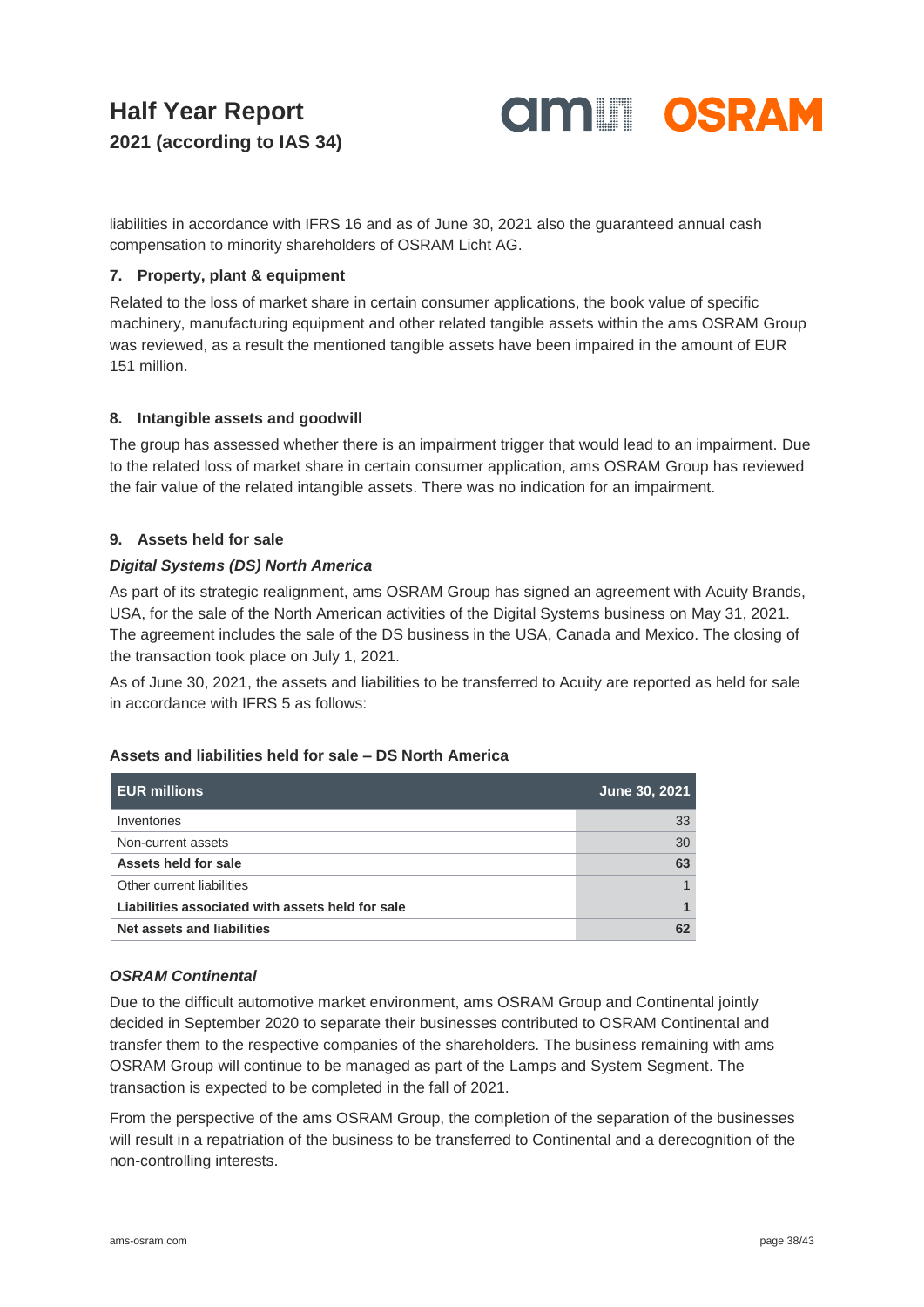**OIM OSRAM** 

liabilities in accordance with IFRS 16 and as of June 30, 2021 also the guaranteed annual cash compensation to minority shareholders of OSRAM Licht AG.

#### **7. Property, plant & equipment**

Related to the loss of market share in certain consumer applications, the book value of specific machinery, manufacturing equipment and other related tangible assets within the ams OSRAM Group was reviewed, as a result the mentioned tangible assets have been impaired in the amount of EUR 151 million.

#### **8. Intangible assets and goodwill**

The group has assessed whether there is an impairment trigger that would lead to an impairment. Due to the related loss of market share in certain consumer application, ams OSRAM Group has reviewed the fair value of the related intangible assets. There was no indication for an impairment.

### **9. Assets held for sale**

#### *Digital Systems (DS) North America*

As part of its strategic realignment, ams OSRAM Group has signed an agreement with Acuity Brands, USA, for the sale of the North American activities of the Digital Systems business on May 31, 2021. The agreement includes the sale of the DS business in the USA, Canada and Mexico. The closing of the transaction took place on July 1, 2021.

As of June 30, 2021, the assets and liabilities to be transferred to Acuity are reported as held for sale in accordance with IFRS 5 as follows:

#### **Assets and liabilities held for sale – DS North America**

| <b>EUR millions</b>                              | <b>June 30, 2021</b> |
|--------------------------------------------------|----------------------|
| Inventories                                      | 33                   |
| Non-current assets                               | 30                   |
| Assets held for sale                             | 63                   |
| Other current liabilities                        |                      |
| Liabilities associated with assets held for sale |                      |
| Net assets and liabilities                       |                      |

#### *OSRAM Continental*

Due to the difficult automotive market environment, ams OSRAM Group and Continental jointly decided in September 2020 to separate their businesses contributed to OSRAM Continental and transfer them to the respective companies of the shareholders. The business remaining with ams OSRAM Group will continue to be managed as part of the Lamps and System Segment. The transaction is expected to be completed in the fall of 2021.

From the perspective of the ams OSRAM Group, the completion of the separation of the businesses will result in a repatriation of the business to be transferred to Continental and a derecognition of the non-controlling interests.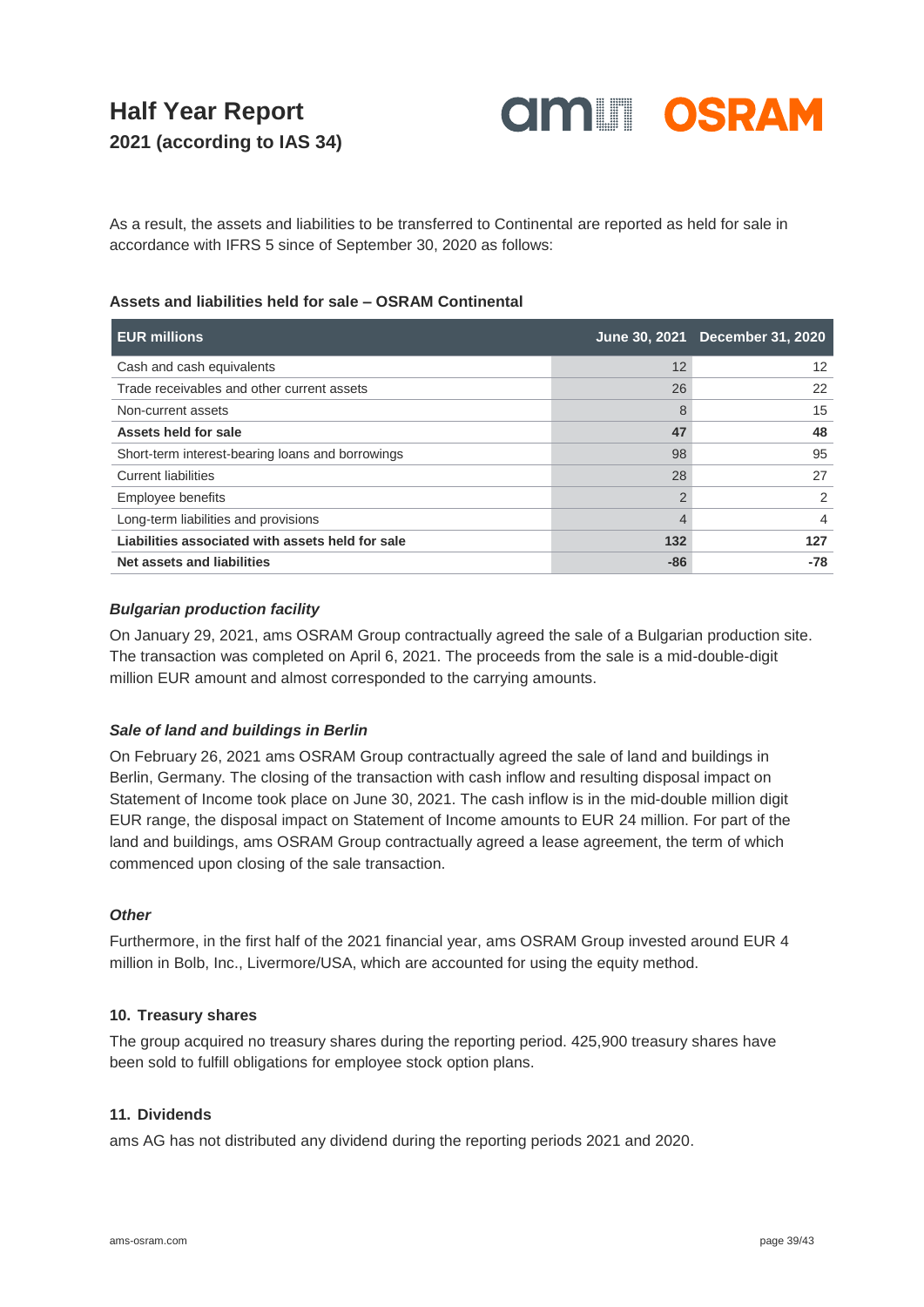

As a result, the assets and liabilities to be transferred to Continental are reported as held for sale in accordance with IFRS 5 since of September 30, 2020 as follows:

#### **Assets and liabilities held for sale – OSRAM Continental**

| <b>EUR millions</b>                              |               | June 30, 2021 December 31, 2020 |
|--------------------------------------------------|---------------|---------------------------------|
| Cash and cash equivalents                        | 12            | 12                              |
| Trade receivables and other current assets       | 26            | 22                              |
| Non-current assets                               | 8             | 15                              |
| Assets held for sale                             | 47            | 48                              |
| Short-term interest-bearing loans and borrowings | 98            | 95                              |
| <b>Current liabilities</b>                       | 28            | 27                              |
| Employee benefits                                | $\mathcal{P}$ | $\mathcal{P}$                   |
| Long-term liabilities and provisions             |               | 4                               |
| Liabilities associated with assets held for sale | 132           | 127                             |
| Net assets and liabilities                       | $-86$         | -78                             |

#### *Bulgarian production facility*

On January 29, 2021, ams OSRAM Group contractually agreed the sale of a Bulgarian production site. The transaction was completed on April 6, 2021. The proceeds from the sale is a mid-double-digit million EUR amount and almost corresponded to the carrying amounts.

#### *Sale of land and buildings in Berlin*

On February 26, 2021 ams OSRAM Group contractually agreed the sale of land and buildings in Berlin, Germany. The closing of the transaction with cash inflow and resulting disposal impact on Statement of Income took place on June 30, 2021. The cash inflow is in the mid-double million digit EUR range, the disposal impact on Statement of Income amounts to EUR 24 million. For part of the land and buildings, ams OSRAM Group contractually agreed a lease agreement, the term of which commenced upon closing of the sale transaction.

#### *Other*

Furthermore, in the first half of the 2021 financial year, ams OSRAM Group invested around EUR 4 million in Bolb, Inc., Livermore/USA, which are accounted for using the equity method.

#### **10. Treasury shares**

The group acquired no treasury shares during the reporting period. 425,900 treasury shares have been sold to fulfill obligations for employee stock option plans.

#### **11. Dividends**

ams AG has not distributed any dividend during the reporting periods 2021 and 2020.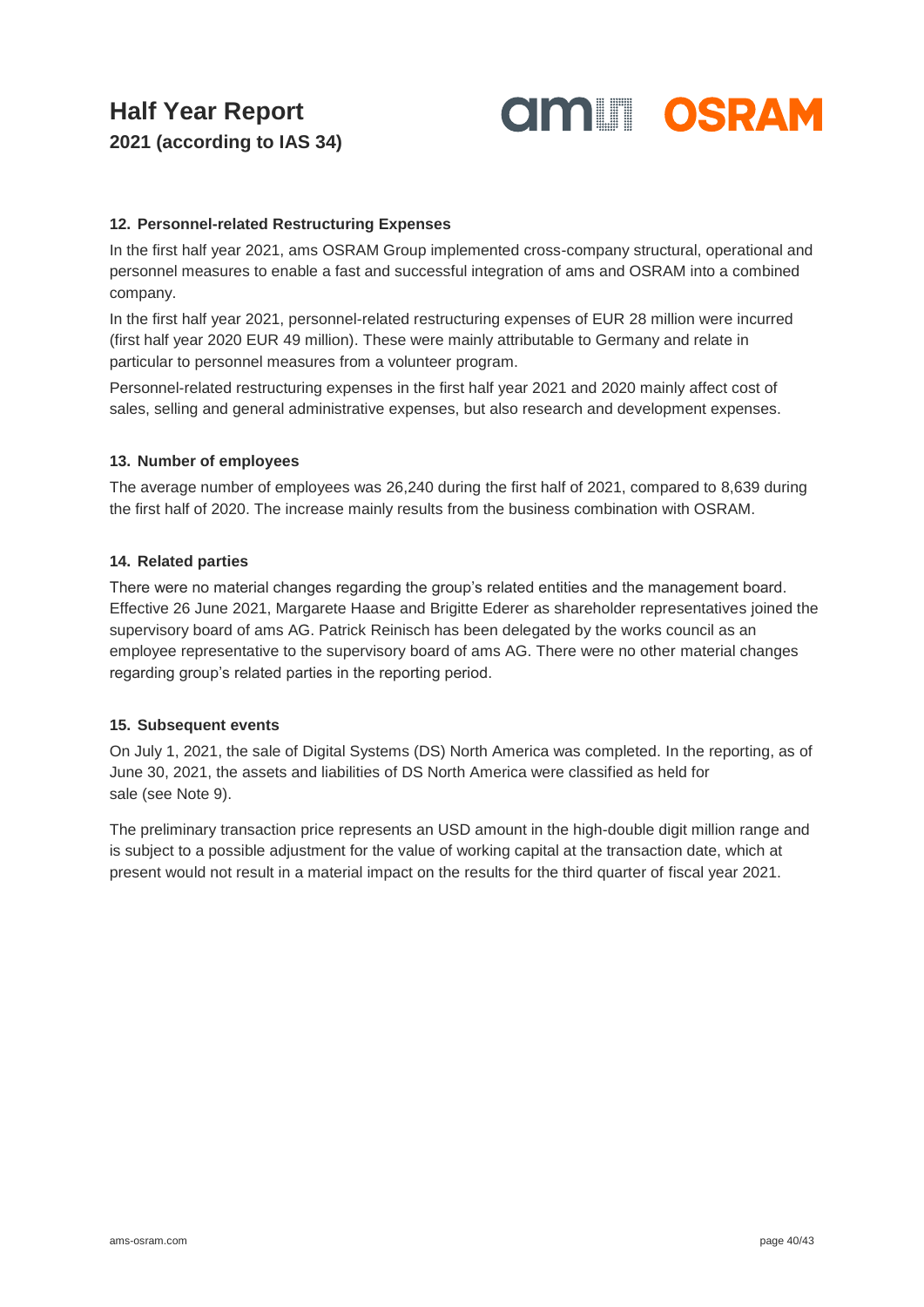

#### **12. Personnel-related Restructuring Expenses**

In the first half year 2021, ams OSRAM Group implemented cross-company structural, operational and personnel measures to enable a fast and successful integration of ams and OSRAM into a combined company.

In the first half year 2021, personnel-related restructuring expenses of EUR 28 million were incurred (first half year 2020 EUR 49 million). These were mainly attributable to Germany and relate in particular to personnel measures from a volunteer program.

Personnel-related restructuring expenses in the first half year 2021 and 2020 mainly affect cost of sales, selling and general administrative expenses, but also research and development expenses.

#### **13. Number of employees**

The average number of employees was 26,240 during the first half of 2021, compared to 8,639 during the first half of 2020. The increase mainly results from the business combination with OSRAM.

#### **14. Related parties**

There were no material changes regarding the group's related entities and the management board. Effective 26 June 2021, Margarete Haase and Brigitte Ederer as shareholder representatives joined the supervisory board of ams AG. Patrick Reinisch has been delegated by the works council as an employee representative to the supervisory board of ams AG. There were no other material changes regarding group's related parties in the reporting period.

#### **15. Subsequent events**

On July 1, 2021, the sale of Digital Systems (DS) North America was completed. In the reporting, as of June 30, 2021, the assets and liabilities of DS North America were classified as held for sale (see Note 9).

The preliminary transaction price represents an USD amount in the high-double digit million range and is subject to a possible adjustment for the value of working capital at the transaction date, which at present would not result in a material impact on the results for the third quarter of fiscal year 2021.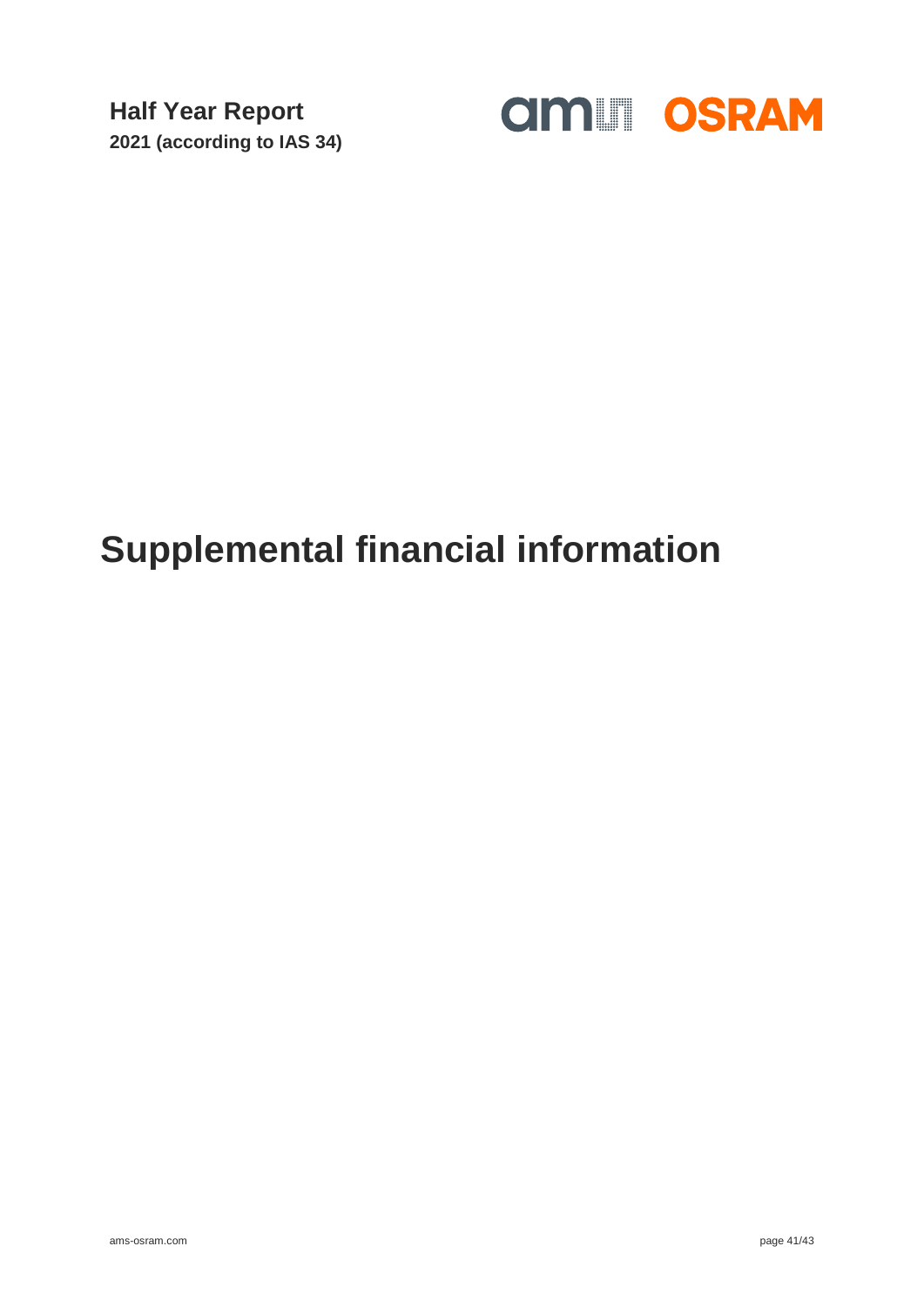

## **Supplemental financial information**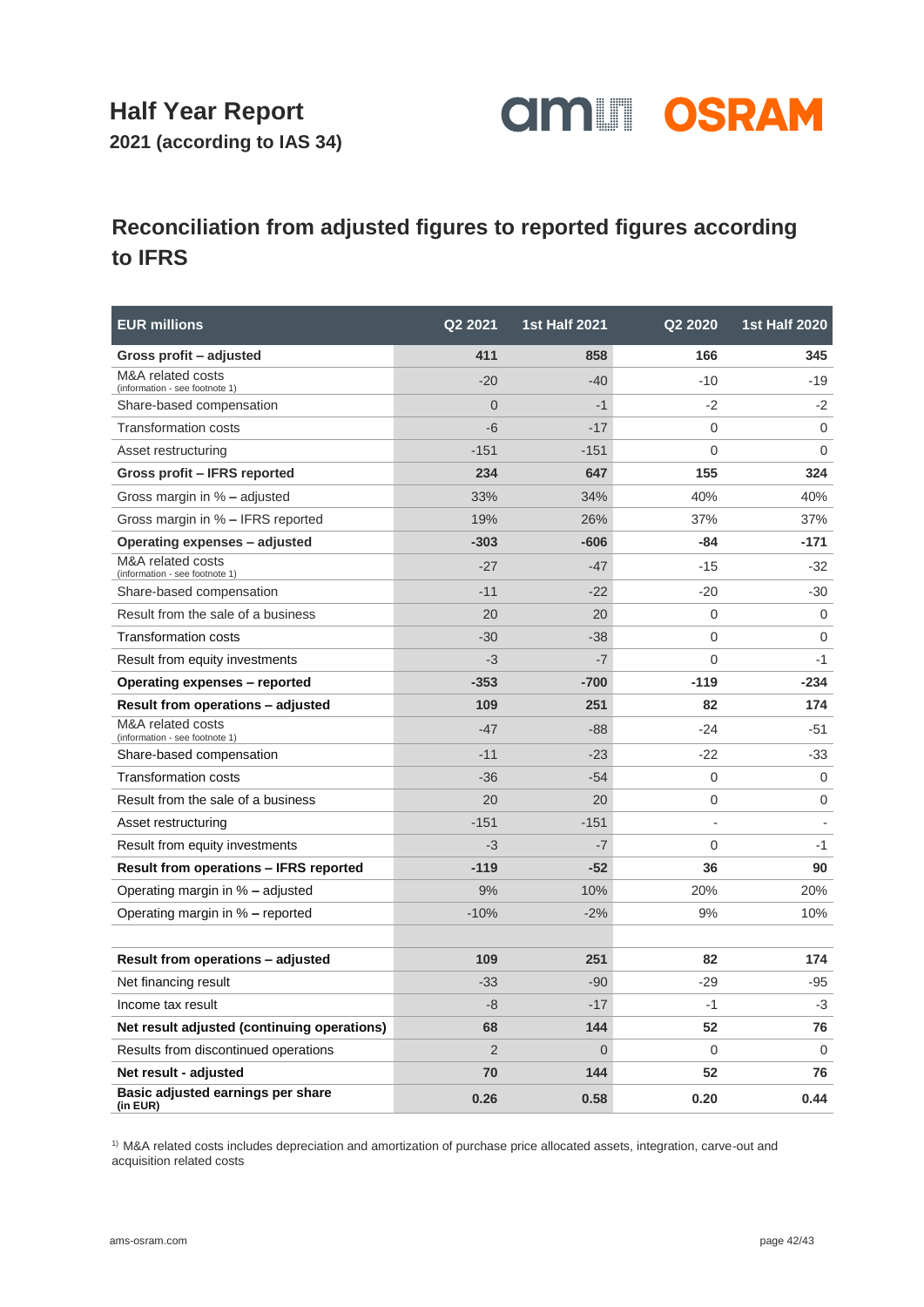**2021 (according to IAS 34)**



### **Reconciliation from adjusted figures to reported figures according to IFRS**

| <b>EUR millions</b>                                 | Q2 2021        | <b>1st Half 2021</b> | Q2 2020        | <b>1st Half 2020</b> |
|-----------------------------------------------------|----------------|----------------------|----------------|----------------------|
| Gross profit – adjusted                             | 411            | 858                  | 166            | 345                  |
| M&A related costs<br>(information - see footnote 1) | $-20$          | $-40$                | $-10$          | $-19$                |
| Share-based compensation                            | $\Omega$       | $-1$                 | $-2$           | $-2$                 |
| <b>Transformation costs</b>                         | $-6$           | $-17$                | 0              | $\mathbf 0$          |
| Asset restructuring                                 | $-151$         | $-151$               | 0              | $\Omega$             |
| Gross profit - IFRS reported                        | 234            | 647                  | 155            | 324                  |
| Gross margin in % - adjusted                        | 33%            | 34%                  | 40%            | 40%                  |
| Gross margin in % - IFRS reported                   | 19%            | 26%                  | 37%            | 37%                  |
| Operating expenses – adjusted                       | $-303$         | $-606$               | -84            | $-171$               |
| M&A related costs<br>(information - see footnote 1) | $-27$          | $-47$                | $-15$          | -32                  |
| Share-based compensation                            | $-11$          | $-22$                | $-20$          | -30                  |
| Result from the sale of a business                  | 20             | 20                   | 0              | $\mathbf 0$          |
| <b>Transformation costs</b>                         | $-30$          | $-38$                | 0              | $\Omega$             |
| Result from equity investments                      | $-3$           | $-7$                 | 0              | $-1$                 |
| <b>Operating expenses - reported</b>                | $-353$         | $-700$               | $-119$         | $-234$               |
| <b>Result from operations - adjusted</b>            | 109            | 251                  | 82             | 174                  |
| M&A related costs<br>(information - see footnote 1) | $-47$          | $-88$                | $-24$          | -51                  |
| Share-based compensation                            | $-11$          | $-23$                | $-22$          | -33                  |
| Transformation costs                                | $-36$          | $-54$                | 0              | 0                    |
| Result from the sale of a business                  | 20             | 20                   | 0              | $\mathbf 0$          |
| Asset restructuring                                 | $-151$         | $-151$               | $\overline{a}$ |                      |
| Result from equity investments                      | $-3$           | $-7$                 | $\overline{0}$ | $-1$                 |
| Result from operations - IFRS reported              | $-119$         | $-52$                | 36             | 90                   |
| Operating margin in % – adjusted                    | 9%             | 10%                  | 20%            | 20%                  |
| Operating margin in % - reported                    | $-10%$         | $-2%$                | 9%             | 10%                  |
|                                                     |                |                      |                |                      |
| Result from operations - adjusted                   | 109            | 251                  | 82             | 174                  |
| Net financing result                                | $-33$          | $-90$                | $-29$          | -95                  |
| Income tax result                                   | $-8$           | $-17$                | -1             | -3                   |
| Net result adjusted (continuing operations)         | 68             | 144                  | 52             | 76                   |
| Results from discontinued operations                | $\overline{2}$ | $\mathbf 0$          | $\Omega$       | $\Omega$             |
| Net result - adjusted                               | 70             | 144                  | 52             | 76                   |
| Basic adjusted earnings per share<br>(in EUR)       | 0.26           | 0.58                 | 0.20           | 0.44                 |

1) M&A related costs includes depreciation and amortization of purchase price allocated assets, integration, carve-out and acquisition related costs